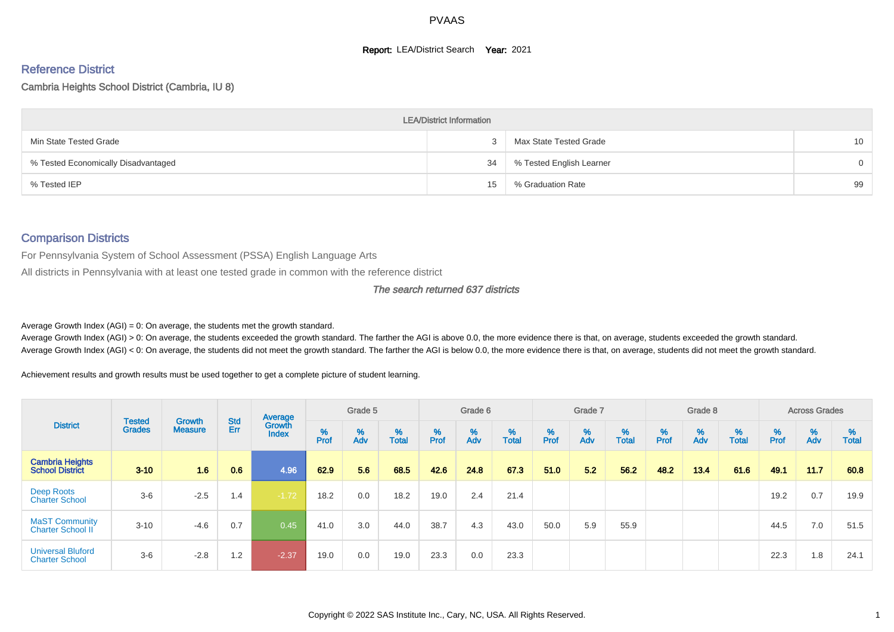#### **Report: LEA/District Search Year: 2021**

# Reference District

#### Cambria Heights School District (Cambria, IU 8)

|                                     | <b>LEA/District Information</b> |                          |                 |
|-------------------------------------|---------------------------------|--------------------------|-----------------|
| Min State Tested Grade              |                                 | Max State Tested Grade   | 10 <sup>°</sup> |
| % Tested Economically Disadvantaged | 34                              | % Tested English Learner | $\overline{0}$  |
| % Tested IEP                        | 15                              | % Graduation Rate        | 99              |

#### Comparison Districts

For Pennsylvania System of School Assessment (PSSA) English Language Arts

All districts in Pennsylvania with at least one tested grade in common with the reference district

#### The search returned 637 districts

Average Growth Index  $(AGI) = 0$ : On average, the students met the growth standard.

Average Growth Index (AGI) > 0: On average, the students exceeded the growth standard. The farther the AGI is above 0.0, the more evidence there is that, on average, students exceeded the growth standard. Average Growth Index (AGI) < 0: On average, the students did not meet the growth standard. The farther the AGI is below 0.0, the more evidence there is that, on average, students did not meet the growth standard.

Achievement results and growth results must be used together to get a complete picture of student learning.

|                                                   |                                |                                 |            | Average                |           | Grade 5  |                   |        | Grade 6  |                   |           | Grade 7  |                   |          | Grade 8  |                   |          | <b>Across Grades</b> |                   |
|---------------------------------------------------|--------------------------------|---------------------------------|------------|------------------------|-----------|----------|-------------------|--------|----------|-------------------|-----------|----------|-------------------|----------|----------|-------------------|----------|----------------------|-------------------|
| <b>District</b>                                   | <b>Tested</b><br><b>Grades</b> | <b>Growth</b><br><b>Measure</b> | Std<br>Err | Growth<br><b>Index</b> | %<br>Prof | %<br>Adv | %<br><b>Total</b> | % Pref | %<br>Adv | %<br><b>Total</b> | %<br>Prof | %<br>Adv | %<br><b>Total</b> | $%$ Prof | %<br>Adv | %<br><b>Total</b> | $%$ Prof | %<br>Adv             | %<br><b>Total</b> |
| <b>Cambria Heights</b><br><b>School District</b>  | $3 - 10$                       | 1.6                             | 0.6        | 4.96                   | 62.9      | 5.6      | 68.5              | 42.6   | 24.8     | 67.3              | 51.0      | 5.2      | 56.2              | 48.2     | 13.4     | 61.6              | 49.1     | 11.7                 | 60.8              |
| Deep Roots<br><b>Charter School</b>               | $3-6$                          | $-2.5$                          | 1.4        | $-1.72$                | 18.2      | 0.0      | 18.2              | 19.0   | 2.4      | 21.4              |           |          |                   |          |          |                   | 19.2     | 0.7                  | 19.9              |
| <b>MaST Community</b><br>Charter School II        | $3 - 10$                       | $-4.6$                          | 0.7        | 0.45                   | 41.0      | 3.0      | 44.0              | 38.7   | 4.3      | 43.0              | 50.0      | 5.9      | 55.9              |          |          |                   | 44.5     | 7.0                  | 51.5              |
| <b>Universal Bluford</b><br><b>Charter School</b> | $3-6$                          | $-2.8$                          | 1.2        | $-2.37$                | 19.0      | 0.0      | 19.0              | 23.3   | 0.0      | 23.3              |           |          |                   |          |          |                   | 22.3     | 1.8                  | 24.1              |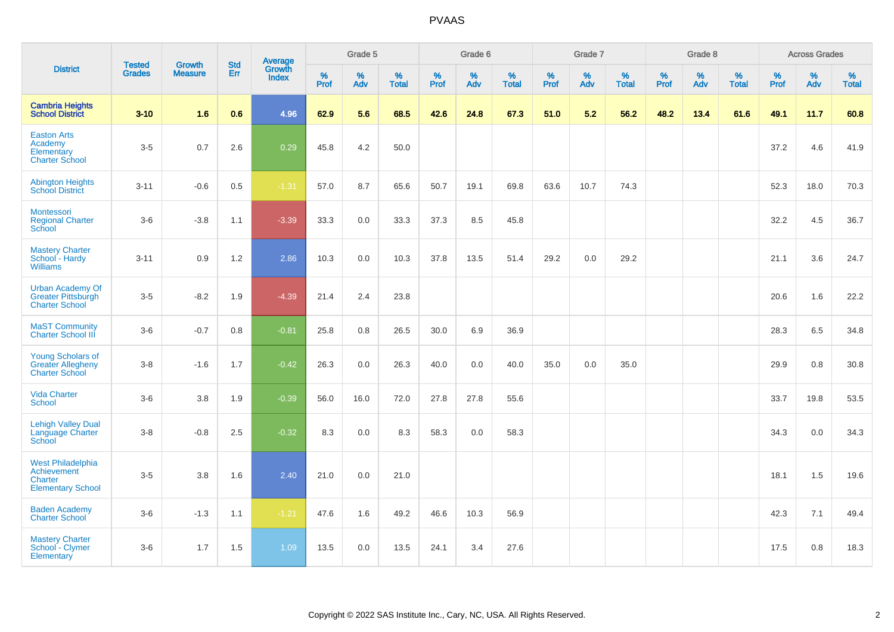|                                                                                | <b>Tested</b> | <b>Growth</b>  | <b>Std</b> | Average                |              | Grade 5  |                   |                     | Grade 6  |                   |              | Grade 7  |                   |              | Grade 8  |                   |              | <b>Across Grades</b> |                   |
|--------------------------------------------------------------------------------|---------------|----------------|------------|------------------------|--------------|----------|-------------------|---------------------|----------|-------------------|--------------|----------|-------------------|--------------|----------|-------------------|--------------|----------------------|-------------------|
| <b>District</b>                                                                | <b>Grades</b> | <b>Measure</b> | <b>Err</b> | Growth<br><b>Index</b> | $\%$<br>Prof | %<br>Adv | %<br><b>Total</b> | $\%$<br><b>Prof</b> | %<br>Adv | %<br><b>Total</b> | $\%$<br>Prof | %<br>Adv | %<br><b>Total</b> | $\%$<br>Prof | %<br>Adv | %<br><b>Total</b> | $\%$<br>Prof | %<br>Adv             | %<br><b>Total</b> |
| <b>Cambria Heights</b><br><b>School District</b>                               | $3 - 10$      | 1.6            | 0.6        | 4.96                   | 62.9         | 5.6      | 68.5              | 42.6                | 24.8     | 67.3              | 51.0         | 5.2      | 56.2              | 48.2         | 13.4     | 61.6              | 49.1         | 11.7                 | 60.8              |
| <b>Easton Arts</b><br>Academy<br>Elementary<br><b>Charter School</b>           | $3-5$         | 0.7            | 2.6        | 0.29                   | 45.8         | 4.2      | 50.0              |                     |          |                   |              |          |                   |              |          |                   | 37.2         | 4.6                  | 41.9              |
| <b>Abington Heights</b><br><b>School District</b>                              | $3 - 11$      | $-0.6$         | 0.5        | $-1.31$                | 57.0         | 8.7      | 65.6              | 50.7                | 19.1     | 69.8              | 63.6         | 10.7     | 74.3              |              |          |                   | 52.3         | 18.0                 | 70.3              |
| <b>Montessori</b><br><b>Regional Charter</b><br>School                         | $3-6$         | $-3.8$         | 1.1        | $-3.39$                | 33.3         | 0.0      | 33.3              | 37.3                | 8.5      | 45.8              |              |          |                   |              |          |                   | 32.2         | 4.5                  | 36.7              |
| <b>Mastery Charter</b><br>School - Hardy<br><b>Williams</b>                    | $3 - 11$      | 0.9            | 1.2        | 2.86                   | 10.3         | 0.0      | 10.3              | 37.8                | 13.5     | 51.4              | 29.2         | 0.0      | 29.2              |              |          |                   | 21.1         | 3.6                  | 24.7              |
| <b>Urban Academy Of</b><br>Greater Pittsburgh<br><b>Charter School</b>         | $3-5$         | $-8.2$         | 1.9        | $-4.39$                | 21.4         | 2.4      | 23.8              |                     |          |                   |              |          |                   |              |          |                   | 20.6         | 1.6                  | 22.2              |
| <b>MaST Community</b><br>Charter School III                                    | $3-6$         | $-0.7$         | 0.8        | $-0.81$                | 25.8         | 0.8      | 26.5              | 30.0                | 6.9      | 36.9              |              |          |                   |              |          |                   | 28.3         | 6.5                  | 34.8              |
| <b>Young Scholars of</b><br><b>Greater Allegheny</b><br><b>Charter School</b>  | $3-8$         | $-1.6$         | 1.7        | $-0.42$                | 26.3         | 0.0      | 26.3              | 40.0                | 0.0      | 40.0              | 35.0         | 0.0      | 35.0              |              |          |                   | 29.9         | 0.8                  | 30.8              |
| <b>Vida Charter</b><br>School                                                  | $3-6$         | 3.8            | 1.9        | $-0.39$                | 56.0         | 16.0     | 72.0              | 27.8                | 27.8     | 55.6              |              |          |                   |              |          |                   | 33.7         | 19.8                 | 53.5              |
| <b>Lehigh Valley Dual</b><br>Language Charter<br>School                        | $3-8$         | $-0.8$         | 2.5        | $-0.32$                | 8.3          | 0.0      | 8.3               | 58.3                | 0.0      | 58.3              |              |          |                   |              |          |                   | 34.3         | 0.0                  | 34.3              |
| <b>West Philadelphia</b><br>Achievement<br>Charter<br><b>Elementary School</b> | $3-5$         | 3.8            | 1.6        | 2.40                   | 21.0         | 0.0      | 21.0              |                     |          |                   |              |          |                   |              |          |                   | 18.1         | 1.5                  | 19.6              |
| <b>Baden Academy</b><br><b>Charter School</b>                                  | $3-6$         | $-1.3$         | 1.1        | $-1.21$                | 47.6         | 1.6      | 49.2              | 46.6                | 10.3     | 56.9              |              |          |                   |              |          |                   | 42.3         | 7.1                  | 49.4              |
| <b>Mastery Charter</b><br>School - Clymer<br>Elementary                        | $3-6$         | 1.7            | 1.5        | 1.09                   | 13.5         | 0.0      | 13.5              | 24.1                | 3.4      | 27.6              |              |          |                   |              |          |                   | 17.5         | $0.8\,$              | 18.3              |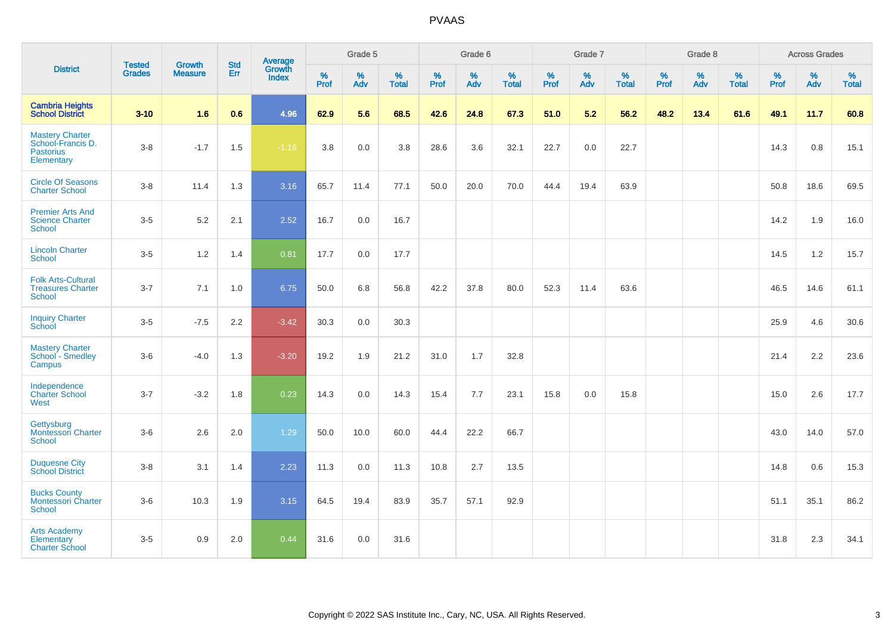|                                                                        | <b>Tested</b> | <b>Growth</b>  | <b>Std</b> | Average                |              | Grade 5  |                   |              | Grade 6  |                   |              | Grade 7  |                   |              | Grade 8  |                   |              | <b>Across Grades</b> |                   |
|------------------------------------------------------------------------|---------------|----------------|------------|------------------------|--------------|----------|-------------------|--------------|----------|-------------------|--------------|----------|-------------------|--------------|----------|-------------------|--------------|----------------------|-------------------|
| <b>District</b>                                                        | <b>Grades</b> | <b>Measure</b> | <b>Err</b> | Growth<br><b>Index</b> | $\%$<br>Prof | %<br>Adv | %<br><b>Total</b> | $\%$<br>Prof | %<br>Adv | %<br><b>Total</b> | $\%$<br>Prof | %<br>Adv | %<br><b>Total</b> | $\%$<br>Prof | %<br>Adv | %<br><b>Total</b> | $\%$<br>Prof | %<br>Adv             | %<br><b>Total</b> |
| <b>Cambria Heights</b><br><b>School District</b>                       | $3 - 10$      | 1.6            | 0.6        | 4.96                   | 62.9         | 5.6      | 68.5              | 42.6         | 24.8     | 67.3              | 51.0         | 5.2      | 56.2              | 48.2         | 13.4     | 61.6              | 49.1         | 11.7                 | 60.8              |
| Mastery Charter<br>School-Francis D.<br><b>Pastorius</b><br>Elementary | $3 - 8$       | $-1.7$         | 1.5        | $-1.16$                | 3.8          | 0.0      | 3.8               | 28.6         | 3.6      | 32.1              | 22.7         | $0.0\,$  | 22.7              |              |          |                   | 14.3         | $0.8\,$              | 15.1              |
| <b>Circle Of Seasons</b><br><b>Charter School</b>                      | $3 - 8$       | 11.4           | 1.3        | 3.16                   | 65.7         | 11.4     | 77.1              | 50.0         | 20.0     | 70.0              | 44.4         | 19.4     | 63.9              |              |          |                   | 50.8         | 18.6                 | 69.5              |
| <b>Premier Arts And</b><br><b>Science Charter</b><br><b>School</b>     | $3-5$         | 5.2            | 2.1        | 2.52                   | 16.7         | 0.0      | 16.7              |              |          |                   |              |          |                   |              |          |                   | 14.2         | 1.9                  | 16.0              |
| <b>Lincoln Charter</b><br><b>School</b>                                | $3-5$         | 1.2            | 1.4        | 0.81                   | 17.7         | 0.0      | 17.7              |              |          |                   |              |          |                   |              |          |                   | 14.5         | $1.2$                | 15.7              |
| <b>Folk Arts-Cultural</b><br><b>Treasures Charter</b><br><b>School</b> | $3 - 7$       | 7.1            | 1.0        | 6.75                   | 50.0         | 6.8      | 56.8              | 42.2         | 37.8     | 80.0              | 52.3         | 11.4     | 63.6              |              |          |                   | 46.5         | 14.6                 | 61.1              |
| <b>Inquiry Charter</b><br>School                                       | $3-5$         | $-7.5$         | 2.2        | $-3.42$                | 30.3         | 0.0      | 30.3              |              |          |                   |              |          |                   |              |          |                   | 25.9         | 4.6                  | 30.6              |
| <b>Mastery Charter</b><br>School - Smedley<br>Campus                   | $3-6$         | $-4.0$         | 1.3        | $-3.20$                | 19.2         | 1.9      | 21.2              | 31.0         | 1.7      | 32.8              |              |          |                   |              |          |                   | 21.4         | $2.2\,$              | 23.6              |
| Independence<br><b>Charter School</b><br>West                          | $3 - 7$       | $-3.2$         | 1.8        | 0.23                   | 14.3         | 0.0      | 14.3              | 15.4         | 7.7      | 23.1              | 15.8         | 0.0      | 15.8              |              |          |                   | 15.0         | 2.6                  | 17.7              |
| Gettysburg<br><b>Montessori Charter</b><br>School                      | $3-6$         | 2.6            | 2.0        | 1.29                   | 50.0         | 10.0     | 60.0              | 44.4         | 22.2     | 66.7              |              |          |                   |              |          |                   | 43.0         | 14.0                 | 57.0              |
| <b>Duquesne City</b><br><b>School District</b>                         | $3-8$         | 3.1            | 1.4        | 2.23                   | 11.3         | 0.0      | 11.3              | 10.8         | 2.7      | 13.5              |              |          |                   |              |          |                   | 14.8         | 0.6                  | 15.3              |
| <b>Bucks County</b><br><b>Montessori Charter</b><br>School             | $3-6$         | 10.3           | 1.9        | 3.15                   | 64.5         | 19.4     | 83.9              | 35.7         | 57.1     | 92.9              |              |          |                   |              |          |                   | 51.1         | 35.1                 | 86.2              |
| <b>Arts Academy</b><br>Elementary<br><b>Charter School</b>             | $3-5$         | 0.9            | 2.0        | 0.44                   | 31.6         | 0.0      | 31.6              |              |          |                   |              |          |                   |              |          |                   | 31.8         | 2.3                  | 34.1              |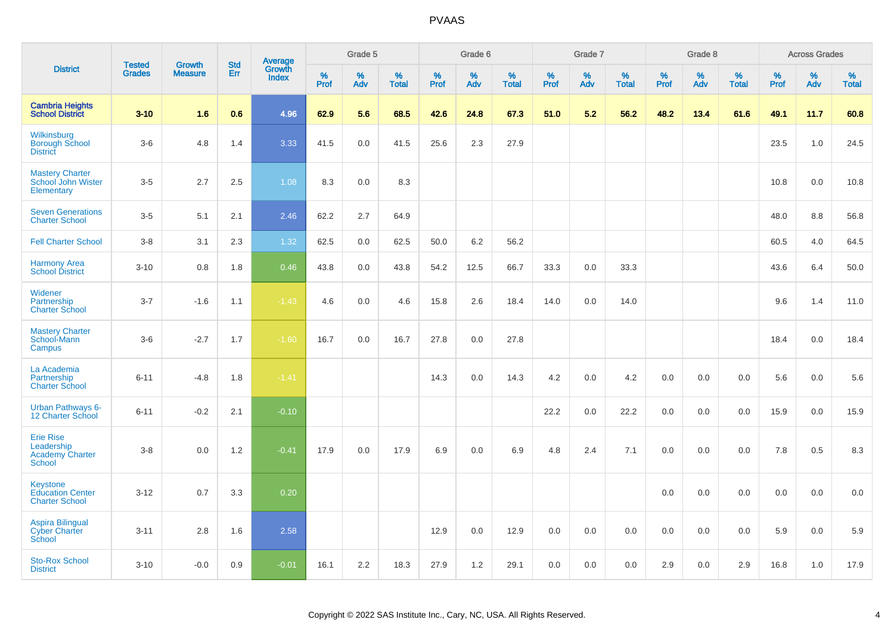|                                                                     |                                | <b>Growth</b>  |                   |                                          |                     | Grade 5  |                      |                     | Grade 6  |                   |              | Grade 7  |                      |              | Grade 8  |                      |              | <b>Across Grades</b> |                      |
|---------------------------------------------------------------------|--------------------------------|----------------|-------------------|------------------------------------------|---------------------|----------|----------------------|---------------------|----------|-------------------|--------------|----------|----------------------|--------------|----------|----------------------|--------------|----------------------|----------------------|
| <b>District</b>                                                     | <b>Tested</b><br><b>Grades</b> | <b>Measure</b> | <b>Std</b><br>Err | <b>Average</b><br>Growth<br><b>Index</b> | $\%$<br><b>Prof</b> | %<br>Adv | $\%$<br><b>Total</b> | $\%$<br><b>Prof</b> | %<br>Adv | %<br><b>Total</b> | $\%$<br>Prof | %<br>Adv | $\%$<br><b>Total</b> | $\%$<br>Prof | %<br>Adv | $\%$<br><b>Total</b> | $\%$<br>Prof | %<br>Adv             | $\%$<br><b>Total</b> |
| <b>Cambria Heights</b><br><b>School District</b>                    | $3 - 10$                       | 1.6            | 0.6               | 4.96                                     | 62.9                | 5.6      | 68.5                 | 42.6                | 24.8     | 67.3              | 51.0         | 5.2      | 56.2                 | 48.2         | 13.4     | 61.6                 | 49.1         | 11.7                 | 60.8                 |
| Wilkinsburg<br><b>Borough School</b><br><b>District</b>             | $3-6$                          | 4.8            | 1.4               | 3.33                                     | 41.5                | 0.0      | 41.5                 | 25.6                | 2.3      | 27.9              |              |          |                      |              |          |                      | 23.5         | 1.0                  | 24.5                 |
| <b>Mastery Charter</b><br>School John Wister<br>Elementary          | $3-5$                          | 2.7            | 2.5               | 1.08                                     | 8.3                 | 0.0      | 8.3                  |                     |          |                   |              |          |                      |              |          |                      | 10.8         | 0.0                  | 10.8                 |
| <b>Seven Generations</b><br><b>Charter School</b>                   | $3-5$                          | 5.1            | 2.1               | 2.46                                     | 62.2                | 2.7      | 64.9                 |                     |          |                   |              |          |                      |              |          |                      | 48.0         | 8.8                  | 56.8                 |
| <b>Fell Charter School</b>                                          | $3 - 8$                        | 3.1            | 2.3               | 1.32                                     | 62.5                | 0.0      | 62.5                 | 50.0                | 6.2      | 56.2              |              |          |                      |              |          |                      | 60.5         | 4.0                  | 64.5                 |
| <b>Harmony Area</b><br><b>School District</b>                       | $3 - 10$                       | 0.8            | 1.8               | 0.46                                     | 43.8                | 0.0      | 43.8                 | 54.2                | 12.5     | 66.7              | 33.3         | 0.0      | 33.3                 |              |          |                      | 43.6         | 6.4                  | 50.0                 |
| Widener<br>Partnership<br><b>Charter School</b>                     | $3 - 7$                        | $-1.6$         | 1.1               | $-1.43$                                  | 4.6                 | 0.0      | 4.6                  | 15.8                | 2.6      | 18.4              | 14.0         | 0.0      | 14.0                 |              |          |                      | 9.6          | 1.4                  | 11.0                 |
| <b>Mastery Charter</b><br>School-Mann<br>Campus                     | $3-6$                          | $-2.7$         | 1.7               | $-1.60$                                  | 16.7                | 0.0      | 16.7                 | 27.8                | 0.0      | 27.8              |              |          |                      |              |          |                      | 18.4         | 0.0                  | 18.4                 |
| La Academia<br>Partnership<br><b>Charter School</b>                 | $6 - 11$                       | $-4.8$         | 1.8               | $-1.41$                                  |                     |          |                      | 14.3                | 0.0      | 14.3              | 4.2          | 0.0      | 4.2                  | 0.0          | 0.0      | 0.0                  | 5.6          | 0.0                  | 5.6                  |
| Urban Pathways 6-<br>12 Charter School                              | $6 - 11$                       | $-0.2$         | 2.1               | $-0.10$                                  |                     |          |                      |                     |          |                   | 22.2         | 0.0      | 22.2                 | 0.0          | $0.0\,$  | 0.0                  | 15.9         | 0.0                  | 15.9                 |
| <b>Erie Rise</b><br>Leadership<br><b>Academy Charter</b><br>School  | $3 - 8$                        | 0.0            | 1.2               | $-0.41$                                  | 17.9                | 0.0      | 17.9                 | 6.9                 | 0.0      | 6.9               | 4.8          | 2.4      | 7.1                  | 0.0          | 0.0      | 0.0                  | 7.8          | 0.5                  | 8.3                  |
| <b>Keystone</b><br><b>Education Center</b><br><b>Charter School</b> | $3 - 12$                       | 0.7            | 3.3               | 0.20                                     |                     |          |                      |                     |          |                   |              |          |                      | 0.0          | 0.0      | 0.0                  | 0.0          | 0.0                  | 0.0                  |
| <b>Aspira Bilingual</b><br><b>Cyber Charter</b><br>School           | $3 - 11$                       | 2.8            | 1.6               | 2.58                                     |                     |          |                      | 12.9                | 0.0      | 12.9              | 0.0          | 0.0      | 0.0                  | 0.0          | 0.0      | 0.0                  | 5.9          | 0.0                  | 5.9                  |
| <b>Sto-Rox School</b><br><b>District</b>                            | $3 - 10$                       | $-0.0$         | 0.9               | $-0.01$                                  | 16.1                | 2.2      | 18.3                 | 27.9                | 1.2      | 29.1              | 0.0          | 0.0      | 0.0                  | 2.9          | 0.0      | 2.9                  | 16.8         | 1.0                  | 17.9                 |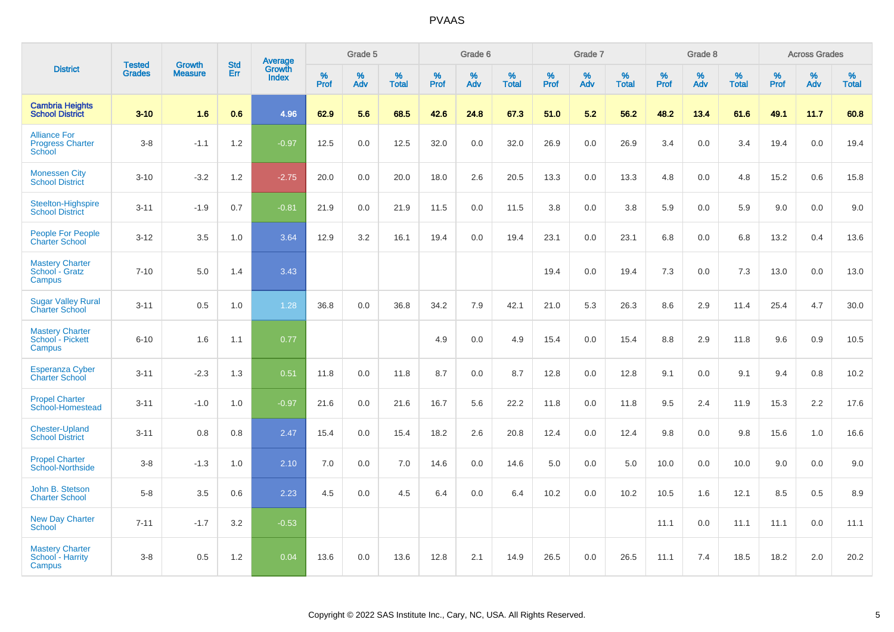|                                                          |                                | <b>Growth</b>  | <b>Std</b> |                                   |                     | Grade 5  |                   |                  | Grade 6  |                   |           | Grade 7  |                   |           | Grade 8  |                   |           | <b>Across Grades</b> |                   |
|----------------------------------------------------------|--------------------------------|----------------|------------|-----------------------------------|---------------------|----------|-------------------|------------------|----------|-------------------|-----------|----------|-------------------|-----------|----------|-------------------|-----------|----------------------|-------------------|
| <b>District</b>                                          | <b>Tested</b><br><b>Grades</b> | <b>Measure</b> | Err        | Average<br>Growth<br><b>Index</b> | $\%$<br><b>Prof</b> | %<br>Adv | %<br><b>Total</b> | %<br><b>Prof</b> | %<br>Adv | %<br><b>Total</b> | %<br>Prof | %<br>Adv | %<br><b>Total</b> | %<br>Prof | %<br>Adv | %<br><b>Total</b> | %<br>Prof | %<br>Adv             | %<br><b>Total</b> |
| <b>Cambria Heights</b><br><b>School District</b>         | $3 - 10$                       | 1.6            | 0.6        | 4.96                              | 62.9                | 5.6      | 68.5              | 42.6             | 24.8     | 67.3              | 51.0      | 5.2      | 56.2              | 48.2      | 13.4     | 61.6              | 49.1      | 11.7                 | 60.8              |
| <b>Alliance For</b><br><b>Progress Charter</b><br>School | $3-8$                          | $-1.1$         | 1.2        | $-0.97$                           | 12.5                | 0.0      | 12.5              | 32.0             | 0.0      | 32.0              | 26.9      | 0.0      | 26.9              | 3.4       | 0.0      | 3.4               | 19.4      | 0.0                  | 19.4              |
| <b>Monessen City</b><br><b>School District</b>           | $3 - 10$                       | $-3.2$         | 1.2        | $-2.75$                           | 20.0                | 0.0      | 20.0              | 18.0             | 2.6      | 20.5              | 13.3      | 0.0      | 13.3              | 4.8       | 0.0      | 4.8               | 15.2      | 0.6                  | 15.8              |
| Steelton-Highspire<br><b>School District</b>             | $3 - 11$                       | $-1.9$         | 0.7        | $-0.81$                           | 21.9                | 0.0      | 21.9              | 11.5             | 0.0      | 11.5              | 3.8       | 0.0      | 3.8               | 5.9       | 0.0      | 5.9               | 9.0       | 0.0                  | 9.0               |
| <b>People For People</b><br><b>Charter School</b>        | $3 - 12$                       | 3.5            | 1.0        | 3.64                              | 12.9                | 3.2      | 16.1              | 19.4             | 0.0      | 19.4              | 23.1      | 0.0      | 23.1              | 6.8       | 0.0      | 6.8               | 13.2      | 0.4                  | 13.6              |
| <b>Mastery Charter</b><br>School - Gratz<br>Campus       | $7 - 10$                       | 5.0            | 1.4        | 3.43                              |                     |          |                   |                  |          |                   | 19.4      | 0.0      | 19.4              | 7.3       | 0.0      | 7.3               | 13.0      | 0.0                  | 13.0              |
| <b>Sugar Valley Rural</b><br><b>Charter School</b>       | $3 - 11$                       | 0.5            | 1.0        | 1.28                              | 36.8                | 0.0      | 36.8              | 34.2             | 7.9      | 42.1              | 21.0      | 5.3      | 26.3              | 8.6       | 2.9      | 11.4              | 25.4      | 4.7                  | 30.0              |
| <b>Mastery Charter</b><br>School - Pickett<br>Campus     | $6 - 10$                       | 1.6            | 1.1        | 0.77                              |                     |          |                   | 4.9              | 0.0      | 4.9               | 15.4      | 0.0      | 15.4              | 8.8       | 2.9      | 11.8              | 9.6       | 0.9                  | 10.5              |
| <b>Esperanza Cyber</b><br><b>Charter School</b>          | $3 - 11$                       | $-2.3$         | 1.3        | 0.51                              | 11.8                | 0.0      | 11.8              | 8.7              | 0.0      | 8.7               | 12.8      | 0.0      | 12.8              | 9.1       | 0.0      | 9.1               | 9.4       | 0.8                  | 10.2              |
| <b>Propel Charter</b><br>School-Homestead                | $3 - 11$                       | $-1.0$         | 1.0        | $-0.97$                           | 21.6                | 0.0      | 21.6              | 16.7             | 5.6      | 22.2              | 11.8      | 0.0      | 11.8              | 9.5       | 2.4      | 11.9              | 15.3      | 2.2                  | 17.6              |
| <b>Chester-Upland</b><br><b>School District</b>          | $3 - 11$                       | 0.8            | 0.8        | 2.47                              | 15.4                | 0.0      | 15.4              | 18.2             | 2.6      | 20.8              | 12.4      | 0.0      | 12.4              | 9.8       | 0.0      | 9.8               | 15.6      | 1.0                  | 16.6              |
| <b>Propel Charter</b><br>School-Northside                | $3-8$                          | $-1.3$         | 1.0        | 2.10                              | 7.0                 | 0.0      | 7.0               | 14.6             | 0.0      | 14.6              | 5.0       | 0.0      | 5.0               | 10.0      | 0.0      | 10.0              | 9.0       | 0.0                  | 9.0               |
| John B. Stetson<br><b>Charter School</b>                 | $5-8$                          | 3.5            | 0.6        | 2.23                              | 4.5                 | 0.0      | 4.5               | 6.4              | 0.0      | 6.4               | 10.2      | 0.0      | 10.2              | 10.5      | 1.6      | 12.1              | 8.5       | $0.5\,$              | 8.9               |
| <b>New Day Charter</b><br><b>School</b>                  | $7 - 11$                       | $-1.7$         | 3.2        | $-0.53$                           |                     |          |                   |                  |          |                   |           |          |                   | 11.1      | 0.0      | 11.1              | 11.1      | 0.0                  | 11.1              |
| <b>Mastery Charter</b><br>School - Harrity<br>Campus     | $3-8$                          | 0.5            | 1.2        | 0.04                              | 13.6                | 0.0      | 13.6              | 12.8             | 2.1      | 14.9              | 26.5      | 0.0      | 26.5              | 11.1      | 7.4      | 18.5              | 18.2      | 2.0                  | 20.2              |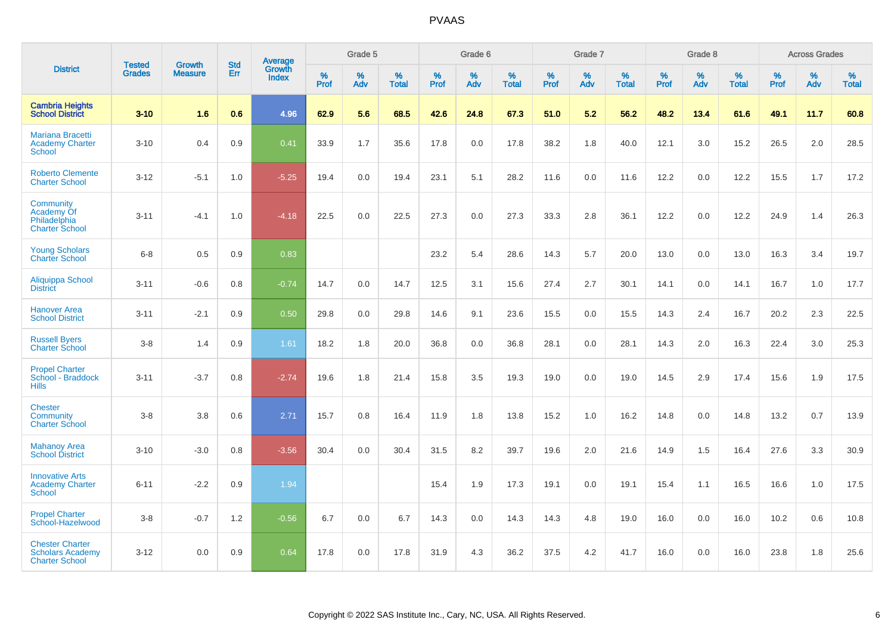|                                                                            | <b>Tested</b> | <b>Growth</b>  | <b>Std</b> | <b>Average</b>         |           | Grade 5  |                   |           | Grade 6  |                   |           | Grade 7  |                   |           | Grade 8  |                   |           | <b>Across Grades</b> |                   |
|----------------------------------------------------------------------------|---------------|----------------|------------|------------------------|-----------|----------|-------------------|-----------|----------|-------------------|-----------|----------|-------------------|-----------|----------|-------------------|-----------|----------------------|-------------------|
| <b>District</b>                                                            | <b>Grades</b> | <b>Measure</b> | Err        | Growth<br><b>Index</b> | %<br>Prof | %<br>Adv | %<br><b>Total</b> | %<br>Prof | %<br>Adv | %<br><b>Total</b> | %<br>Prof | %<br>Adv | %<br><b>Total</b> | %<br>Prof | %<br>Adv | %<br><b>Total</b> | %<br>Prof | %<br>Adv             | %<br><b>Total</b> |
| <b>Cambria Heights</b><br><b>School District</b>                           | $3 - 10$      | 1.6            | 0.6        | 4.96                   | 62.9      | 5.6      | 68.5              | 42.6      | 24.8     | 67.3              | 51.0      | 5.2      | 56.2              | 48.2      | 13.4     | 61.6              | 49.1      | 11.7                 | 60.8              |
| <b>Mariana Bracetti</b><br><b>Academy Charter</b><br><b>School</b>         | $3 - 10$      | 0.4            | 0.9        | 0.41                   | 33.9      | 1.7      | 35.6              | 17.8      | 0.0      | 17.8              | 38.2      | 1.8      | 40.0              | 12.1      | 3.0      | 15.2              | 26.5      | 2.0                  | 28.5              |
| <b>Roberto Clemente</b><br><b>Charter School</b>                           | $3 - 12$      | $-5.1$         | 1.0        | $-5.25$                | 19.4      | 0.0      | 19.4              | 23.1      | 5.1      | 28.2              | 11.6      | 0.0      | 11.6              | 12.2      | 0.0      | 12.2              | 15.5      | 1.7                  | 17.2              |
| Community<br>Academy Of<br>Philadelphia<br><b>Charter School</b>           | $3 - 11$      | $-4.1$         | 1.0        | $-4.18$                | 22.5      | 0.0      | 22.5              | 27.3      | 0.0      | 27.3              | 33.3      | 2.8      | 36.1              | 12.2      | 0.0      | 12.2              | 24.9      | 1.4                  | 26.3              |
| <b>Young Scholars</b><br><b>Charter School</b>                             | $6 - 8$       | 0.5            | 0.9        | 0.83                   |           |          |                   | 23.2      | 5.4      | 28.6              | 14.3      | 5.7      | 20.0              | 13.0      | 0.0      | 13.0              | 16.3      | 3.4                  | 19.7              |
| Aliquippa School<br><b>District</b>                                        | $3 - 11$      | $-0.6$         | 0.8        | $-0.74$                | 14.7      | 0.0      | 14.7              | 12.5      | 3.1      | 15.6              | 27.4      | 2.7      | 30.1              | 14.1      | 0.0      | 14.1              | 16.7      | 1.0                  | 17.7              |
| <b>Hanover Area</b><br><b>School District</b>                              | $3 - 11$      | $-2.1$         | 0.9        | 0.50                   | 29.8      | 0.0      | 29.8              | 14.6      | 9.1      | 23.6              | 15.5      | 0.0      | 15.5              | 14.3      | 2.4      | 16.7              | 20.2      | 2.3                  | 22.5              |
| <b>Russell Byers</b><br><b>Charter School</b>                              | $3 - 8$       | 1.4            | 0.9        | 1.61                   | 18.2      | 1.8      | 20.0              | 36.8      | 0.0      | 36.8              | 28.1      | 0.0      | 28.1              | 14.3      | 2.0      | 16.3              | 22.4      | 3.0                  | 25.3              |
| <b>Propel Charter</b><br>School - Braddock<br><b>Hills</b>                 | $3 - 11$      | $-3.7$         | 0.8        | $-2.74$                | 19.6      | 1.8      | 21.4              | 15.8      | 3.5      | 19.3              | 19.0      | 0.0      | 19.0              | 14.5      | 2.9      | 17.4              | 15.6      | 1.9                  | 17.5              |
| <b>Chester</b><br>Community<br><b>Charter School</b>                       | $3 - 8$       | 3.8            | 0.6        | 2.71                   | 15.7      | 0.8      | 16.4              | 11.9      | 1.8      | 13.8              | 15.2      | 1.0      | 16.2              | 14.8      | 0.0      | 14.8              | 13.2      | 0.7                  | 13.9              |
| <b>Mahanoy Area</b><br><b>School District</b>                              | $3 - 10$      | $-3.0$         | 0.8        | $-3.56$                | 30.4      | 0.0      | 30.4              | 31.5      | 8.2      | 39.7              | 19.6      | 2.0      | 21.6              | 14.9      | 1.5      | 16.4              | 27.6      | 3.3                  | 30.9              |
| <b>Innovative Arts</b><br><b>Academy Charter</b><br><b>School</b>          | $6 - 11$      | $-2.2$         | 0.9        | 1.94                   |           |          |                   | 15.4      | 1.9      | 17.3              | 19.1      | 0.0      | 19.1              | 15.4      | 1.1      | 16.5              | 16.6      | 1.0                  | 17.5              |
| <b>Propel Charter</b><br>School-Hazelwood                                  | $3 - 8$       | $-0.7$         | 1.2        | $-0.56$                | 6.7       | 0.0      | 6.7               | 14.3      | 0.0      | 14.3              | 14.3      | 4.8      | 19.0              | 16.0      | 0.0      | 16.0              | 10.2      | 0.6                  | 10.8              |
| <b>Chester Charter</b><br><b>Scholars Academy</b><br><b>Charter School</b> | $3 - 12$      | 0.0            | 0.9        | 0.64                   | 17.8      | 0.0      | 17.8              | 31.9      | 4.3      | 36.2              | 37.5      | 4.2      | 41.7              | 16.0      | 0.0      | 16.0              | 23.8      | 1.8                  | 25.6              |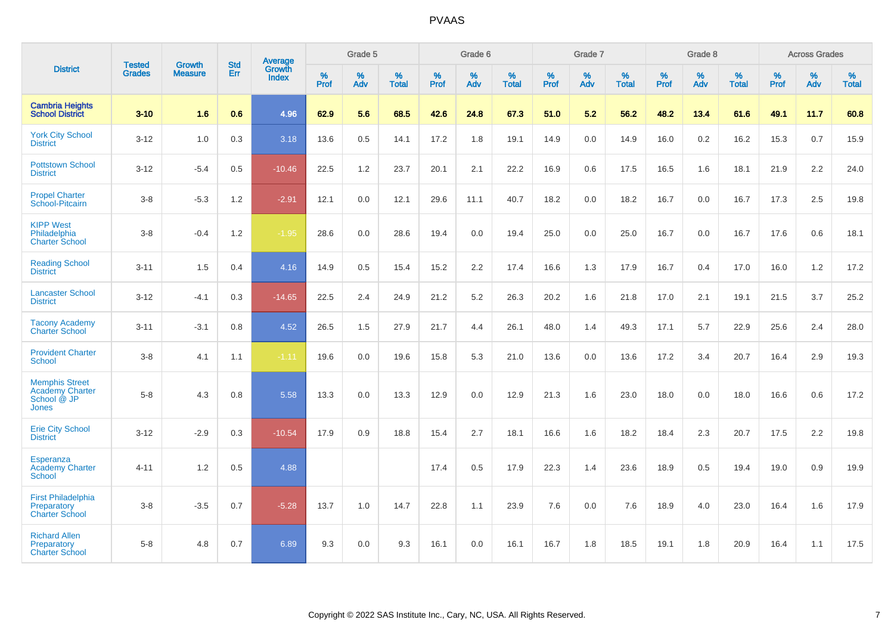|                                                                                |                                |                                 | <b>Std</b> | <b>Average</b>         |              | Grade 5  |                   |           | Grade 6  |                   |           | Grade 7  |                   |           | Grade 8  |                   |           | <b>Across Grades</b> |                   |
|--------------------------------------------------------------------------------|--------------------------------|---------------------------------|------------|------------------------|--------------|----------|-------------------|-----------|----------|-------------------|-----------|----------|-------------------|-----------|----------|-------------------|-----------|----------------------|-------------------|
| <b>District</b>                                                                | <b>Tested</b><br><b>Grades</b> | <b>Growth</b><br><b>Measure</b> | Err        | Growth<br><b>Index</b> | $\%$<br>Prof | %<br>Adv | %<br><b>Total</b> | %<br>Prof | %<br>Adv | %<br><b>Total</b> | %<br>Prof | %<br>Adv | %<br><b>Total</b> | %<br>Prof | %<br>Adv | %<br><b>Total</b> | %<br>Prof | %<br>Adv             | %<br><b>Total</b> |
| <b>Cambria Heights</b><br><b>School District</b>                               | $3 - 10$                       | 1.6                             | 0.6        | 4.96                   | 62.9         | 5.6      | 68.5              | 42.6      | 24.8     | 67.3              | 51.0      | 5.2      | 56.2              | 48.2      | 13.4     | 61.6              | 49.1      | 11.7                 | 60.8              |
| <b>York City School</b><br><b>District</b>                                     | $3 - 12$                       | 1.0                             | 0.3        | 3.18                   | 13.6         | 0.5      | 14.1              | 17.2      | 1.8      | 19.1              | 14.9      | 0.0      | 14.9              | 16.0      | 0.2      | 16.2              | 15.3      | 0.7                  | 15.9              |
| <b>Pottstown School</b><br><b>District</b>                                     | $3 - 12$                       | $-5.4$                          | 0.5        | $-10.46$               | 22.5         | 1.2      | 23.7              | 20.1      | 2.1      | 22.2              | 16.9      | 0.6      | 17.5              | 16.5      | 1.6      | 18.1              | 21.9      | 2.2                  | 24.0              |
| <b>Propel Charter</b><br>School-Pitcairn                                       | $3 - 8$                        | $-5.3$                          | 1.2        | $-2.91$                | 12.1         | 0.0      | 12.1              | 29.6      | 11.1     | 40.7              | 18.2      | 0.0      | 18.2              | 16.7      | 0.0      | 16.7              | 17.3      | 2.5                  | 19.8              |
| <b>KIPP West</b><br>Philadelphia<br><b>Charter School</b>                      | $3 - 8$                        | $-0.4$                          | 1.2        | $-1.95$                | 28.6         | 0.0      | 28.6              | 19.4      | 0.0      | 19.4              | 25.0      | 0.0      | 25.0              | 16.7      | 0.0      | 16.7              | 17.6      | 0.6                  | 18.1              |
| <b>Reading School</b><br><b>District</b>                                       | $3 - 11$                       | 1.5                             | 0.4        | 4.16                   | 14.9         | 0.5      | 15.4              | 15.2      | 2.2      | 17.4              | 16.6      | 1.3      | 17.9              | 16.7      | 0.4      | 17.0              | 16.0      | 1.2                  | 17.2              |
| <b>Lancaster School</b><br><b>District</b>                                     | $3 - 12$                       | $-4.1$                          | 0.3        | $-14.65$               | 22.5         | 2.4      | 24.9              | 21.2      | 5.2      | 26.3              | 20.2      | 1.6      | 21.8              | 17.0      | 2.1      | 19.1              | 21.5      | 3.7                  | 25.2              |
| <b>Tacony Academy</b><br><b>Charter School</b>                                 | $3 - 11$                       | $-3.1$                          | 0.8        | 4.52                   | 26.5         | 1.5      | 27.9              | 21.7      | 4.4      | 26.1              | 48.0      | 1.4      | 49.3              | 17.1      | 5.7      | 22.9              | 25.6      | 2.4                  | 28.0              |
| <b>Provident Charter</b><br><b>School</b>                                      | $3 - 8$                        | 4.1                             | 1.1        | $-1.11$                | 19.6         | 0.0      | 19.6              | 15.8      | 5.3      | 21.0              | 13.6      | 0.0      | 13.6              | 17.2      | 3.4      | 20.7              | 16.4      | 2.9                  | 19.3              |
| <b>Memphis Street</b><br><b>Academy Charter</b><br>School @ JP<br><b>Jones</b> | $5 - 8$                        | 4.3                             | 0.8        | 5.58                   | 13.3         | 0.0      | 13.3              | 12.9      | 0.0      | 12.9              | 21.3      | 1.6      | 23.0              | 18.0      | 0.0      | 18.0              | 16.6      | 0.6                  | 17.2              |
| <b>Erie City School</b><br><b>District</b>                                     | $3 - 12$                       | $-2.9$                          | 0.3        | $-10.54$               | 17.9         | 0.9      | 18.8              | 15.4      | 2.7      | 18.1              | 16.6      | 1.6      | 18.2              | 18.4      | 2.3      | 20.7              | 17.5      | 2.2                  | 19.8              |
| <b>Esperanza</b><br><b>Academy Charter</b><br><b>School</b>                    | $4 - 11$                       | 1.2                             | 0.5        | 4.88                   |              |          |                   | 17.4      | 0.5      | 17.9              | 22.3      | 1.4      | 23.6              | 18.9      | 0.5      | 19.4              | 19.0      | 0.9                  | 19.9              |
| <b>First Philadelphia</b><br>Preparatory<br><b>Charter School</b>              | $3 - 8$                        | $-3.5$                          | 0.7        | $-5.28$                | 13.7         | 1.0      | 14.7              | 22.8      | 1.1      | 23.9              | 7.6       | 0.0      | 7.6               | 18.9      | 4.0      | 23.0              | 16.4      | 1.6                  | 17.9              |
| <b>Richard Allen</b><br>Preparatory<br><b>Charter School</b>                   | $5-8$                          | 4.8                             | 0.7        | 6.89                   | 9.3          | 0.0      | 9.3               | 16.1      | 0.0      | 16.1              | 16.7      | 1.8      | 18.5              | 19.1      | 1.8      | 20.9              | 16.4      | 1.1                  | 17.5              |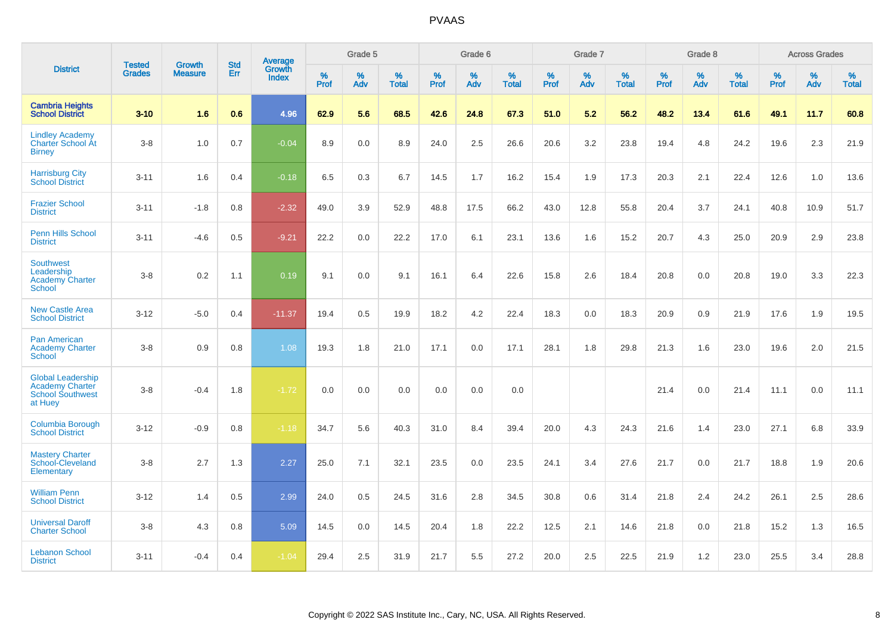|                                                                                          |                                |                                 | <b>Std</b> | Average                |           | Grade 5  |                   |           | Grade 6  |                   |           | Grade 7  |                   |           | Grade 8  |                   |           | <b>Across Grades</b> |                   |
|------------------------------------------------------------------------------------------|--------------------------------|---------------------------------|------------|------------------------|-----------|----------|-------------------|-----------|----------|-------------------|-----------|----------|-------------------|-----------|----------|-------------------|-----------|----------------------|-------------------|
| <b>District</b>                                                                          | <b>Tested</b><br><b>Grades</b> | <b>Growth</b><br><b>Measure</b> | Err        | Growth<br><b>Index</b> | %<br>Prof | %<br>Adv | %<br><b>Total</b> | %<br>Prof | %<br>Adv | %<br><b>Total</b> | %<br>Prof | %<br>Adv | %<br><b>Total</b> | %<br>Prof | %<br>Adv | %<br><b>Total</b> | %<br>Prof | %<br>Adv             | %<br><b>Total</b> |
| <b>Cambria Heights</b><br><b>School District</b>                                         | $3 - 10$                       | 1.6                             | 0.6        | 4.96                   | 62.9      | 5.6      | 68.5              | 42.6      | 24.8     | 67.3              | 51.0      | 5.2      | 56.2              | 48.2      | 13.4     | 61.6              | 49.1      | 11.7                 | 60.8              |
| <b>Lindley Academy</b><br>Charter School At<br><b>Birney</b>                             | $3-8$                          | 1.0                             | 0.7        | $-0.04$                | 8.9       | 0.0      | 8.9               | 24.0      | 2.5      | 26.6              | 20.6      | 3.2      | 23.8              | 19.4      | 4.8      | 24.2              | 19.6      | 2.3                  | 21.9              |
| <b>Harrisburg City</b><br><b>School District</b>                                         | $3 - 11$                       | 1.6                             | 0.4        | $-0.18$                | 6.5       | 0.3      | 6.7               | 14.5      | 1.7      | 16.2              | 15.4      | 1.9      | 17.3              | 20.3      | 2.1      | 22.4              | 12.6      | 1.0                  | 13.6              |
| <b>Frazier School</b><br><b>District</b>                                                 | $3 - 11$                       | $-1.8$                          | 0.8        | $-2.32$                | 49.0      | 3.9      | 52.9              | 48.8      | 17.5     | 66.2              | 43.0      | 12.8     | 55.8              | 20.4      | 3.7      | 24.1              | 40.8      | 10.9                 | 51.7              |
| <b>Penn Hills School</b><br><b>District</b>                                              | $3 - 11$                       | $-4.6$                          | 0.5        | $-9.21$                | 22.2      | 0.0      | 22.2              | 17.0      | 6.1      | 23.1              | 13.6      | 1.6      | 15.2              | 20.7      | 4.3      | 25.0              | 20.9      | 2.9                  | 23.8              |
| <b>Southwest</b><br>Leadership<br><b>Academy Charter</b><br><b>School</b>                | $3-8$                          | 0.2                             | 1.1        | 0.19                   | 9.1       | 0.0      | 9.1               | 16.1      | 6.4      | 22.6              | 15.8      | 2.6      | 18.4              | 20.8      | 0.0      | 20.8              | 19.0      | 3.3                  | 22.3              |
| <b>New Castle Area</b><br><b>School District</b>                                         | $3 - 12$                       | $-5.0$                          | 0.4        | $-11.37$               | 19.4      | 0.5      | 19.9              | 18.2      | 4.2      | 22.4              | 18.3      | 0.0      | 18.3              | 20.9      | 0.9      | 21.9              | 17.6      | 1.9                  | 19.5              |
| <b>Pan American</b><br><b>Academy Charter</b><br><b>School</b>                           | $3-8$                          | 0.9                             | 0.8        | 1.08                   | 19.3      | 1.8      | 21.0              | 17.1      | 0.0      | 17.1              | 28.1      | 1.8      | 29.8              | 21.3      | 1.6      | 23.0              | 19.6      | 2.0                  | 21.5              |
| <b>Global Leadership</b><br><b>Academy Charter</b><br><b>School Southwest</b><br>at Huey | $3-8$                          | $-0.4$                          | 1.8        | $-1.72$                | 0.0       | 0.0      | 0.0               | 0.0       | 0.0      | 0.0               |           |          |                   | 21.4      | 0.0      | 21.4              | 11.1      | 0.0                  | 11.1              |
| Columbia Borough<br><b>School District</b>                                               | $3 - 12$                       | $-0.9$                          | 0.8        | $-1.18$                | 34.7      | 5.6      | 40.3              | 31.0      | 8.4      | 39.4              | 20.0      | 4.3      | 24.3              | 21.6      | 1.4      | 23.0              | 27.1      | 6.8                  | 33.9              |
| <b>Mastery Charter</b><br>School-Cleveland<br>Elementary                                 | $3-8$                          | 2.7                             | 1.3        | 2.27                   | 25.0      | 7.1      | 32.1              | 23.5      | 0.0      | 23.5              | 24.1      | 3.4      | 27.6              | 21.7      | 0.0      | 21.7              | 18.8      | 1.9                  | 20.6              |
| <b>William Penn</b><br><b>School District</b>                                            | $3 - 12$                       | 1.4                             | 0.5        | 2.99                   | 24.0      | 0.5      | 24.5              | 31.6      | 2.8      | 34.5              | 30.8      | 0.6      | 31.4              | 21.8      | 2.4      | 24.2              | 26.1      | 2.5                  | 28.6              |
| <b>Universal Daroff</b><br><b>Charter School</b>                                         | $3-8$                          | 4.3                             | 0.8        | 5.09                   | 14.5      | 0.0      | 14.5              | 20.4      | 1.8      | 22.2              | 12.5      | 2.1      | 14.6              | 21.8      | 0.0      | 21.8              | 15.2      | 1.3                  | 16.5              |
| <b>Lebanon School</b><br><b>District</b>                                                 | $3 - 11$                       | $-0.4$                          | 0.4        | $-1.04$                | 29.4      | 2.5      | 31.9              | 21.7      | 5.5      | 27.2              | 20.0      | 2.5      | 22.5              | 21.9      | 1.2      | 23.0              | 25.5      | 3.4                  | 28.8              |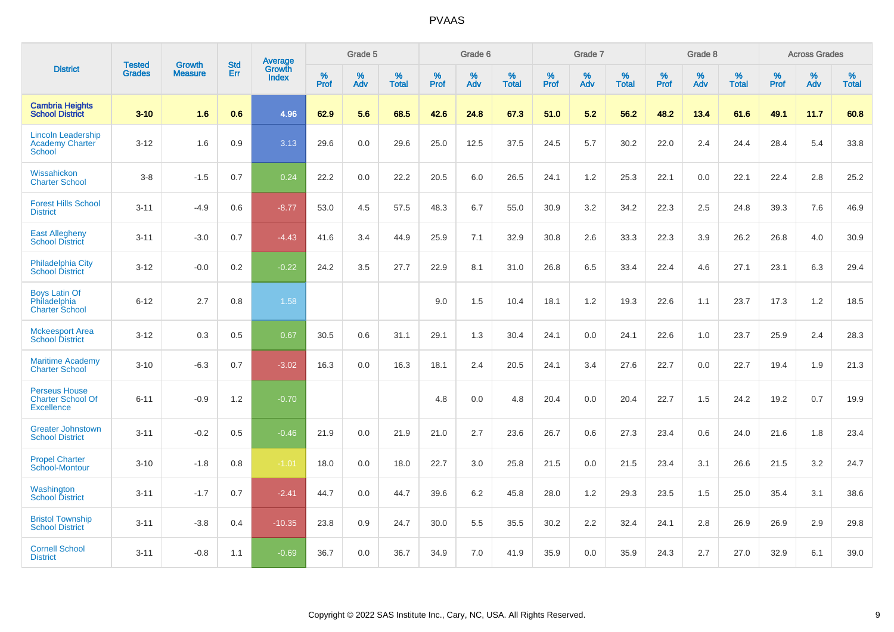|                                                                       | <b>Tested</b> | <b>Growth</b>  | <b>Std</b> | Average                       |           | Grade 5  |                   |           | Grade 6  |                   |           | Grade 7  |                   |           | Grade 8  |                   |           | <b>Across Grades</b> |                   |
|-----------------------------------------------------------------------|---------------|----------------|------------|-------------------------------|-----------|----------|-------------------|-----------|----------|-------------------|-----------|----------|-------------------|-----------|----------|-------------------|-----------|----------------------|-------------------|
| <b>District</b>                                                       | <b>Grades</b> | <b>Measure</b> | Err        | <b>Growth</b><br><b>Index</b> | %<br>Prof | %<br>Adv | %<br><b>Total</b> | %<br>Prof | %<br>Adv | %<br><b>Total</b> | %<br>Prof | %<br>Adv | %<br><b>Total</b> | %<br>Prof | %<br>Adv | %<br><b>Total</b> | %<br>Prof | %<br>Adv             | %<br><b>Total</b> |
| <b>Cambria Heights</b><br><b>School District</b>                      | $3 - 10$      | 1.6            | 0.6        | 4.96                          | 62.9      | 5.6      | 68.5              | 42.6      | 24.8     | 67.3              | 51.0      | 5.2      | 56.2              | 48.2      | 13.4     | 61.6              | 49.1      | 11.7                 | 60.8              |
| <b>Lincoln Leadership</b><br><b>Academy Charter</b><br><b>School</b>  | $3 - 12$      | 1.6            | 0.9        | 3.13                          | 29.6      | 0.0      | 29.6              | 25.0      | 12.5     | 37.5              | 24.5      | 5.7      | 30.2              | 22.0      | 2.4      | 24.4              | 28.4      | 5.4                  | 33.8              |
| Wissahickon<br><b>Charter School</b>                                  | $3 - 8$       | $-1.5$         | 0.7        | 0.24                          | 22.2      | 0.0      | 22.2              | 20.5      | 6.0      | 26.5              | 24.1      | 1.2      | 25.3              | 22.1      | 0.0      | 22.1              | 22.4      | 2.8                  | 25.2              |
| <b>Forest Hills School</b><br><b>District</b>                         | $3 - 11$      | $-4.9$         | 0.6        | $-8.77$                       | 53.0      | 4.5      | 57.5              | 48.3      | 6.7      | 55.0              | 30.9      | 3.2      | 34.2              | 22.3      | 2.5      | 24.8              | 39.3      | 7.6                  | 46.9              |
| <b>East Allegheny</b><br><b>School District</b>                       | $3 - 11$      | $-3.0$         | 0.7        | $-4.43$                       | 41.6      | 3.4      | 44.9              | 25.9      | 7.1      | 32.9              | 30.8      | 2.6      | 33.3              | 22.3      | 3.9      | 26.2              | 26.8      | 4.0                  | 30.9              |
| <b>Philadelphia City</b><br><b>School District</b>                    | $3 - 12$      | $-0.0$         | 0.2        | $-0.22$                       | 24.2      | 3.5      | 27.7              | 22.9      | 8.1      | 31.0              | 26.8      | 6.5      | 33.4              | 22.4      | 4.6      | 27.1              | 23.1      | 6.3                  | 29.4              |
| <b>Boys Latin Of</b><br>Philadelphia<br><b>Charter School</b>         | $6 - 12$      | 2.7            | 0.8        | 1.58                          |           |          |                   | 9.0       | 1.5      | 10.4              | 18.1      | 1.2      | 19.3              | 22.6      | 1.1      | 23.7              | 17.3      | 1.2                  | 18.5              |
| <b>Mckeesport Area</b><br><b>School District</b>                      | $3 - 12$      | 0.3            | 0.5        | 0.67                          | 30.5      | 0.6      | 31.1              | 29.1      | 1.3      | 30.4              | 24.1      | 0.0      | 24.1              | 22.6      | 1.0      | 23.7              | 25.9      | 2.4                  | 28.3              |
| <b>Maritime Academy</b><br><b>Charter School</b>                      | $3 - 10$      | $-6.3$         | 0.7        | $-3.02$                       | 16.3      | 0.0      | 16.3              | 18.1      | 2.4      | 20.5              | 24.1      | 3.4      | 27.6              | 22.7      | 0.0      | 22.7              | 19.4      | 1.9                  | 21.3              |
| <b>Perseus House</b><br><b>Charter School Of</b><br><b>Excellence</b> | $6 - 11$      | $-0.9$         | 1.2        | $-0.70$                       |           |          |                   | 4.8       | 0.0      | 4.8               | 20.4      | 0.0      | 20.4              | 22.7      | 1.5      | 24.2              | 19.2      | 0.7                  | 19.9              |
| <b>Greater Johnstown</b><br><b>School District</b>                    | $3 - 11$      | $-0.2$         | 0.5        | $-0.46$                       | 21.9      | 0.0      | 21.9              | 21.0      | 2.7      | 23.6              | 26.7      | 0.6      | 27.3              | 23.4      | 0.6      | 24.0              | 21.6      | 1.8                  | 23.4              |
| <b>Propel Charter</b><br>School-Montour                               | $3 - 10$      | $-1.8$         | 0.8        | $-1.01$                       | 18.0      | 0.0      | 18.0              | 22.7      | 3.0      | 25.8              | 21.5      | 0.0      | 21.5              | 23.4      | 3.1      | 26.6              | 21.5      | 3.2                  | 24.7              |
| Washington<br><b>School District</b>                                  | $3 - 11$      | $-1.7$         | 0.7        | $-2.41$                       | 44.7      | 0.0      | 44.7              | 39.6      | 6.2      | 45.8              | 28.0      | 1.2      | 29.3              | 23.5      | 1.5      | 25.0              | 35.4      | 3.1                  | 38.6              |
| <b>Bristol Township</b><br><b>School District</b>                     | $3 - 11$      | $-3.8$         | 0.4        | $-10.35$                      | 23.8      | 0.9      | 24.7              | 30.0      | 5.5      | 35.5              | 30.2      | 2.2      | 32.4              | 24.1      | 2.8      | 26.9              | 26.9      | 2.9                  | 29.8              |
| <b>Cornell School</b><br><b>District</b>                              | $3 - 11$      | $-0.8$         | 1.1        | $-0.69$                       | 36.7      | 0.0      | 36.7              | 34.9      | 7.0      | 41.9              | 35.9      | 0.0      | 35.9              | 24.3      | 2.7      | 27.0              | 32.9      | 6.1                  | 39.0              |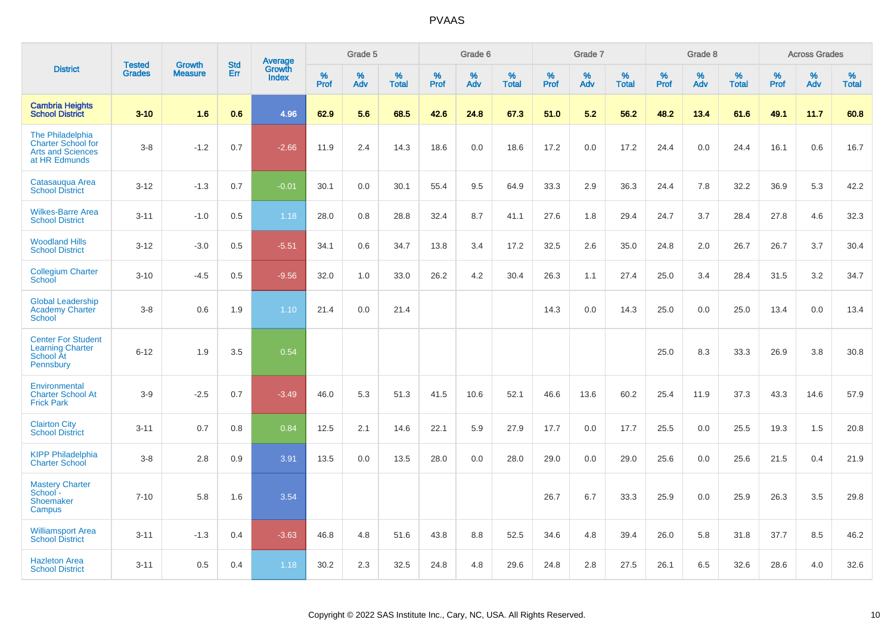|                                                                                            |                                | <b>Growth</b>  |                   |                                   |                     | Grade 5  |                      |              | Grade 6  |                   |              | Grade 7  |                   |              | Grade 8  |                      |              | <b>Across Grades</b> |                   |
|--------------------------------------------------------------------------------------------|--------------------------------|----------------|-------------------|-----------------------------------|---------------------|----------|----------------------|--------------|----------|-------------------|--------------|----------|-------------------|--------------|----------|----------------------|--------------|----------------------|-------------------|
| <b>District</b>                                                                            | <b>Tested</b><br><b>Grades</b> | <b>Measure</b> | <b>Std</b><br>Err | Average<br>Growth<br><b>Index</b> | $\%$<br><b>Prof</b> | %<br>Adv | $\%$<br><b>Total</b> | $\%$<br>Prof | %<br>Adv | %<br><b>Total</b> | $\%$<br>Prof | %<br>Adv | %<br><b>Total</b> | $\%$<br>Prof | %<br>Adv | $\%$<br><b>Total</b> | $\%$<br>Prof | $\%$<br>Adv          | %<br><b>Total</b> |
| <b>Cambria Heights</b><br><b>School District</b>                                           | $3 - 10$                       | 1.6            | 0.6               | 4.96                              | 62.9                | 5.6      | 68.5                 | 42.6         | 24.8     | 67.3              | 51.0         | 5.2      | 56.2              | 48.2         | 13.4     | 61.6                 | 49.1         | 11.7                 | 60.8              |
| The Philadelphia<br><b>Charter School for</b><br><b>Arts and Sciences</b><br>at HR Edmunds | $3-8$                          | $-1.2$         | 0.7               | $-2.66$                           | 11.9                | 2.4      | 14.3                 | 18.6         | 0.0      | 18.6              | 17.2         | 0.0      | 17.2              | 24.4         | 0.0      | 24.4                 | 16.1         | 0.6                  | 16.7              |
| Catasauqua Area<br><b>School District</b>                                                  | $3 - 12$                       | $-1.3$         | 0.7               | $-0.01$                           | 30.1                | 0.0      | 30.1                 | 55.4         | 9.5      | 64.9              | 33.3         | 2.9      | 36.3              | 24.4         | 7.8      | 32.2                 | 36.9         | 5.3                  | 42.2              |
| <b>Wilkes-Barre Area</b><br><b>School District</b>                                         | $3 - 11$                       | $-1.0$         | 0.5               | 1.18                              | 28.0                | 0.8      | 28.8                 | 32.4         | 8.7      | 41.1              | 27.6         | 1.8      | 29.4              | 24.7         | 3.7      | 28.4                 | 27.8         | 4.6                  | 32.3              |
| <b>Woodland Hills</b><br><b>School District</b>                                            | $3 - 12$                       | $-3.0$         | 0.5               | $-5.51$                           | 34.1                | 0.6      | 34.7                 | 13.8         | 3.4      | 17.2              | 32.5         | 2.6      | 35.0              | 24.8         | 2.0      | 26.7                 | 26.7         | 3.7                  | 30.4              |
| <b>Collegium Charter</b><br><b>School</b>                                                  | $3 - 10$                       | $-4.5$         | 0.5               | $-9.56$                           | 32.0                | 1.0      | 33.0                 | 26.2         | 4.2      | 30.4              | 26.3         | 1.1      | 27.4              | 25.0         | 3.4      | 28.4                 | 31.5         | 3.2                  | 34.7              |
| <b>Global Leadership</b><br><b>Academy Charter</b><br><b>School</b>                        | $3-8$                          | 0.6            | 1.9               | 1.10                              | 21.4                | 0.0      | 21.4                 |              |          |                   | 14.3         | 0.0      | 14.3              | 25.0         | 0.0      | 25.0                 | 13.4         | 0.0                  | 13.4              |
| <b>Center For Student</b><br><b>Learning Charter</b><br><b>School At</b><br>Pennsbury      | $6 - 12$                       | 1.9            | 3.5               | 0.54                              |                     |          |                      |              |          |                   |              |          |                   | 25.0         | 8.3      | 33.3                 | 26.9         | 3.8                  | 30.8              |
| Environmental<br><b>Charter School At</b><br><b>Frick Park</b>                             | $3-9$                          | $-2.5$         | 0.7               | $-3.49$                           | 46.0                | 5.3      | 51.3                 | 41.5         | 10.6     | 52.1              | 46.6         | 13.6     | 60.2              | 25.4         | 11.9     | 37.3                 | 43.3         | 14.6                 | 57.9              |
| <b>Clairton City</b><br><b>School District</b>                                             | $3 - 11$                       | 0.7            | 0.8               | 0.84                              | 12.5                | 2.1      | 14.6                 | 22.1         | 5.9      | 27.9              | 17.7         | 0.0      | 17.7              | 25.5         | 0.0      | 25.5                 | 19.3         | 1.5                  | 20.8              |
| <b>KIPP Philadelphia</b><br><b>Charter School</b>                                          | $3-8$                          | 2.8            | 0.9               | 3.91                              | 13.5                | 0.0      | 13.5                 | 28.0         | 0.0      | 28.0              | 29.0         | 0.0      | 29.0              | 25.6         | 0.0      | 25.6                 | 21.5         | 0.4                  | 21.9              |
| <b>Mastery Charter</b><br>School-<br>Shoemaker<br>Campus                                   | $7 - 10$                       | 5.8            | 1.6               | 3.54                              |                     |          |                      |              |          |                   | 26.7         | 6.7      | 33.3              | 25.9         | 0.0      | 25.9                 | 26.3         | 3.5                  | 29.8              |
| <b>Williamsport Area</b><br><b>School District</b>                                         | $3 - 11$                       | $-1.3$         | 0.4               | $-3.63$                           | 46.8                | 4.8      | 51.6                 | 43.8         | 8.8      | 52.5              | 34.6         | 4.8      | 39.4              | 26.0         | 5.8      | 31.8                 | 37.7         | 8.5                  | 46.2              |
| <b>Hazleton Area</b><br><b>School District</b>                                             | $3 - 11$                       | 0.5            | 0.4               | 1.18                              | 30.2                | 2.3      | 32.5                 | 24.8         | 4.8      | 29.6              | 24.8         | 2.8      | 27.5              | 26.1         | 6.5      | 32.6                 | 28.6         | 4.0                  | 32.6              |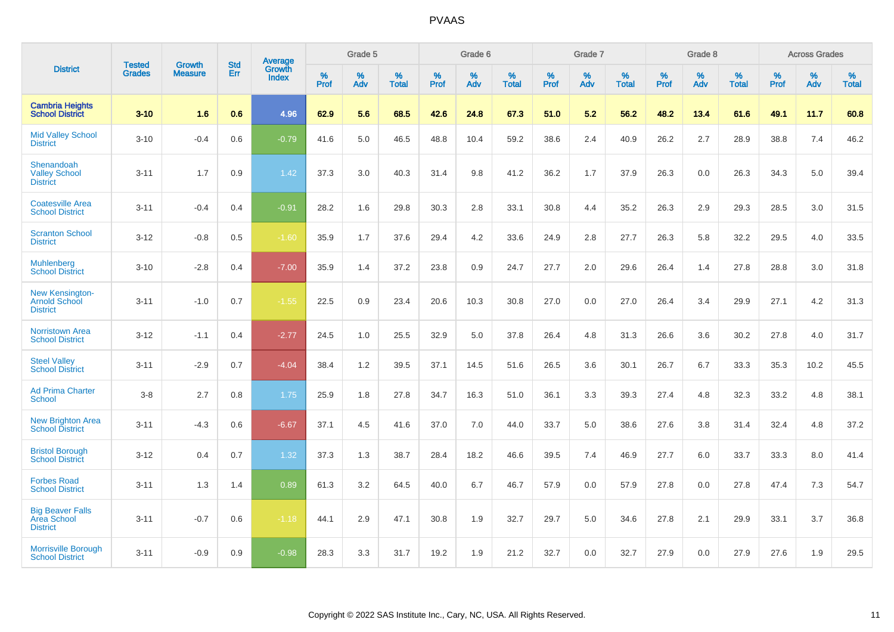|                                                                   |                                |                                 | <b>Std</b> | Average                |           | Grade 5  |                   |           | Grade 6  |                   |           | Grade 7  |                   |           | Grade 8  |                   |           | <b>Across Grades</b> |                   |
|-------------------------------------------------------------------|--------------------------------|---------------------------------|------------|------------------------|-----------|----------|-------------------|-----------|----------|-------------------|-----------|----------|-------------------|-----------|----------|-------------------|-----------|----------------------|-------------------|
| <b>District</b>                                                   | <b>Tested</b><br><b>Grades</b> | <b>Growth</b><br><b>Measure</b> | Err        | Growth<br><b>Index</b> | %<br>Prof | %<br>Adv | %<br><b>Total</b> | %<br>Prof | %<br>Adv | %<br><b>Total</b> | %<br>Prof | %<br>Adv | %<br><b>Total</b> | %<br>Prof | %<br>Adv | %<br><b>Total</b> | %<br>Prof | %<br>Adv             | %<br><b>Total</b> |
| <b>Cambria Heights</b><br><b>School District</b>                  | $3 - 10$                       | 1.6                             | 0.6        | 4.96                   | 62.9      | 5.6      | 68.5              | 42.6      | 24.8     | 67.3              | 51.0      | 5.2      | 56.2              | 48.2      | 13.4     | 61.6              | 49.1      | 11.7                 | 60.8              |
| <b>Mid Valley School</b><br><b>District</b>                       | $3 - 10$                       | $-0.4$                          | 0.6        | $-0.79$                | 41.6      | 5.0      | 46.5              | 48.8      | 10.4     | 59.2              | 38.6      | 2.4      | 40.9              | 26.2      | 2.7      | 28.9              | 38.8      | 7.4                  | 46.2              |
| Shenandoah<br><b>Valley School</b><br><b>District</b>             | $3 - 11$                       | 1.7                             | 0.9        | 1.42                   | 37.3      | 3.0      | 40.3              | 31.4      | 9.8      | 41.2              | 36.2      | 1.7      | 37.9              | 26.3      | 0.0      | 26.3              | 34.3      | 5.0                  | 39.4              |
| <b>Coatesville Area</b><br><b>School District</b>                 | $3 - 11$                       | $-0.4$                          | 0.4        | $-0.91$                | 28.2      | 1.6      | 29.8              | 30.3      | 2.8      | 33.1              | 30.8      | 4.4      | 35.2              | 26.3      | 2.9      | 29.3              | 28.5      | 3.0                  | 31.5              |
| <b>Scranton School</b><br><b>District</b>                         | $3 - 12$                       | $-0.8$                          | 0.5        | $-1.60$                | 35.9      | 1.7      | 37.6              | 29.4      | 4.2      | 33.6              | 24.9      | 2.8      | 27.7              | 26.3      | 5.8      | 32.2              | 29.5      | 4.0                  | 33.5              |
| <b>Muhlenberg</b><br><b>School District</b>                       | $3 - 10$                       | $-2.8$                          | 0.4        | $-7.00$                | 35.9      | 1.4      | 37.2              | 23.8      | 0.9      | 24.7              | 27.7      | 2.0      | 29.6              | 26.4      | 1.4      | 27.8              | 28.8      | 3.0                  | 31.8              |
| <b>New Kensington-</b><br><b>Arnold School</b><br><b>District</b> | $3 - 11$                       | $-1.0$                          | 0.7        | $-1.55$                | 22.5      | 0.9      | 23.4              | 20.6      | 10.3     | 30.8              | 27.0      | 0.0      | 27.0              | 26.4      | 3.4      | 29.9              | 27.1      | 4.2                  | 31.3              |
| <b>Norristown Area</b><br><b>School District</b>                  | $3 - 12$                       | $-1.1$                          | 0.4        | $-2.77$                | 24.5      | 1.0      | 25.5              | 32.9      | 5.0      | 37.8              | 26.4      | 4.8      | 31.3              | 26.6      | 3.6      | 30.2              | 27.8      | 4.0                  | 31.7              |
| <b>Steel Valley</b><br><b>School District</b>                     | $3 - 11$                       | $-2.9$                          | 0.7        | $-4.04$                | 38.4      | 1.2      | 39.5              | 37.1      | 14.5     | 51.6              | 26.5      | 3.6      | 30.1              | 26.7      | 6.7      | 33.3              | 35.3      | 10.2                 | 45.5              |
| <b>Ad Prima Charter</b><br><b>School</b>                          | $3 - 8$                        | 2.7                             | 0.8        | 1.75                   | 25.9      | 1.8      | 27.8              | 34.7      | 16.3     | 51.0              | 36.1      | 3.3      | 39.3              | 27.4      | 4.8      | 32.3              | 33.2      | 4.8                  | 38.1              |
| <b>New Brighton Area</b><br><b>School District</b>                | $3 - 11$                       | $-4.3$                          | 0.6        | $-6.67$                | 37.1      | 4.5      | 41.6              | 37.0      | 7.0      | 44.0              | 33.7      | 5.0      | 38.6              | 27.6      | 3.8      | 31.4              | 32.4      | 4.8                  | 37.2              |
| <b>Bristol Borough</b><br><b>School District</b>                  | $3 - 12$                       | 0.4                             | 0.7        | 1.32                   | 37.3      | 1.3      | 38.7              | 28.4      | 18.2     | 46.6              | 39.5      | 7.4      | 46.9              | 27.7      | 6.0      | 33.7              | 33.3      | 8.0                  | 41.4              |
| <b>Forbes Road</b><br><b>School District</b>                      | $3 - 11$                       | 1.3                             | 1.4        | 0.89                   | 61.3      | 3.2      | 64.5              | 40.0      | 6.7      | 46.7              | 57.9      | 0.0      | 57.9              | 27.8      | 0.0      | 27.8              | 47.4      | 7.3                  | 54.7              |
| <b>Big Beaver Falls</b><br>Area School<br><b>District</b>         | $3 - 11$                       | $-0.7$                          | 0.6        | $-1.18$                | 44.1      | 2.9      | 47.1              | 30.8      | 1.9      | 32.7              | 29.7      | 5.0      | 34.6              | 27.8      | 2.1      | 29.9              | 33.1      | 3.7                  | 36.8              |
| <b>Morrisville Borough</b><br><b>School District</b>              | $3 - 11$                       | $-0.9$                          | 0.9        | $-0.98$                | 28.3      | 3.3      | 31.7              | 19.2      | 1.9      | 21.2              | 32.7      | 0.0      | 32.7              | 27.9      | 0.0      | 27.9              | 27.6      | 1.9                  | 29.5              |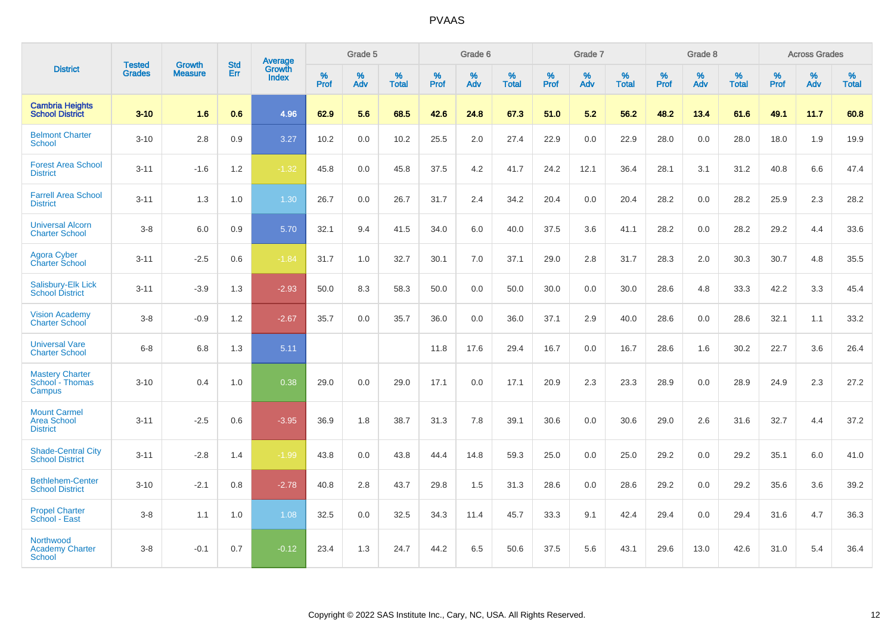|                                                              |                                |                                 | <b>Std</b> | Average                |           | Grade 5  |                   |           | Grade 6  |                   |           | Grade 7  |                   |           | Grade 8  |                   |           | <b>Across Grades</b> |                   |
|--------------------------------------------------------------|--------------------------------|---------------------------------|------------|------------------------|-----------|----------|-------------------|-----------|----------|-------------------|-----------|----------|-------------------|-----------|----------|-------------------|-----------|----------------------|-------------------|
| <b>District</b>                                              | <b>Tested</b><br><b>Grades</b> | <b>Growth</b><br><b>Measure</b> | Err        | Growth<br><b>Index</b> | %<br>Prof | %<br>Adv | %<br><b>Total</b> | %<br>Prof | %<br>Adv | %<br><b>Total</b> | %<br>Prof | %<br>Adv | %<br><b>Total</b> | %<br>Prof | %<br>Adv | %<br><b>Total</b> | %<br>Prof | %<br>Adv             | %<br><b>Total</b> |
| <b>Cambria Heights</b><br><b>School District</b>             | $3 - 10$                       | 1.6                             | 0.6        | 4.96                   | 62.9      | 5.6      | 68.5              | 42.6      | 24.8     | 67.3              | 51.0      | 5.2      | 56.2              | 48.2      | 13.4     | 61.6              | 49.1      | 11.7                 | 60.8              |
| <b>Belmont Charter</b><br>School                             | $3 - 10$                       | 2.8                             | 0.9        | 3.27                   | 10.2      | 0.0      | 10.2              | 25.5      | 2.0      | 27.4              | 22.9      | 0.0      | 22.9              | 28.0      | 0.0      | 28.0              | 18.0      | 1.9                  | 19.9              |
| <b>Forest Area School</b><br><b>District</b>                 | $3 - 11$                       | $-1.6$                          | 1.2        | $-1.32$                | 45.8      | 0.0      | 45.8              | 37.5      | 4.2      | 41.7              | 24.2      | 12.1     | 36.4              | 28.1      | 3.1      | 31.2              | 40.8      | 6.6                  | 47.4              |
| <b>Farrell Area School</b><br><b>District</b>                | $3 - 11$                       | 1.3                             | 1.0        | 1.30                   | 26.7      | 0.0      | 26.7              | 31.7      | 2.4      | 34.2              | 20.4      | 0.0      | 20.4              | 28.2      | 0.0      | 28.2              | 25.9      | 2.3                  | 28.2              |
| <b>Universal Alcorn</b><br><b>Charter School</b>             | $3-8$                          | 6.0                             | 0.9        | 5.70                   | 32.1      | 9.4      | 41.5              | 34.0      | 6.0      | 40.0              | 37.5      | 3.6      | 41.1              | 28.2      | 0.0      | 28.2              | 29.2      | 4.4                  | 33.6              |
| Agora Cyber<br>Charter School                                | $3 - 11$                       | $-2.5$                          | 0.6        | $-1.84$                | 31.7      | 1.0      | 32.7              | 30.1      | 7.0      | 37.1              | 29.0      | 2.8      | 31.7              | 28.3      | 2.0      | 30.3              | 30.7      | 4.8                  | 35.5              |
| Salisbury-Elk Lick<br><b>School District</b>                 | $3 - 11$                       | $-3.9$                          | 1.3        | $-2.93$                | 50.0      | 8.3      | 58.3              | 50.0      | 0.0      | 50.0              | 30.0      | 0.0      | 30.0              | 28.6      | 4.8      | 33.3              | 42.2      | 3.3                  | 45.4              |
| <b>Vision Academy</b><br><b>Charter School</b>               | $3 - 8$                        | $-0.9$                          | 1.2        | $-2.67$                | 35.7      | 0.0      | 35.7              | 36.0      | 0.0      | 36.0              | 37.1      | 2.9      | 40.0              | 28.6      | 0.0      | 28.6              | 32.1      | 1.1                  | 33.2              |
| <b>Universal Vare</b><br><b>Charter School</b>               | $6 - 8$                        | 6.8                             | 1.3        | 5.11                   |           |          |                   | 11.8      | 17.6     | 29.4              | 16.7      | 0.0      | 16.7              | 28.6      | 1.6      | 30.2              | 22.7      | 3.6                  | 26.4              |
| <b>Mastery Charter</b><br>School - Thomas<br>Campus          | $3 - 10$                       | 0.4                             | 1.0        | 0.38                   | 29.0      | 0.0      | 29.0              | 17.1      | 0.0      | 17.1              | 20.9      | 2.3      | 23.3              | 28.9      | 0.0      | 28.9              | 24.9      | 2.3                  | 27.2              |
| <b>Mount Carmel</b><br><b>Area School</b><br><b>District</b> | $3 - 11$                       | $-2.5$                          | 0.6        | $-3.95$                | 36.9      | 1.8      | 38.7              | 31.3      | 7.8      | 39.1              | 30.6      | 0.0      | 30.6              | 29.0      | 2.6      | 31.6              | 32.7      | 4.4                  | 37.2              |
| <b>Shade-Central City</b><br><b>School District</b>          | $3 - 11$                       | $-2.8$                          | 1.4        | $-1.99$                | 43.8      | 0.0      | 43.8              | 44.4      | 14.8     | 59.3              | 25.0      | 0.0      | 25.0              | 29.2      | 0.0      | 29.2              | 35.1      | 6.0                  | 41.0              |
| <b>Bethlehem-Center</b><br><b>School District</b>            | $3 - 10$                       | $-2.1$                          | 0.8        | $-2.78$                | 40.8      | 2.8      | 43.7              | 29.8      | 1.5      | 31.3              | 28.6      | 0.0      | 28.6              | 29.2      | 0.0      | 29.2              | 35.6      | 3.6                  | 39.2              |
| <b>Propel Charter</b><br>School - East                       | $3 - 8$                        | 1.1                             | 1.0        | 1.08                   | 32.5      | 0.0      | 32.5              | 34.3      | 11.4     | 45.7              | 33.3      | 9.1      | 42.4              | 29.4      | 0.0      | 29.4              | 31.6      | 4.7                  | 36.3              |
| Northwood<br><b>Academy Charter</b><br><b>School</b>         | $3 - 8$                        | $-0.1$                          | 0.7        | $-0.12$                | 23.4      | 1.3      | 24.7              | 44.2      | 6.5      | 50.6              | 37.5      | 5.6      | 43.1              | 29.6      | 13.0     | 42.6              | 31.0      | 5.4                  | 36.4              |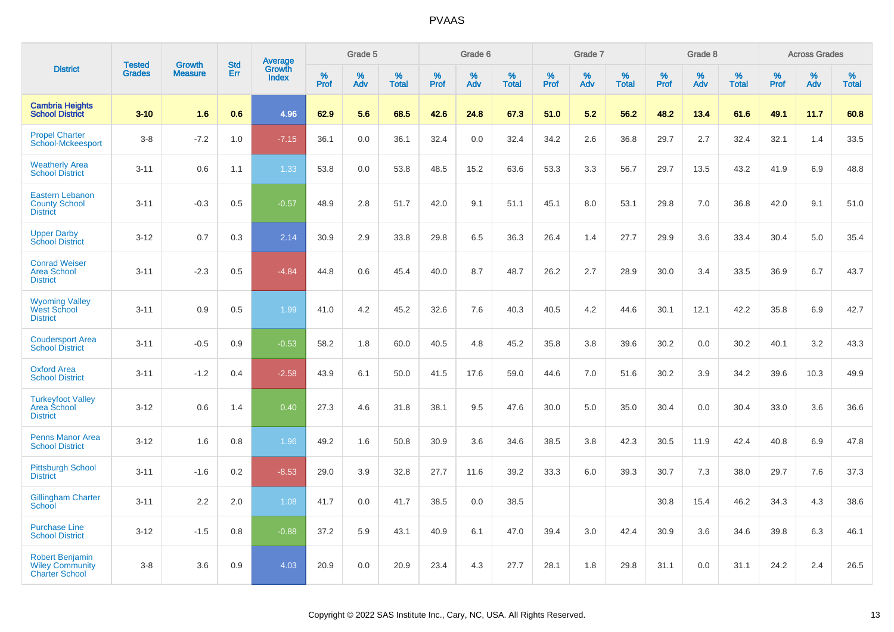|                                                                           |                                |                                 |                   |                                          |                     | Grade 5  |                   |           | Grade 6  |                   |           | Grade 7  |                   |           | Grade 8  |                   |           | <b>Across Grades</b> |                   |
|---------------------------------------------------------------------------|--------------------------------|---------------------------------|-------------------|------------------------------------------|---------------------|----------|-------------------|-----------|----------|-------------------|-----------|----------|-------------------|-----------|----------|-------------------|-----------|----------------------|-------------------|
| <b>District</b>                                                           | <b>Tested</b><br><b>Grades</b> | <b>Growth</b><br><b>Measure</b> | <b>Std</b><br>Err | <b>Average</b><br>Growth<br><b>Index</b> | $\%$<br><b>Prof</b> | %<br>Adv | %<br><b>Total</b> | %<br>Prof | %<br>Adv | %<br><b>Total</b> | %<br>Prof | %<br>Adv | %<br><b>Total</b> | %<br>Prof | %<br>Adv | %<br><b>Total</b> | %<br>Prof | %<br>Adv             | %<br><b>Total</b> |
| <b>Cambria Heights</b><br><b>School District</b>                          | $3 - 10$                       | 1.6                             | 0.6               | 4.96                                     | 62.9                | 5.6      | 68.5              | 42.6      | 24.8     | 67.3              | 51.0      | 5.2      | 56.2              | 48.2      | 13.4     | 61.6              | 49.1      | 11.7                 | 60.8              |
| <b>Propel Charter</b><br><b>School-Mckeesport</b>                         | $3-8$                          | $-7.2$                          | 1.0               | $-7.15$                                  | 36.1                | 0.0      | 36.1              | 32.4      | 0.0      | 32.4              | 34.2      | 2.6      | 36.8              | 29.7      | 2.7      | 32.4              | 32.1      | 1.4                  | 33.5              |
| <b>Weatherly Area</b><br><b>School District</b>                           | $3 - 11$                       | 0.6                             | 1.1               | 1.33                                     | 53.8                | 0.0      | 53.8              | 48.5      | 15.2     | 63.6              | 53.3      | 3.3      | 56.7              | 29.7      | 13.5     | 43.2              | 41.9      | 6.9                  | 48.8              |
| <b>Eastern Lebanon</b><br><b>County School</b><br><b>District</b>         | $3 - 11$                       | $-0.3$                          | 0.5               | $-0.57$                                  | 48.9                | 2.8      | 51.7              | 42.0      | 9.1      | 51.1              | 45.1      | 8.0      | 53.1              | 29.8      | 7.0      | 36.8              | 42.0      | 9.1                  | 51.0              |
| <b>Upper Darby</b><br><b>School District</b>                              | $3 - 12$                       | 0.7                             | 0.3               | 2.14                                     | 30.9                | 2.9      | 33.8              | 29.8      | 6.5      | 36.3              | 26.4      | 1.4      | 27.7              | 29.9      | 3.6      | 33.4              | 30.4      | 5.0                  | 35.4              |
| <b>Conrad Weiser</b><br><b>Area School</b><br><b>District</b>             | $3 - 11$                       | $-2.3$                          | 0.5               | $-4.84$                                  | 44.8                | 0.6      | 45.4              | 40.0      | 8.7      | 48.7              | 26.2      | 2.7      | 28.9              | 30.0      | 3.4      | 33.5              | 36.9      | 6.7                  | 43.7              |
| <b>Wyoming Valley</b><br><b>West School</b><br><b>District</b>            | $3 - 11$                       | 0.9                             | 0.5               | 1.99                                     | 41.0                | 4.2      | 45.2              | 32.6      | 7.6      | 40.3              | 40.5      | 4.2      | 44.6              | 30.1      | 12.1     | 42.2              | 35.8      | 6.9                  | 42.7              |
| <b>Coudersport Area</b><br><b>School District</b>                         | $3 - 11$                       | $-0.5$                          | 0.9               | $-0.53$                                  | 58.2                | 1.8      | 60.0              | 40.5      | 4.8      | 45.2              | 35.8      | 3.8      | 39.6              | 30.2      | 0.0      | 30.2              | 40.1      | 3.2                  | 43.3              |
| <b>Oxford Area</b><br><b>School District</b>                              | $3 - 11$                       | $-1.2$                          | 0.4               | $-2.58$                                  | 43.9                | 6.1      | 50.0              | 41.5      | 17.6     | 59.0              | 44.6      | 7.0      | 51.6              | 30.2      | 3.9      | 34.2              | 39.6      | 10.3                 | 49.9              |
| <b>Turkeyfoot Valley</b><br>Area School<br><b>District</b>                | $3 - 12$                       | 0.6                             | 1.4               | 0.40                                     | 27.3                | 4.6      | 31.8              | 38.1      | 9.5      | 47.6              | 30.0      | 5.0      | 35.0              | 30.4      | 0.0      | 30.4              | 33.0      | 3.6                  | 36.6              |
| <b>Penns Manor Area</b><br><b>School District</b>                         | $3 - 12$                       | 1.6                             | 0.8               | 1.96                                     | 49.2                | 1.6      | 50.8              | 30.9      | 3.6      | 34.6              | 38.5      | 3.8      | 42.3              | 30.5      | 11.9     | 42.4              | 40.8      | 6.9                  | 47.8              |
| <b>Pittsburgh School</b><br><b>District</b>                               | $3 - 11$                       | $-1.6$                          | 0.2               | $-8.53$                                  | 29.0                | 3.9      | 32.8              | 27.7      | 11.6     | 39.2              | 33.3      | 6.0      | 39.3              | 30.7      | 7.3      | 38.0              | 29.7      | 7.6                  | 37.3              |
| <b>Gillingham Charter</b><br>School                                       | $3 - 11$                       | 2.2                             | 2.0               | 1.08                                     | 41.7                | 0.0      | 41.7              | 38.5      | 0.0      | 38.5              |           |          |                   | 30.8      | 15.4     | 46.2              | 34.3      | 4.3                  | 38.6              |
| <b>Purchase Line</b><br><b>School District</b>                            | $3 - 12$                       | $-1.5$                          | 0.8               | $-0.88$                                  | 37.2                | 5.9      | 43.1              | 40.9      | 6.1      | 47.0              | 39.4      | 3.0      | 42.4              | 30.9      | 3.6      | 34.6              | 39.8      | 6.3                  | 46.1              |
| <b>Robert Benjamin</b><br><b>Wiley Community</b><br><b>Charter School</b> | $3-8$                          | 3.6                             | 0.9               | 4.03                                     | 20.9                | 0.0      | 20.9              | 23.4      | 4.3      | 27.7              | 28.1      | 1.8      | 29.8              | 31.1      | 0.0      | 31.1              | 24.2      | 2.4                  | 26.5              |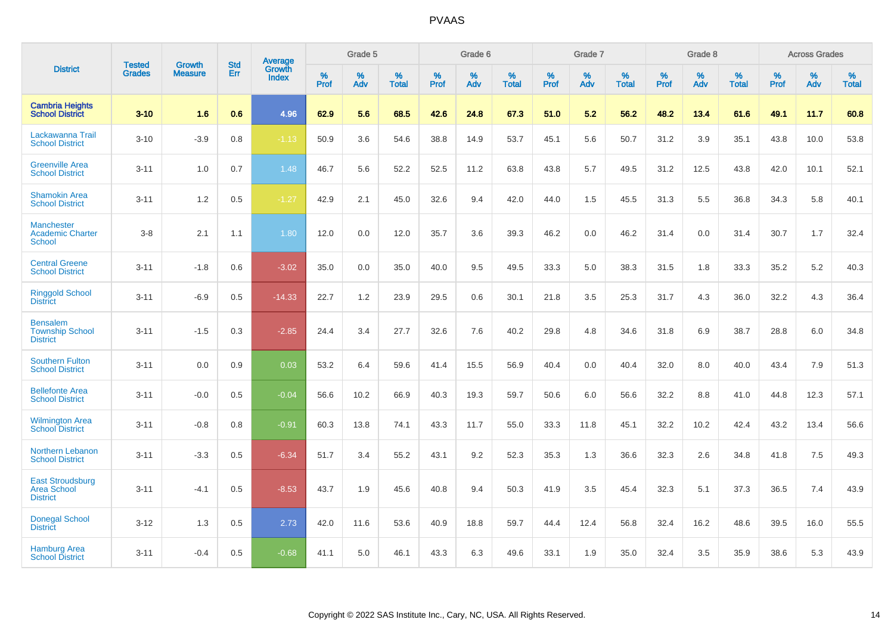|                                                                  |                                |                                 | <b>Std</b> | Average                       |           | Grade 5  |                   |           | Grade 6  |                   |           | Grade 7  |                   |           | Grade 8  |                   |           | <b>Across Grades</b> |                   |
|------------------------------------------------------------------|--------------------------------|---------------------------------|------------|-------------------------------|-----------|----------|-------------------|-----------|----------|-------------------|-----------|----------|-------------------|-----------|----------|-------------------|-----------|----------------------|-------------------|
| <b>District</b>                                                  | <b>Tested</b><br><b>Grades</b> | <b>Growth</b><br><b>Measure</b> | Err        | <b>Growth</b><br><b>Index</b> | %<br>Prof | %<br>Adv | %<br><b>Total</b> | %<br>Prof | %<br>Adv | %<br><b>Total</b> | %<br>Prof | %<br>Adv | %<br><b>Total</b> | %<br>Prof | %<br>Adv | %<br><b>Total</b> | %<br>Prof | %<br>Adv             | %<br><b>Total</b> |
| <b>Cambria Heights</b><br><b>School District</b>                 | $3 - 10$                       | 1.6                             | 0.6        | 4.96                          | 62.9      | 5.6      | 68.5              | 42.6      | 24.8     | 67.3              | 51.0      | 5.2      | 56.2              | 48.2      | 13.4     | 61.6              | 49.1      | 11.7                 | 60.8              |
| Lackawanna Trail<br><b>School District</b>                       | $3 - 10$                       | $-3.9$                          | 0.8        | $-1.13$                       | 50.9      | 3.6      | 54.6              | 38.8      | 14.9     | 53.7              | 45.1      | 5.6      | 50.7              | 31.2      | 3.9      | 35.1              | 43.8      | 10.0                 | 53.8              |
| <b>Greenville Area</b><br><b>School District</b>                 | $3 - 11$                       | 1.0                             | 0.7        | 1.48                          | 46.7      | 5.6      | 52.2              | 52.5      | 11.2     | 63.8              | 43.8      | 5.7      | 49.5              | 31.2      | 12.5     | 43.8              | 42.0      | 10.1                 | 52.1              |
| <b>Shamokin Area</b><br><b>School District</b>                   | $3 - 11$                       | 1.2                             | 0.5        | $-1.27$                       | 42.9      | 2.1      | 45.0              | 32.6      | 9.4      | 42.0              | 44.0      | 1.5      | 45.5              | 31.3      | 5.5      | 36.8              | 34.3      | 5.8                  | 40.1              |
| <b>Manchester</b><br><b>Academic Charter</b><br><b>School</b>    | $3 - 8$                        | 2.1                             | 1.1        | 1.80                          | 12.0      | 0.0      | 12.0              | 35.7      | 3.6      | 39.3              | 46.2      | 0.0      | 46.2              | 31.4      | 0.0      | 31.4              | 30.7      | 1.7                  | 32.4              |
| <b>Central Greene</b><br><b>School District</b>                  | $3 - 11$                       | $-1.8$                          | 0.6        | $-3.02$                       | 35.0      | 0.0      | 35.0              | 40.0      | 9.5      | 49.5              | 33.3      | 5.0      | 38.3              | 31.5      | 1.8      | 33.3              | 35.2      | 5.2                  | 40.3              |
| <b>Ringgold School</b><br><b>District</b>                        | $3 - 11$                       | $-6.9$                          | 0.5        | $-14.33$                      | 22.7      | 1.2      | 23.9              | 29.5      | 0.6      | 30.1              | 21.8      | 3.5      | 25.3              | 31.7      | 4.3      | 36.0              | 32.2      | 4.3                  | 36.4              |
| <b>Bensalem</b><br><b>Township School</b><br><b>District</b>     | $3 - 11$                       | $-1.5$                          | 0.3        | $-2.85$                       | 24.4      | 3.4      | 27.7              | 32.6      | 7.6      | 40.2              | 29.8      | 4.8      | 34.6              | 31.8      | 6.9      | 38.7              | 28.8      | 6.0                  | 34.8              |
| <b>Southern Fulton</b><br><b>School District</b>                 | $3 - 11$                       | 0.0                             | 0.9        | 0.03                          | 53.2      | 6.4      | 59.6              | 41.4      | 15.5     | 56.9              | 40.4      | 0.0      | 40.4              | 32.0      | 8.0      | 40.0              | 43.4      | 7.9                  | 51.3              |
| <b>Bellefonte Area</b><br><b>School District</b>                 | $3 - 11$                       | $-0.0$                          | 0.5        | $-0.04$                       | 56.6      | 10.2     | 66.9              | 40.3      | 19.3     | 59.7              | 50.6      | 6.0      | 56.6              | 32.2      | 8.8      | 41.0              | 44.8      | 12.3                 | 57.1              |
| <b>Wilmington Area</b><br><b>School District</b>                 | $3 - 11$                       | $-0.8$                          | 0.8        | $-0.91$                       | 60.3      | 13.8     | 74.1              | 43.3      | 11.7     | 55.0              | 33.3      | 11.8     | 45.1              | 32.2      | 10.2     | 42.4              | 43.2      | 13.4                 | 56.6              |
| <b>Northern Lebanon</b><br><b>School District</b>                | $3 - 11$                       | $-3.3$                          | 0.5        | $-6.34$                       | 51.7      | 3.4      | 55.2              | 43.1      | 9.2      | 52.3              | 35.3      | 1.3      | 36.6              | 32.3      | 2.6      | 34.8              | 41.8      | 7.5                  | 49.3              |
| <b>East Stroudsburg</b><br><b>Area School</b><br><b>District</b> | $3 - 11$                       | $-4.1$                          | 0.5        | $-8.53$                       | 43.7      | 1.9      | 45.6              | 40.8      | 9.4      | 50.3              | 41.9      | 3.5      | 45.4              | 32.3      | 5.1      | 37.3              | 36.5      | 7.4                  | 43.9              |
| <b>Donegal School</b><br><b>District</b>                         | $3 - 12$                       | 1.3                             | 0.5        | 2.73                          | 42.0      | 11.6     | 53.6              | 40.9      | 18.8     | 59.7              | 44.4      | 12.4     | 56.8              | 32.4      | 16.2     | 48.6              | 39.5      | 16.0                 | 55.5              |
| <b>Hamburg Area</b><br><b>School District</b>                    | $3 - 11$                       | $-0.4$                          | 0.5        | $-0.68$                       | 41.1      | 5.0      | 46.1              | 43.3      | 6.3      | 49.6              | 33.1      | 1.9      | 35.0              | 32.4      | 3.5      | 35.9              | 38.6      | 5.3                  | 43.9              |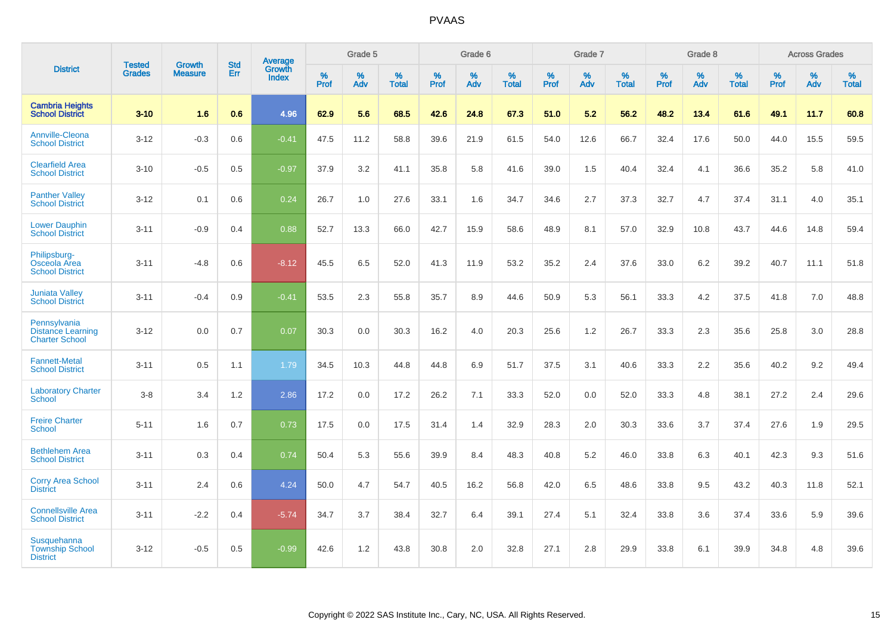|                                                                   |                                |                                 | <b>Std</b> | Average                       |           | Grade 5  |                   |           | Grade 6  |                   |           | Grade 7  |                   |           | Grade 8  |                   |           | <b>Across Grades</b> |                   |
|-------------------------------------------------------------------|--------------------------------|---------------------------------|------------|-------------------------------|-----------|----------|-------------------|-----------|----------|-------------------|-----------|----------|-------------------|-----------|----------|-------------------|-----------|----------------------|-------------------|
| <b>District</b>                                                   | <b>Tested</b><br><b>Grades</b> | <b>Growth</b><br><b>Measure</b> | Err        | <b>Growth</b><br><b>Index</b> | %<br>Prof | %<br>Adv | %<br><b>Total</b> | %<br>Prof | %<br>Adv | %<br><b>Total</b> | %<br>Prof | %<br>Adv | %<br><b>Total</b> | %<br>Prof | %<br>Adv | %<br><b>Total</b> | %<br>Prof | %<br>Adv             | %<br><b>Total</b> |
| <b>Cambria Heights</b><br><b>School District</b>                  | $3 - 10$                       | 1.6                             | 0.6        | 4.96                          | 62.9      | 5.6      | 68.5              | 42.6      | 24.8     | 67.3              | 51.0      | 5.2      | 56.2              | 48.2      | 13.4     | 61.6              | 49.1      | 11.7                 | 60.8              |
| <b>Annville-Cleona</b><br><b>School District</b>                  | $3 - 12$                       | $-0.3$                          | 0.6        | $-0.41$                       | 47.5      | 11.2     | 58.8              | 39.6      | 21.9     | 61.5              | 54.0      | 12.6     | 66.7              | 32.4      | 17.6     | 50.0              | 44.0      | 15.5                 | 59.5              |
| <b>Clearfield Area</b><br><b>School District</b>                  | $3 - 10$                       | $-0.5$                          | 0.5        | $-0.97$                       | 37.9      | 3.2      | 41.1              | 35.8      | 5.8      | 41.6              | 39.0      | 1.5      | 40.4              | 32.4      | 4.1      | 36.6              | 35.2      | 5.8                  | 41.0              |
| <b>Panther Valley</b><br><b>School District</b>                   | $3 - 12$                       | 0.1                             | 0.6        | 0.24                          | 26.7      | 1.0      | 27.6              | 33.1      | 1.6      | 34.7              | 34.6      | 2.7      | 37.3              | 32.7      | 4.7      | 37.4              | 31.1      | 4.0                  | 35.1              |
| <b>Lower Dauphin</b><br><b>School District</b>                    | $3 - 11$                       | $-0.9$                          | 0.4        | 0.88                          | 52.7      | 13.3     | 66.0              | 42.7      | 15.9     | 58.6              | 48.9      | 8.1      | 57.0              | 32.9      | 10.8     | 43.7              | 44.6      | 14.8                 | 59.4              |
| Philipsburg-<br>Osceola Area<br><b>School District</b>            | $3 - 11$                       | $-4.8$                          | 0.6        | $-8.12$                       | 45.5      | 6.5      | 52.0              | 41.3      | 11.9     | 53.2              | 35.2      | 2.4      | 37.6              | 33.0      | 6.2      | 39.2              | 40.7      | 11.1                 | 51.8              |
| <b>Juniata Valley</b><br><b>School District</b>                   | $3 - 11$                       | $-0.4$                          | 0.9        | $-0.41$                       | 53.5      | 2.3      | 55.8              | 35.7      | 8.9      | 44.6              | 50.9      | 5.3      | 56.1              | 33.3      | 4.2      | 37.5              | 41.8      | 7.0                  | 48.8              |
| Pennsylvania<br><b>Distance Learning</b><br><b>Charter School</b> | $3 - 12$                       | 0.0                             | 0.7        | 0.07                          | 30.3      | 0.0      | 30.3              | 16.2      | 4.0      | 20.3              | 25.6      | 1.2      | 26.7              | 33.3      | 2.3      | 35.6              | 25.8      | 3.0                  | 28.8              |
| <b>Fannett-Metal</b><br><b>School District</b>                    | $3 - 11$                       | 0.5                             | 1.1        | 1.79                          | 34.5      | 10.3     | 44.8              | 44.8      | 6.9      | 51.7              | 37.5      | 3.1      | 40.6              | 33.3      | 2.2      | 35.6              | 40.2      | 9.2                  | 49.4              |
| <b>Laboratory Charter</b><br><b>School</b>                        | $3 - 8$                        | 3.4                             | 1.2        | 2.86                          | 17.2      | 0.0      | 17.2              | 26.2      | 7.1      | 33.3              | 52.0      | 0.0      | 52.0              | 33.3      | 4.8      | 38.1              | 27.2      | 2.4                  | 29.6              |
| <b>Freire Charter</b><br>School                                   | $5 - 11$                       | 1.6                             | 0.7        | 0.73                          | 17.5      | 0.0      | 17.5              | 31.4      | 1.4      | 32.9              | 28.3      | 2.0      | 30.3              | 33.6      | 3.7      | 37.4              | 27.6      | 1.9                  | 29.5              |
| <b>Bethlehem Area</b><br><b>School District</b>                   | $3 - 11$                       | 0.3                             | 0.4        | 0.74                          | 50.4      | 5.3      | 55.6              | 39.9      | 8.4      | 48.3              | 40.8      | 5.2      | 46.0              | 33.8      | 6.3      | 40.1              | 42.3      | 9.3                  | 51.6              |
| <b>Corry Area School</b><br><b>District</b>                       | $3 - 11$                       | 2.4                             | 0.6        | 4.24                          | 50.0      | 4.7      | 54.7              | 40.5      | 16.2     | 56.8              | 42.0      | 6.5      | 48.6              | 33.8      | 9.5      | 43.2              | 40.3      | 11.8                 | 52.1              |
| <b>Connellsville Area</b><br><b>School District</b>               | $3 - 11$                       | $-2.2$                          | 0.4        | $-5.74$                       | 34.7      | 3.7      | 38.4              | 32.7      | 6.4      | 39.1              | 27.4      | 5.1      | 32.4              | 33.8      | 3.6      | 37.4              | 33.6      | 5.9                  | 39.6              |
| Susquehanna<br><b>Township School</b><br><b>District</b>          | $3 - 12$                       | $-0.5$                          | 0.5        | $-0.99$                       | 42.6      | 1.2      | 43.8              | 30.8      | 2.0      | 32.8              | 27.1      | 2.8      | 29.9              | 33.8      | 6.1      | 39.9              | 34.8      | 4.8                  | 39.6              |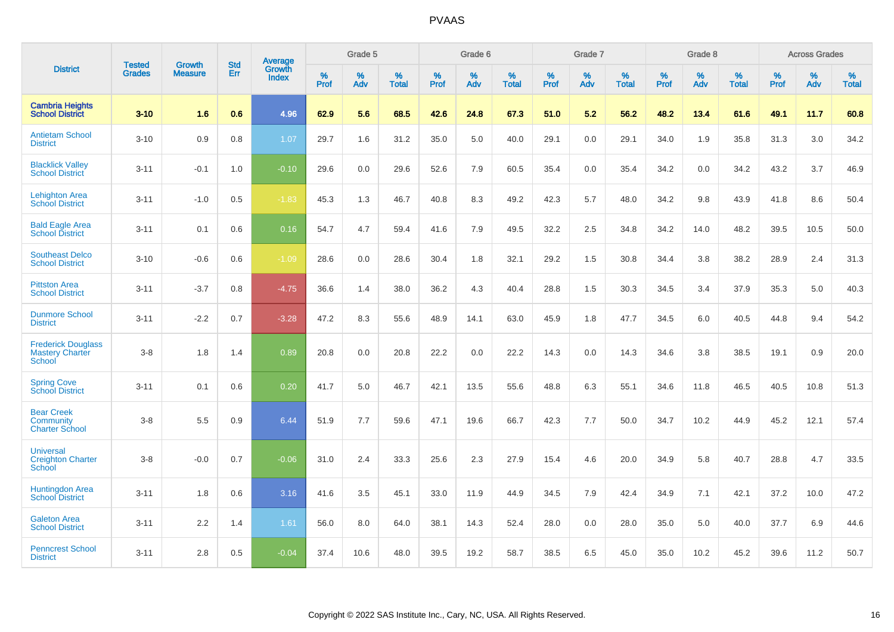|                                                               |                                |                                 | <b>Std</b> | Average                       |           | Grade 5  |                   |           | Grade 6  |                   |           | Grade 7  |                   |           | Grade 8  |                   |           | <b>Across Grades</b> |                   |
|---------------------------------------------------------------|--------------------------------|---------------------------------|------------|-------------------------------|-----------|----------|-------------------|-----------|----------|-------------------|-----------|----------|-------------------|-----------|----------|-------------------|-----------|----------------------|-------------------|
| <b>District</b>                                               | <b>Tested</b><br><b>Grades</b> | <b>Growth</b><br><b>Measure</b> | Err        | <b>Growth</b><br><b>Index</b> | %<br>Prof | %<br>Adv | %<br><b>Total</b> | %<br>Prof | %<br>Adv | %<br><b>Total</b> | %<br>Prof | %<br>Adv | %<br><b>Total</b> | %<br>Prof | %<br>Adv | %<br><b>Total</b> | %<br>Prof | %<br>Adv             | %<br><b>Total</b> |
| <b>Cambria Heights</b><br><b>School District</b>              | $3 - 10$                       | 1.6                             | 0.6        | 4.96                          | 62.9      | 5.6      | 68.5              | 42.6      | 24.8     | 67.3              | 51.0      | 5.2      | 56.2              | 48.2      | 13.4     | 61.6              | 49.1      | 11.7                 | 60.8              |
| <b>Antietam School</b><br><b>District</b>                     | $3 - 10$                       | 0.9                             | 0.8        | 1.07                          | 29.7      | 1.6      | 31.2              | 35.0      | 5.0      | 40.0              | 29.1      | 0.0      | 29.1              | 34.0      | 1.9      | 35.8              | 31.3      | 3.0                  | 34.2              |
| <b>Blacklick Valley</b><br><b>School District</b>             | $3 - 11$                       | $-0.1$                          | 1.0        | $-0.10$                       | 29.6      | 0.0      | 29.6              | 52.6      | 7.9      | 60.5              | 35.4      | 0.0      | 35.4              | 34.2      | 0.0      | 34.2              | 43.2      | 3.7                  | 46.9              |
| <b>Lehighton Area</b><br><b>School District</b>               | $3 - 11$                       | $-1.0$                          | 0.5        | $-1.83$                       | 45.3      | 1.3      | 46.7              | 40.8      | 8.3      | 49.2              | 42.3      | 5.7      | 48.0              | 34.2      | 9.8      | 43.9              | 41.8      | 8.6                  | 50.4              |
| <b>Bald Eagle Area</b><br><b>School District</b>              | $3 - 11$                       | 0.1                             | 0.6        | 0.16                          | 54.7      | 4.7      | 59.4              | 41.6      | 7.9      | 49.5              | 32.2      | 2.5      | 34.8              | 34.2      | 14.0     | 48.2              | 39.5      | 10.5                 | 50.0              |
| <b>Southeast Delco</b><br><b>School District</b>              | $3 - 10$                       | $-0.6$                          | 0.6        | $-1.09$                       | 28.6      | 0.0      | 28.6              | 30.4      | 1.8      | 32.1              | 29.2      | 1.5      | 30.8              | 34.4      | 3.8      | 38.2              | 28.9      | 2.4                  | 31.3              |
| <b>Pittston Area</b><br><b>School District</b>                | $3 - 11$                       | $-3.7$                          | 0.8        | $-4.75$                       | 36.6      | 1.4      | 38.0              | 36.2      | 4.3      | 40.4              | 28.8      | 1.5      | 30.3              | 34.5      | 3.4      | 37.9              | 35.3      | 5.0                  | 40.3              |
| <b>Dunmore School</b><br><b>District</b>                      | $3 - 11$                       | $-2.2$                          | 0.7        | $-3.28$                       | 47.2      | 8.3      | 55.6              | 48.9      | 14.1     | 63.0              | 45.9      | 1.8      | 47.7              | 34.5      | 6.0      | 40.5              | 44.8      | 9.4                  | 54.2              |
| <b>Frederick Douglass</b><br><b>Mastery Charter</b><br>School | $3 - 8$                        | 1.8                             | 1.4        | 0.89                          | 20.8      | 0.0      | 20.8              | 22.2      | 0.0      | 22.2              | 14.3      | 0.0      | 14.3              | 34.6      | 3.8      | 38.5              | 19.1      | 0.9                  | 20.0              |
| <b>Spring Cove</b><br>School District                         | $3 - 11$                       | 0.1                             | 0.6        | 0.20                          | 41.7      | 5.0      | 46.7              | 42.1      | 13.5     | 55.6              | 48.8      | 6.3      | 55.1              | 34.6      | 11.8     | 46.5              | 40.5      | 10.8                 | 51.3              |
| <b>Bear Creek</b><br>Community<br><b>Charter School</b>       | $3 - 8$                        | 5.5                             | 0.9        | 6.44                          | 51.9      | 7.7      | 59.6              | 47.1      | 19.6     | 66.7              | 42.3      | 7.7      | 50.0              | 34.7      | 10.2     | 44.9              | 45.2      | 12.1                 | 57.4              |
| <b>Universal</b><br><b>Creighton Charter</b><br>School        | $3 - 8$                        | $-0.0$                          | 0.7        | $-0.06$                       | 31.0      | 2.4      | 33.3              | 25.6      | 2.3      | 27.9              | 15.4      | 4.6      | 20.0              | 34.9      | 5.8      | 40.7              | 28.8      | 4.7                  | 33.5              |
| Huntingdon Area<br><b>School District</b>                     | $3 - 11$                       | 1.8                             | 0.6        | 3.16                          | 41.6      | 3.5      | 45.1              | 33.0      | 11.9     | 44.9              | 34.5      | 7.9      | 42.4              | 34.9      | 7.1      | 42.1              | 37.2      | 10.0                 | 47.2              |
| <b>Galeton Area</b><br><b>School District</b>                 | $3 - 11$                       | 2.2                             | 1.4        | 1.61                          | 56.0      | 8.0      | 64.0              | 38.1      | 14.3     | 52.4              | 28.0      | 0.0      | 28.0              | 35.0      | 5.0      | 40.0              | 37.7      | 6.9                  | 44.6              |
| <b>Penncrest School</b><br><b>District</b>                    | $3 - 11$                       | 2.8                             | 0.5        | $-0.04$                       | 37.4      | 10.6     | 48.0              | 39.5      | 19.2     | 58.7              | 38.5      | 6.5      | 45.0              | 35.0      | 10.2     | 45.2              | 39.6      | 11.2                 | 50.7              |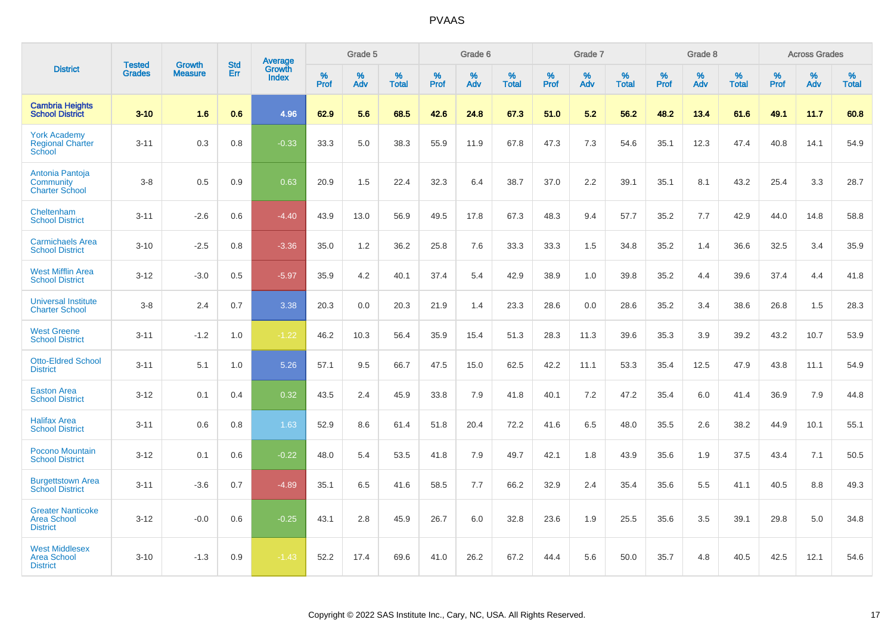|                                                                   |                                | <b>Growth</b>  | <b>Std</b> |                                          |                  | Grade 5  |                   |           | Grade 6  |                   |           | Grade 7  |                      |           | Grade 8  |                   |                  | <b>Across Grades</b> |                   |
|-------------------------------------------------------------------|--------------------------------|----------------|------------|------------------------------------------|------------------|----------|-------------------|-----------|----------|-------------------|-----------|----------|----------------------|-----------|----------|-------------------|------------------|----------------------|-------------------|
| <b>District</b>                                                   | <b>Tested</b><br><b>Grades</b> | <b>Measure</b> | Err        | <b>Average</b><br>Growth<br><b>Index</b> | %<br><b>Prof</b> | %<br>Adv | %<br><b>Total</b> | %<br>Prof | %<br>Adv | %<br><b>Total</b> | %<br>Prof | %<br>Adv | $\%$<br><b>Total</b> | %<br>Prof | %<br>Adv | %<br><b>Total</b> | %<br><b>Prof</b> | %<br>Adv             | %<br><b>Total</b> |
| <b>Cambria Heights</b><br><b>School District</b>                  | $3 - 10$                       | 1.6            | 0.6        | 4.96                                     | 62.9             | 5.6      | 68.5              | 42.6      | 24.8     | 67.3              | 51.0      | 5.2      | 56.2                 | 48.2      | 13.4     | 61.6              | 49.1             | 11.7                 | 60.8              |
| <b>York Academy</b><br><b>Regional Charter</b><br>School          | $3 - 11$                       | 0.3            | 0.8        | $-0.33$                                  | 33.3             | 5.0      | 38.3              | 55.9      | 11.9     | 67.8              | 47.3      | 7.3      | 54.6                 | 35.1      | 12.3     | 47.4              | 40.8             | 14.1                 | 54.9              |
| Antonia Pantoja<br>Community<br><b>Charter School</b>             | $3 - 8$                        | 0.5            | 0.9        | 0.63                                     | 20.9             | 1.5      | 22.4              | 32.3      | 6.4      | 38.7              | 37.0      | 2.2      | 39.1                 | 35.1      | 8.1      | 43.2              | 25.4             | 3.3                  | 28.7              |
| Cheltenham<br><b>School District</b>                              | $3 - 11$                       | $-2.6$         | 0.6        | $-4.40$                                  | 43.9             | 13.0     | 56.9              | 49.5      | 17.8     | 67.3              | 48.3      | 9.4      | 57.7                 | 35.2      | 7.7      | 42.9              | 44.0             | 14.8                 | 58.8              |
| <b>Carmichaels Area</b><br><b>School District</b>                 | $3 - 10$                       | $-2.5$         | 0.8        | $-3.36$                                  | 35.0             | 1.2      | 36.2              | 25.8      | 7.6      | 33.3              | 33.3      | 1.5      | 34.8                 | 35.2      | 1.4      | 36.6              | 32.5             | 3.4                  | 35.9              |
| <b>West Mifflin Area</b><br><b>School District</b>                | $3 - 12$                       | $-3.0$         | 0.5        | $-5.97$                                  | 35.9             | 4.2      | 40.1              | 37.4      | 5.4      | 42.9              | 38.9      | 1.0      | 39.8                 | 35.2      | 4.4      | 39.6              | 37.4             | 4.4                  | 41.8              |
| Universal Institute<br><b>Charter School</b>                      | $3 - 8$                        | 2.4            | 0.7        | 3.38                                     | 20.3             | 0.0      | 20.3              | 21.9      | 1.4      | 23.3              | 28.6      | 0.0      | 28.6                 | 35.2      | 3.4      | 38.6              | 26.8             | 1.5                  | 28.3              |
| <b>West Greene</b><br><b>School District</b>                      | $3 - 11$                       | $-1.2$         | 1.0        | $-1.22$                                  | 46.2             | 10.3     | 56.4              | 35.9      | 15.4     | 51.3              | 28.3      | 11.3     | 39.6                 | 35.3      | 3.9      | 39.2              | 43.2             | 10.7                 | 53.9              |
| <b>Otto-Eldred School</b><br><b>District</b>                      | $3 - 11$                       | 5.1            | 1.0        | 5.26                                     | 57.1             | 9.5      | 66.7              | 47.5      | 15.0     | 62.5              | 42.2      | 11.1     | 53.3                 | 35.4      | 12.5     | 47.9              | 43.8             | 11.1                 | 54.9              |
| <b>Easton Area</b><br><b>School District</b>                      | $3 - 12$                       | 0.1            | 0.4        | 0.32                                     | 43.5             | 2.4      | 45.9              | 33.8      | 7.9      | 41.8              | 40.1      | 7.2      | 47.2                 | 35.4      | 6.0      | 41.4              | 36.9             | 7.9                  | 44.8              |
| <b>Halifax Area</b><br><b>School District</b>                     | $3 - 11$                       | 0.6            | 0.8        | 1.63                                     | 52.9             | 8.6      | 61.4              | 51.8      | 20.4     | 72.2              | 41.6      | 6.5      | 48.0                 | 35.5      | 2.6      | 38.2              | 44.9             | 10.1                 | 55.1              |
| Pocono Mountain<br><b>School District</b>                         | $3 - 12$                       | 0.1            | 0.6        | $-0.22$                                  | 48.0             | 5.4      | 53.5              | 41.8      | 7.9      | 49.7              | 42.1      | 1.8      | 43.9                 | 35.6      | 1.9      | 37.5              | 43.4             | 7.1                  | 50.5              |
| <b>Burgettstown Area</b><br><b>School District</b>                | $3 - 11$                       | $-3.6$         | 0.7        | $-4.89$                                  | 35.1             | 6.5      | 41.6              | 58.5      | 7.7      | 66.2              | 32.9      | 2.4      | 35.4                 | 35.6      | 5.5      | 41.1              | 40.5             | 8.8                  | 49.3              |
| <b>Greater Nanticoke</b><br><b>Area School</b><br><b>District</b> | $3 - 12$                       | $-0.0$         | 0.6        | $-0.25$                                  | 43.1             | 2.8      | 45.9              | 26.7      | 6.0      | 32.8              | 23.6      | 1.9      | 25.5                 | 35.6      | 3.5      | 39.1              | 29.8             | 5.0                  | 34.8              |
| <b>West Middlesex</b><br><b>Area School</b><br><b>District</b>    | $3 - 10$                       | $-1.3$         | 0.9        | $-1.43$                                  | 52.2             | 17.4     | 69.6              | 41.0      | 26.2     | 67.2              | 44.4      | 5.6      | 50.0                 | 35.7      | 4.8      | 40.5              | 42.5             | 12.1                 | 54.6              |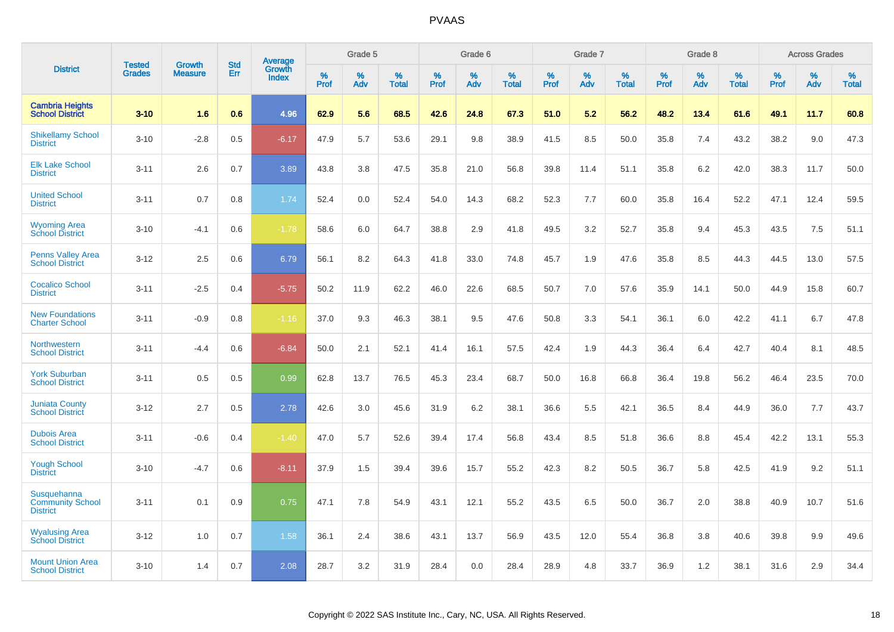|                                                           | <b>Tested</b> | <b>Growth</b>  | <b>Std</b> | Average                |              | Grade 5     |                      |                     | Grade 6     |                      |              | Grade 7     |                      |              | Grade 8     |                   |                     | <b>Across Grades</b> |                      |
|-----------------------------------------------------------|---------------|----------------|------------|------------------------|--------------|-------------|----------------------|---------------------|-------------|----------------------|--------------|-------------|----------------------|--------------|-------------|-------------------|---------------------|----------------------|----------------------|
| <b>District</b>                                           | <b>Grades</b> | <b>Measure</b> | Err        | Growth<br><b>Index</b> | $\%$<br>Prof | $\%$<br>Adv | $\%$<br><b>Total</b> | $\%$<br><b>Prof</b> | $\%$<br>Adv | $\%$<br><b>Total</b> | $\%$<br>Prof | $\%$<br>Adv | $\%$<br><b>Total</b> | $\%$<br>Prof | $\%$<br>Adv | %<br><b>Total</b> | $\%$<br><b>Prof</b> | $\%$<br>Adv          | $\%$<br><b>Total</b> |
| <b>Cambria Heights</b><br><b>School District</b>          | $3 - 10$      | 1.6            | 0.6        | 4.96                   | 62.9         | 5.6         | 68.5                 | 42.6                | 24.8        | 67.3                 | 51.0         | 5.2         | 56.2                 | 48.2         | 13.4        | 61.6              | 49.1                | 11.7                 | 60.8                 |
| <b>Shikellamy School</b><br><b>District</b>               | $3 - 10$      | $-2.8$         | 0.5        | $-6.17$                | 47.9         | 5.7         | 53.6                 | 29.1                | 9.8         | 38.9                 | 41.5         | 8.5         | 50.0                 | 35.8         | 7.4         | 43.2              | 38.2                | 9.0                  | 47.3                 |
| <b>Elk Lake School</b><br><b>District</b>                 | $3 - 11$      | 2.6            | 0.7        | 3.89                   | 43.8         | 3.8         | 47.5                 | 35.8                | 21.0        | 56.8                 | 39.8         | 11.4        | 51.1                 | 35.8         | 6.2         | 42.0              | 38.3                | 11.7                 | 50.0                 |
| <b>United School</b><br><b>District</b>                   | $3 - 11$      | 0.7            | 0.8        | 1.74                   | 52.4         | 0.0         | 52.4                 | 54.0                | 14.3        | 68.2                 | 52.3         | 7.7         | 60.0                 | 35.8         | 16.4        | 52.2              | 47.1                | 12.4                 | 59.5                 |
| <b>Wyoming Area</b><br><b>School District</b>             | $3 - 10$      | $-4.1$         | 0.6        | $-1.78$                | 58.6         | 6.0         | 64.7                 | 38.8                | 2.9         | 41.8                 | 49.5         | 3.2         | 52.7                 | 35.8         | 9.4         | 45.3              | 43.5                | 7.5                  | 51.1                 |
| <b>Penns Valley Area</b><br><b>School District</b>        | $3 - 12$      | 2.5            | 0.6        | 6.79                   | 56.1         | 8.2         | 64.3                 | 41.8                | 33.0        | 74.8                 | 45.7         | 1.9         | 47.6                 | 35.8         | 8.5         | 44.3              | 44.5                | 13.0                 | 57.5                 |
| <b>Cocalico School</b><br><b>District</b>                 | $3 - 11$      | $-2.5$         | 0.4        | $-5.75$                | 50.2         | 11.9        | 62.2                 | 46.0                | 22.6        | 68.5                 | 50.7         | 7.0         | 57.6                 | 35.9         | 14.1        | 50.0              | 44.9                | 15.8                 | 60.7                 |
| <b>New Foundations</b><br><b>Charter School</b>           | $3 - 11$      | $-0.9$         | 0.8        | $-1.16$                | 37.0         | 9.3         | 46.3                 | 38.1                | 9.5         | 47.6                 | 50.8         | 3.3         | 54.1                 | 36.1         | 6.0         | 42.2              | 41.1                | 6.7                  | 47.8                 |
| Northwestern<br><b>School District</b>                    | $3 - 11$      | $-4.4$         | 0.6        | $-6.84$                | 50.0         | 2.1         | 52.1                 | 41.4                | 16.1        | 57.5                 | 42.4         | 1.9         | 44.3                 | 36.4         | 6.4         | 42.7              | 40.4                | 8.1                  | 48.5                 |
| <b>York Suburban</b><br><b>School District</b>            | $3 - 11$      | 0.5            | 0.5        | 0.99                   | 62.8         | 13.7        | 76.5                 | 45.3                | 23.4        | 68.7                 | 50.0         | 16.8        | 66.8                 | 36.4         | 19.8        | 56.2              | 46.4                | 23.5                 | 70.0                 |
| <b>Juniata County</b><br><b>School District</b>           | $3 - 12$      | 2.7            | 0.5        | 2.78                   | 42.6         | 3.0         | 45.6                 | 31.9                | 6.2         | 38.1                 | 36.6         | 5.5         | 42.1                 | 36.5         | 8.4         | 44.9              | 36.0                | 7.7                  | 43.7                 |
| <b>Dubois Area</b><br><b>School District</b>              | $3 - 11$      | $-0.6$         | 0.4        | $-1.40$                | 47.0         | 5.7         | 52.6                 | 39.4                | 17.4        | 56.8                 | 43.4         | 8.5         | 51.8                 | 36.6         | 8.8         | 45.4              | 42.2                | 13.1                 | 55.3                 |
| <b>Yough School</b><br><b>District</b>                    | $3 - 10$      | $-4.7$         | 0.6        | $-8.11$                | 37.9         | 1.5         | 39.4                 | 39.6                | 15.7        | 55.2                 | 42.3         | 8.2         | 50.5                 | 36.7         | 5.8         | 42.5              | 41.9                | 9.2                  | 51.1                 |
| Susquehanna<br><b>Community School</b><br><b>District</b> | $3 - 11$      | 0.1            | 0.9        | 0.75                   | 47.1         | 7.8         | 54.9                 | 43.1                | 12.1        | 55.2                 | 43.5         | 6.5         | 50.0                 | 36.7         | 2.0         | 38.8              | 40.9                | 10.7                 | 51.6                 |
| <b>Wyalusing Area</b><br><b>School District</b>           | $3 - 12$      | 1.0            | 0.7        | 1.58                   | 36.1         | 2.4         | 38.6                 | 43.1                | 13.7        | 56.9                 | 43.5         | 12.0        | 55.4                 | 36.8         | 3.8         | 40.6              | 39.8                | 9.9                  | 49.6                 |
| <b>Mount Union Area</b><br><b>School District</b>         | $3 - 10$      | 1.4            | 0.7        | 2.08                   | 28.7         | 3.2         | 31.9                 | 28.4                | 0.0         | 28.4                 | 28.9         | 4.8         | 33.7                 | 36.9         | 1.2         | 38.1              | 31.6                | 2.9                  | 34.4                 |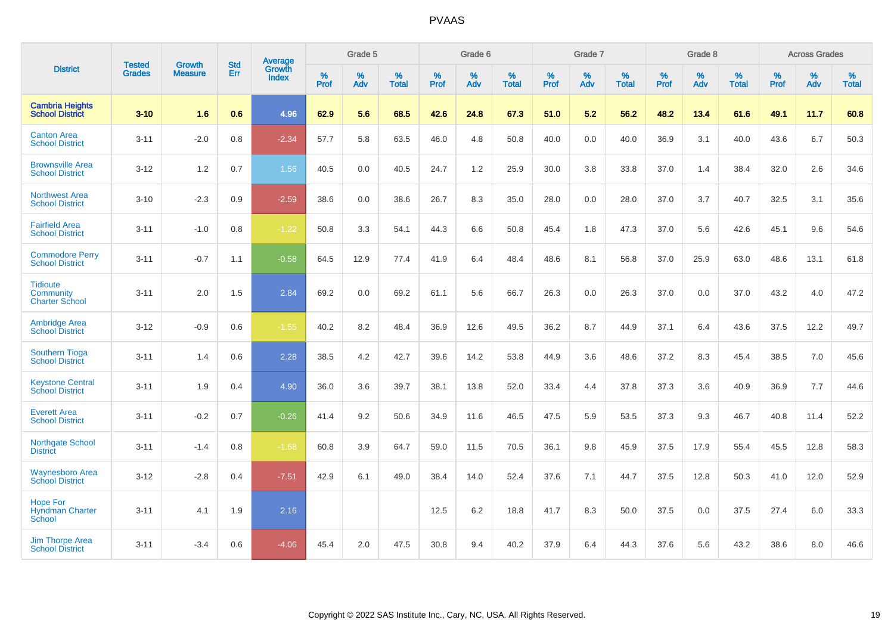|                                                              | <b>Tested</b> | <b>Growth</b>  | <b>Std</b> | Average                |           | Grade 5  |                   |                  | Grade 6  |                   |           | Grade 7  |                   |                  | Grade 8  |                   |                     | <b>Across Grades</b> |                   |
|--------------------------------------------------------------|---------------|----------------|------------|------------------------|-----------|----------|-------------------|------------------|----------|-------------------|-----------|----------|-------------------|------------------|----------|-------------------|---------------------|----------------------|-------------------|
| <b>District</b>                                              | <b>Grades</b> | <b>Measure</b> | Err        | Growth<br><b>Index</b> | %<br>Prof | %<br>Adv | %<br><b>Total</b> | %<br><b>Prof</b> | %<br>Adv | %<br><b>Total</b> | %<br>Prof | %<br>Adv | %<br><b>Total</b> | %<br><b>Prof</b> | %<br>Adv | %<br><b>Total</b> | $\%$<br><b>Prof</b> | $\%$<br>Adv          | %<br><b>Total</b> |
| <b>Cambria Heights</b><br><b>School District</b>             | $3 - 10$      | 1.6            | 0.6        | 4.96                   | 62.9      | 5.6      | 68.5              | 42.6             | 24.8     | 67.3              | 51.0      | 5.2      | 56.2              | 48.2             | 13.4     | 61.6              | 49.1                | 11.7                 | 60.8              |
| <b>Canton Area</b><br><b>School District</b>                 | $3 - 11$      | $-2.0$         | 0.8        | $-2.34$                | 57.7      | 5.8      | 63.5              | 46.0             | 4.8      | 50.8              | 40.0      | 0.0      | 40.0              | 36.9             | 3.1      | 40.0              | 43.6                | 6.7                  | 50.3              |
| <b>Brownsville Area</b><br><b>School District</b>            | $3 - 12$      | 1.2            | 0.7        | 1.56                   | 40.5      | 0.0      | 40.5              | 24.7             | 1.2      | 25.9              | 30.0      | 3.8      | 33.8              | 37.0             | 1.4      | 38.4              | 32.0                | 2.6                  | 34.6              |
| <b>Northwest Area</b><br><b>School District</b>              | $3 - 10$      | $-2.3$         | 0.9        | $-2.59$                | 38.6      | 0.0      | 38.6              | 26.7             | 8.3      | 35.0              | 28.0      | 0.0      | 28.0              | 37.0             | 3.7      | 40.7              | 32.5                | 3.1                  | 35.6              |
| <b>Fairfield Area</b><br><b>School District</b>              | $3 - 11$      | $-1.0$         | 0.8        | $-1.22$                | 50.8      | 3.3      | 54.1              | 44.3             | 6.6      | 50.8              | 45.4      | 1.8      | 47.3              | 37.0             | 5.6      | 42.6              | 45.1                | 9.6                  | 54.6              |
| <b>Commodore Perry</b><br><b>School District</b>             | $3 - 11$      | $-0.7$         | 1.1        | $-0.58$                | 64.5      | 12.9     | 77.4              | 41.9             | 6.4      | 48.4              | 48.6      | 8.1      | 56.8              | 37.0             | 25.9     | 63.0              | 48.6                | 13.1                 | 61.8              |
| <b>Tidioute</b><br><b>Community</b><br><b>Charter School</b> | $3 - 11$      | 2.0            | 1.5        | 2.84                   | 69.2      | 0.0      | 69.2              | 61.1             | 5.6      | 66.7              | 26.3      | 0.0      | 26.3              | 37.0             | 0.0      | 37.0              | 43.2                | 4.0                  | 47.2              |
| <b>Ambridge Area</b><br><b>School District</b>               | $3 - 12$      | $-0.9$         | 0.6        | $-1.55$                | 40.2      | 8.2      | 48.4              | 36.9             | 12.6     | 49.5              | 36.2      | 8.7      | 44.9              | 37.1             | 6.4      | 43.6              | 37.5                | 12.2                 | 49.7              |
| <b>Southern Tioga</b><br><b>School District</b>              | $3 - 11$      | 1.4            | 0.6        | 2.28                   | 38.5      | 4.2      | 42.7              | 39.6             | 14.2     | 53.8              | 44.9      | 3.6      | 48.6              | 37.2             | 8.3      | 45.4              | 38.5                | 7.0                  | 45.6              |
| <b>Keystone Central</b><br><b>School District</b>            | $3 - 11$      | 1.9            | 0.4        | 4.90                   | 36.0      | 3.6      | 39.7              | 38.1             | 13.8     | 52.0              | 33.4      | 4.4      | 37.8              | 37.3             | 3.6      | 40.9              | 36.9                | 7.7                  | 44.6              |
| <b>Everett Area</b><br><b>School District</b>                | $3 - 11$      | $-0.2$         | 0.7        | $-0.26$                | 41.4      | 9.2      | 50.6              | 34.9             | 11.6     | 46.5              | 47.5      | 5.9      | 53.5              | 37.3             | 9.3      | 46.7              | 40.8                | 11.4                 | 52.2              |
| <b>Northgate School</b><br><b>District</b>                   | $3 - 11$      | $-1.4$         | 0.8        | $-1.68$                | 60.8      | 3.9      | 64.7              | 59.0             | 11.5     | 70.5              | 36.1      | 9.8      | 45.9              | 37.5             | 17.9     | 55.4              | 45.5                | 12.8                 | 58.3              |
| <b>Waynesboro Area</b><br><b>School District</b>             | $3 - 12$      | $-2.8$         | 0.4        | $-7.51$                | 42.9      | 6.1      | 49.0              | 38.4             | 14.0     | 52.4              | 37.6      | 7.1      | 44.7              | 37.5             | 12.8     | 50.3              | 41.0                | 12.0                 | 52.9              |
| <b>Hope For</b><br><b>Hyndman Charter</b><br>School          | $3 - 11$      | 4.1            | 1.9        | 2.16                   |           |          |                   | 12.5             | 6.2      | 18.8              | 41.7      | 8.3      | 50.0              | 37.5             | 0.0      | 37.5              | 27.4                | 6.0                  | 33.3              |
| <b>Jim Thorpe Area</b><br><b>School District</b>             | $3 - 11$      | $-3.4$         | 0.6        | $-4.06$                | 45.4      | 2.0      | 47.5              | 30.8             | 9.4      | 40.2              | 37.9      | 6.4      | 44.3              | 37.6             | 5.6      | 43.2              | 38.6                | 8.0                  | 46.6              |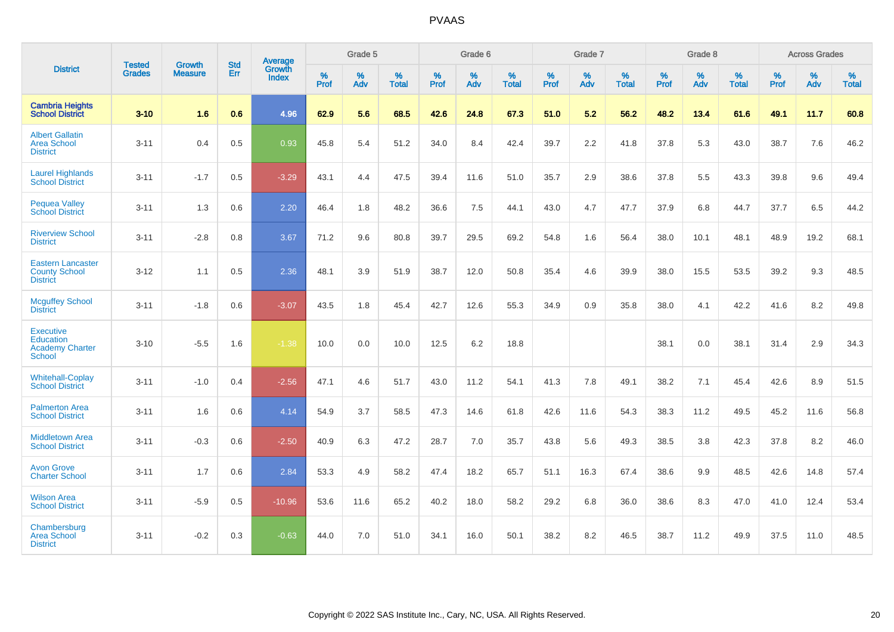|                                                                     |                                |                                 | <b>Std</b> | Average                       |                     | Grade 5  |                   |           | Grade 6  |                   |                  | Grade 7  |                   |           | Grade 8  |                   |                  | <b>Across Grades</b> |                   |
|---------------------------------------------------------------------|--------------------------------|---------------------------------|------------|-------------------------------|---------------------|----------|-------------------|-----------|----------|-------------------|------------------|----------|-------------------|-----------|----------|-------------------|------------------|----------------------|-------------------|
| <b>District</b>                                                     | <b>Tested</b><br><b>Grades</b> | <b>Growth</b><br><b>Measure</b> | Err        | <b>Growth</b><br><b>Index</b> | $\%$<br><b>Prof</b> | %<br>Adv | %<br><b>Total</b> | %<br>Prof | %<br>Adv | %<br><b>Total</b> | %<br><b>Prof</b> | %<br>Adv | %<br><b>Total</b> | %<br>Prof | %<br>Adv | %<br><b>Total</b> | %<br><b>Prof</b> | %<br>Adv             | %<br><b>Total</b> |
| <b>Cambria Heights</b><br><b>School District</b>                    | $3 - 10$                       | 1.6                             | 0.6        | 4.96                          | 62.9                | 5.6      | 68.5              | 42.6      | 24.8     | 67.3              | 51.0             | 5.2      | 56.2              | 48.2      | 13.4     | 61.6              | 49.1             | 11.7                 | 60.8              |
| <b>Albert Gallatin</b><br><b>Area School</b><br><b>District</b>     | $3 - 11$                       | 0.4                             | 0.5        | 0.93                          | 45.8                | 5.4      | 51.2              | 34.0      | 8.4      | 42.4              | 39.7             | 2.2      | 41.8              | 37.8      | 5.3      | 43.0              | 38.7             | 7.6                  | 46.2              |
| <b>Laurel Highlands</b><br><b>School District</b>                   | $3 - 11$                       | $-1.7$                          | 0.5        | $-3.29$                       | 43.1                | 4.4      | 47.5              | 39.4      | 11.6     | 51.0              | 35.7             | 2.9      | 38.6              | 37.8      | 5.5      | 43.3              | 39.8             | 9.6                  | 49.4              |
| Pequea Valley<br><b>School District</b>                             | $3 - 11$                       | 1.3                             | 0.6        | 2.20                          | 46.4                | 1.8      | 48.2              | 36.6      | 7.5      | 44.1              | 43.0             | 4.7      | 47.7              | 37.9      | 6.8      | 44.7              | 37.7             | 6.5                  | 44.2              |
| <b>Riverview School</b><br><b>District</b>                          | $3 - 11$                       | $-2.8$                          | 0.8        | 3.67                          | 71.2                | 9.6      | 80.8              | 39.7      | 29.5     | 69.2              | 54.8             | 1.6      | 56.4              | 38.0      | 10.1     | 48.1              | 48.9             | 19.2                 | 68.1              |
| <b>Eastern Lancaster</b><br><b>County School</b><br><b>District</b> | $3 - 12$                       | 1.1                             | 0.5        | 2.36                          | 48.1                | 3.9      | 51.9              | 38.7      | 12.0     | 50.8              | 35.4             | 4.6      | 39.9              | 38.0      | 15.5     | 53.5              | 39.2             | 9.3                  | 48.5              |
| <b>Mcguffey School</b><br><b>District</b>                           | $3 - 11$                       | $-1.8$                          | 0.6        | $-3.07$                       | 43.5                | 1.8      | 45.4              | 42.7      | 12.6     | 55.3              | 34.9             | 0.9      | 35.8              | 38.0      | 4.1      | 42.2              | 41.6             | 8.2                  | 49.8              |
| <b>Executive</b><br>Education<br><b>Academy Charter</b><br>School   | $3 - 10$                       | $-5.5$                          | 1.6        | $-1.38$                       | 10.0                | 0.0      | 10.0              | 12.5      | 6.2      | 18.8              |                  |          |                   | 38.1      | 0.0      | 38.1              | 31.4             | 2.9                  | 34.3              |
| <b>Whitehall-Coplay</b><br><b>School District</b>                   | $3 - 11$                       | $-1.0$                          | 0.4        | $-2.56$                       | 47.1                | 4.6      | 51.7              | 43.0      | 11.2     | 54.1              | 41.3             | 7.8      | 49.1              | 38.2      | 7.1      | 45.4              | 42.6             | 8.9                  | 51.5              |
| <b>Palmerton Area</b><br><b>School District</b>                     | $3 - 11$                       | 1.6                             | 0.6        | 4.14                          | 54.9                | 3.7      | 58.5              | 47.3      | 14.6     | 61.8              | 42.6             | 11.6     | 54.3              | 38.3      | 11.2     | 49.5              | 45.2             | 11.6                 | 56.8              |
| <b>Middletown Area</b><br><b>School District</b>                    | $3 - 11$                       | $-0.3$                          | 0.6        | $-2.50$                       | 40.9                | 6.3      | 47.2              | 28.7      | 7.0      | 35.7              | 43.8             | 5.6      | 49.3              | 38.5      | 3.8      | 42.3              | 37.8             | 8.2                  | 46.0              |
| <b>Avon Grove</b><br><b>Charter School</b>                          | $3 - 11$                       | 1.7                             | 0.6        | 2.84                          | 53.3                | 4.9      | 58.2              | 47.4      | 18.2     | 65.7              | 51.1             | 16.3     | 67.4              | 38.6      | 9.9      | 48.5              | 42.6             | 14.8                 | 57.4              |
| <b>Wilson Area</b><br><b>School District</b>                        | $3 - 11$                       | $-5.9$                          | 0.5        | $-10.96$                      | 53.6                | 11.6     | 65.2              | 40.2      | 18.0     | 58.2              | 29.2             | 6.8      | 36.0              | 38.6      | 8.3      | 47.0              | 41.0             | 12.4                 | 53.4              |
| Chambersburg<br><b>Area School</b><br><b>District</b>               | $3 - 11$                       | $-0.2$                          | 0.3        | $-0.63$                       | 44.0                | 7.0      | 51.0              | 34.1      | 16.0     | 50.1              | 38.2             | 8.2      | 46.5              | 38.7      | 11.2     | 49.9              | 37.5             | 11.0                 | 48.5              |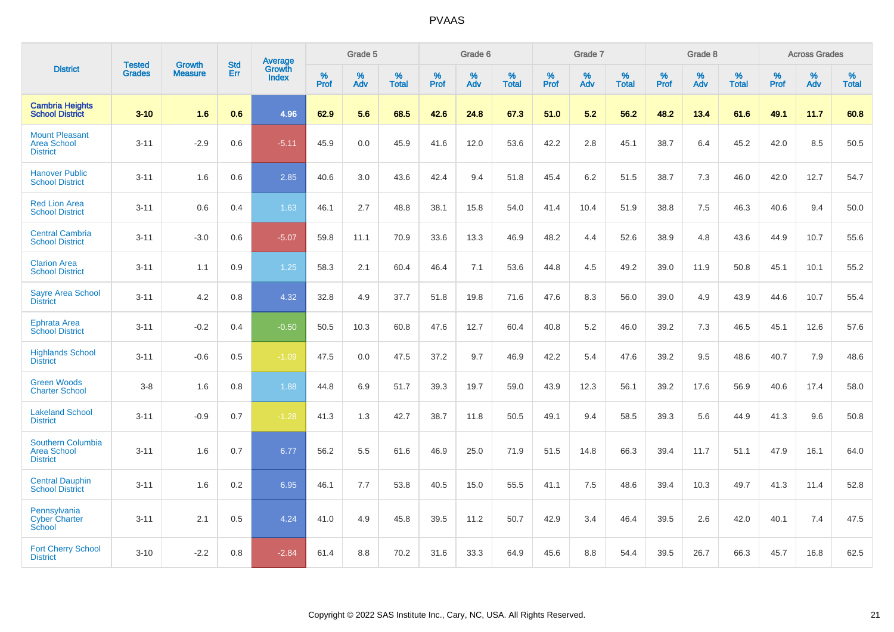|                                                                   | <b>Tested</b> | <b>Growth</b>  | <b>Std</b> | Average                |           | Grade 5  |                   |           | Grade 6  |                   |           | Grade 7  |                   |           | Grade 8  |                   |           | <b>Across Grades</b> |                   |
|-------------------------------------------------------------------|---------------|----------------|------------|------------------------|-----------|----------|-------------------|-----------|----------|-------------------|-----------|----------|-------------------|-----------|----------|-------------------|-----------|----------------------|-------------------|
| <b>District</b>                                                   | <b>Grades</b> | <b>Measure</b> | Err        | Growth<br><b>Index</b> | %<br>Prof | %<br>Adv | %<br><b>Total</b> | %<br>Prof | %<br>Adv | %<br><b>Total</b> | %<br>Prof | %<br>Adv | %<br><b>Total</b> | %<br>Prof | %<br>Adv | %<br><b>Total</b> | %<br>Prof | %<br>Adv             | %<br><b>Total</b> |
| <b>Cambria Heights</b><br><b>School District</b>                  | $3 - 10$      | 1.6            | 0.6        | 4.96                   | 62.9      | 5.6      | 68.5              | 42.6      | 24.8     | 67.3              | 51.0      | 5.2      | 56.2              | 48.2      | 13.4     | 61.6              | 49.1      | 11.7                 | 60.8              |
| <b>Mount Pleasant</b><br><b>Area School</b><br><b>District</b>    | $3 - 11$      | $-2.9$         | 0.6        | $-5.11$                | 45.9      | 0.0      | 45.9              | 41.6      | 12.0     | 53.6              | 42.2      | 2.8      | 45.1              | 38.7      | 6.4      | 45.2              | 42.0      | 8.5                  | 50.5              |
| <b>Hanover Public</b><br><b>School District</b>                   | $3 - 11$      | 1.6            | 0.6        | 2.85                   | 40.6      | 3.0      | 43.6              | 42.4      | 9.4      | 51.8              | 45.4      | 6.2      | 51.5              | 38.7      | 7.3      | 46.0              | 42.0      | 12.7                 | 54.7              |
| <b>Red Lion Area</b><br><b>School District</b>                    | $3 - 11$      | 0.6            | 0.4        | 1.63                   | 46.1      | 2.7      | 48.8              | 38.1      | 15.8     | 54.0              | 41.4      | 10.4     | 51.9              | 38.8      | 7.5      | 46.3              | 40.6      | 9.4                  | 50.0              |
| <b>Central Cambria</b><br><b>School District</b>                  | $3 - 11$      | $-3.0$         | 0.6        | $-5.07$                | 59.8      | 11.1     | 70.9              | 33.6      | 13.3     | 46.9              | 48.2      | 4.4      | 52.6              | 38.9      | 4.8      | 43.6              | 44.9      | 10.7                 | 55.6              |
| <b>Clarion Area</b><br><b>School District</b>                     | $3 - 11$      | 1.1            | 0.9        | 1.25                   | 58.3      | 2.1      | 60.4              | 46.4      | 7.1      | 53.6              | 44.8      | 4.5      | 49.2              | 39.0      | 11.9     | 50.8              | 45.1      | 10.1                 | 55.2              |
| <b>Sayre Area School</b><br><b>District</b>                       | $3 - 11$      | 4.2            | 0.8        | 4.32                   | 32.8      | 4.9      | 37.7              | 51.8      | 19.8     | 71.6              | 47.6      | 8.3      | 56.0              | 39.0      | 4.9      | 43.9              | 44.6      | 10.7                 | 55.4              |
| <b>Ephrata Area</b><br><b>School District</b>                     | $3 - 11$      | $-0.2$         | 0.4        | $-0.50$                | 50.5      | 10.3     | 60.8              | 47.6      | 12.7     | 60.4              | 40.8      | 5.2      | 46.0              | 39.2      | 7.3      | 46.5              | 45.1      | 12.6                 | 57.6              |
| <b>Highlands School</b><br><b>District</b>                        | $3 - 11$      | $-0.6$         | 0.5        | $-1.09$                | 47.5      | 0.0      | 47.5              | 37.2      | 9.7      | 46.9              | 42.2      | 5.4      | 47.6              | 39.2      | 9.5      | 48.6              | 40.7      | 7.9                  | 48.6              |
| <b>Green Woods</b><br><b>Charter School</b>                       | $3 - 8$       | 1.6            | 0.8        | 1.88                   | 44.8      | 6.9      | 51.7              | 39.3      | 19.7     | 59.0              | 43.9      | 12.3     | 56.1              | 39.2      | 17.6     | 56.9              | 40.6      | 17.4                 | 58.0              |
| <b>Lakeland School</b><br><b>District</b>                         | $3 - 11$      | $-0.9$         | 0.7        | $-1.28$                | 41.3      | 1.3      | 42.7              | 38.7      | 11.8     | 50.5              | 49.1      | 9.4      | 58.5              | 39.3      | 5.6      | 44.9              | 41.3      | 9.6                  | 50.8              |
| <b>Southern Columbia</b><br><b>Area School</b><br><b>District</b> | $3 - 11$      | 1.6            | 0.7        | 6.77                   | 56.2      | 5.5      | 61.6              | 46.9      | 25.0     | 71.9              | 51.5      | 14.8     | 66.3              | 39.4      | 11.7     | 51.1              | 47.9      | 16.1                 | 64.0              |
| <b>Central Dauphin</b><br><b>School District</b>                  | $3 - 11$      | 1.6            | 0.2        | 6.95                   | 46.1      | 7.7      | 53.8              | 40.5      | 15.0     | 55.5              | 41.1      | 7.5      | 48.6              | 39.4      | 10.3     | 49.7              | 41.3      | 11.4                 | 52.8              |
| Pennsylvania<br><b>Cyber Charter</b><br>School                    | $3 - 11$      | 2.1            | 0.5        | 4.24                   | 41.0      | 4.9      | 45.8              | 39.5      | 11.2     | 50.7              | 42.9      | 3.4      | 46.4              | 39.5      | 2.6      | 42.0              | 40.1      | 7.4                  | 47.5              |
| <b>Fort Cherry School</b><br><b>District</b>                      | $3 - 10$      | $-2.2$         | 0.8        | $-2.84$                | 61.4      | 8.8      | 70.2              | 31.6      | 33.3     | 64.9              | 45.6      | 8.8      | 54.4              | 39.5      | 26.7     | 66.3              | 45.7      | 16.8                 | 62.5              |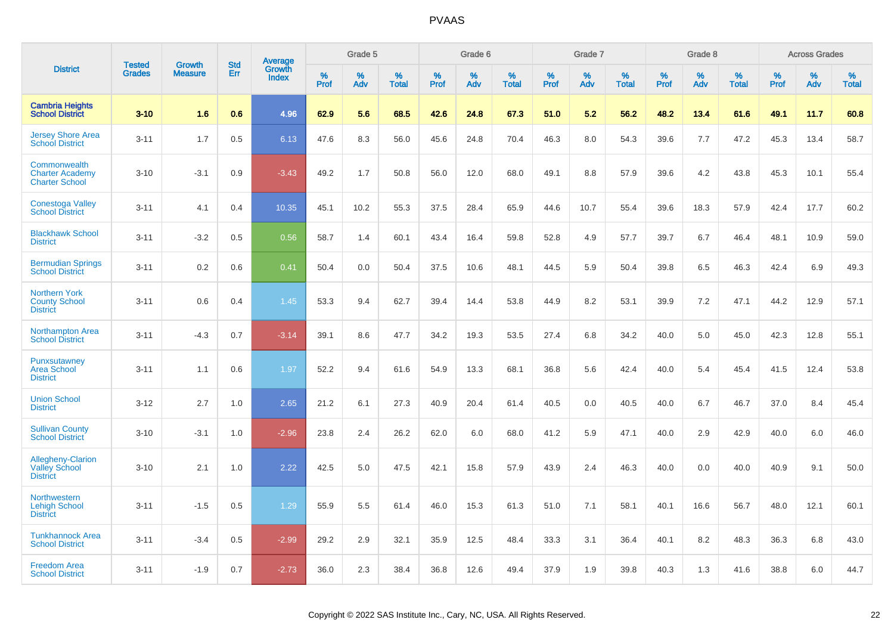|                                                                     | <b>Tested</b> | <b>Growth</b>  | <b>Std</b> |                                          |              | Grade 5  |                   |           | Grade 6  |                   |           | Grade 7  |                   |           | Grade 8  |                   |              | <b>Across Grades</b> |                   |
|---------------------------------------------------------------------|---------------|----------------|------------|------------------------------------------|--------------|----------|-------------------|-----------|----------|-------------------|-----------|----------|-------------------|-----------|----------|-------------------|--------------|----------------------|-------------------|
| <b>District</b>                                                     | <b>Grades</b> | <b>Measure</b> | <b>Err</b> | <b>Average</b><br>Growth<br><b>Index</b> | $\%$<br>Prof | %<br>Adv | %<br><b>Total</b> | %<br>Prof | %<br>Adv | %<br><b>Total</b> | %<br>Prof | %<br>Adv | %<br><b>Total</b> | %<br>Prof | %<br>Adv | %<br><b>Total</b> | $\%$<br>Prof | %<br>Adv             | %<br><b>Total</b> |
| <b>Cambria Heights</b><br><b>School District</b>                    | $3 - 10$      | 1.6            | 0.6        | 4.96                                     | 62.9         | 5.6      | 68.5              | 42.6      | 24.8     | 67.3              | 51.0      | 5.2      | 56.2              | 48.2      | 13.4     | 61.6              | 49.1         | 11.7                 | 60.8              |
| <b>Jersey Shore Area</b><br><b>School District</b>                  | $3 - 11$      | 1.7            | 0.5        | 6.13                                     | 47.6         | 8.3      | 56.0              | 45.6      | 24.8     | 70.4              | 46.3      | 8.0      | 54.3              | 39.6      | 7.7      | 47.2              | 45.3         | 13.4                 | 58.7              |
| Commonwealth<br><b>Charter Academy</b><br><b>Charter School</b>     | $3 - 10$      | $-3.1$         | 0.9        | $-3.43$                                  | 49.2         | 1.7      | 50.8              | 56.0      | 12.0     | 68.0              | 49.1      | 8.8      | 57.9              | 39.6      | 4.2      | 43.8              | 45.3         | 10.1                 | 55.4              |
| <b>Conestoga Valley</b><br><b>School District</b>                   | $3 - 11$      | 4.1            | 0.4        | 10.35                                    | 45.1         | 10.2     | 55.3              | 37.5      | 28.4     | 65.9              | 44.6      | 10.7     | 55.4              | 39.6      | 18.3     | 57.9              | 42.4         | 17.7                 | 60.2              |
| <b>Blackhawk School</b><br><b>District</b>                          | $3 - 11$      | $-3.2$         | 0.5        | 0.56                                     | 58.7         | 1.4      | 60.1              | 43.4      | 16.4     | 59.8              | 52.8      | 4.9      | 57.7              | 39.7      | 6.7      | 46.4              | 48.1         | 10.9                 | 59.0              |
| <b>Bermudian Springs</b><br><b>School District</b>                  | $3 - 11$      | 0.2            | 0.6        | 0.41                                     | 50.4         | 0.0      | 50.4              | 37.5      | 10.6     | 48.1              | 44.5      | 5.9      | 50.4              | 39.8      | 6.5      | 46.3              | 42.4         | 6.9                  | 49.3              |
| <b>Northern York</b><br><b>County School</b><br><b>District</b>     | $3 - 11$      | 0.6            | 0.4        | 1.45                                     | 53.3         | 9.4      | 62.7              | 39.4      | 14.4     | 53.8              | 44.9      | 8.2      | 53.1              | 39.9      | 7.2      | 47.1              | 44.2         | 12.9                 | 57.1              |
| <b>Northampton Area</b><br><b>School District</b>                   | $3 - 11$      | $-4.3$         | 0.7        | $-3.14$                                  | 39.1         | 8.6      | 47.7              | 34.2      | 19.3     | 53.5              | 27.4      | 6.8      | 34.2              | 40.0      | 5.0      | 45.0              | 42.3         | 12.8                 | 55.1              |
| Punxsutawney<br><b>Area School</b><br><b>District</b>               | $3 - 11$      | 1.1            | 0.6        | 1.97                                     | 52.2         | 9.4      | 61.6              | 54.9      | 13.3     | 68.1              | 36.8      | 5.6      | 42.4              | 40.0      | 5.4      | 45.4              | 41.5         | 12.4                 | 53.8              |
| <b>Union School</b><br><b>District</b>                              | $3 - 12$      | 2.7            | 1.0        | 2.65                                     | 21.2         | 6.1      | 27.3              | 40.9      | 20.4     | 61.4              | 40.5      | 0.0      | 40.5              | 40.0      | 6.7      | 46.7              | 37.0         | 8.4                  | 45.4              |
| <b>Sullivan County</b><br><b>School District</b>                    | $3 - 10$      | $-3.1$         | 1.0        | $-2.96$                                  | 23.8         | 2.4      | 26.2              | 62.0      | 6.0      | 68.0              | 41.2      | 5.9      | 47.1              | 40.0      | 2.9      | 42.9              | 40.0         | 6.0                  | 46.0              |
| <b>Allegheny-Clarion</b><br><b>Valley School</b><br><b>District</b> | $3 - 10$      | 2.1            | 1.0        | 2.22                                     | 42.5         | 5.0      | 47.5              | 42.1      | 15.8     | 57.9              | 43.9      | 2.4      | 46.3              | 40.0      | 0.0      | 40.0              | 40.9         | 9.1                  | 50.0              |
| <b>Northwestern</b><br><b>Lehigh School</b><br><b>District</b>      | $3 - 11$      | $-1.5$         | 0.5        | 1.29                                     | 55.9         | 5.5      | 61.4              | 46.0      | 15.3     | 61.3              | 51.0      | 7.1      | 58.1              | 40.1      | 16.6     | 56.7              | 48.0         | 12.1                 | 60.1              |
| <b>Tunkhannock Area</b><br><b>School District</b>                   | $3 - 11$      | $-3.4$         | 0.5        | $-2.99$                                  | 29.2         | 2.9      | 32.1              | 35.9      | 12.5     | 48.4              | 33.3      | 3.1      | 36.4              | 40.1      | 8.2      | 48.3              | 36.3         | 6.8                  | 43.0              |
| <b>Freedom Area</b><br><b>School District</b>                       | $3 - 11$      | $-1.9$         | 0.7        | $-2.73$                                  | 36.0         | 2.3      | 38.4              | 36.8      | 12.6     | 49.4              | 37.9      | 1.9      | 39.8              | 40.3      | 1.3      | 41.6              | 38.8         | 6.0                  | 44.7              |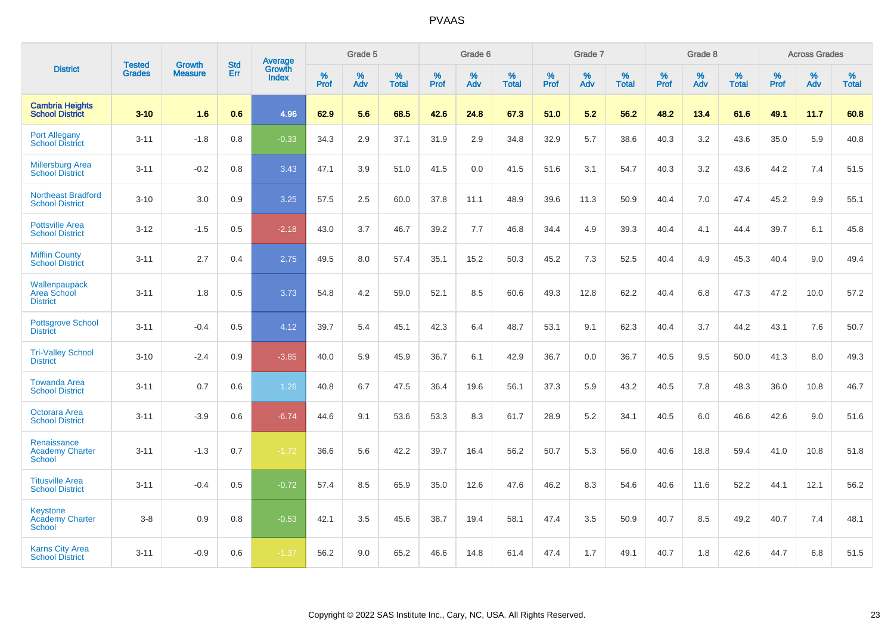|                                                            | <b>Tested</b> | <b>Growth</b>  | <b>Std</b> | <b>Average</b>                |           | Grade 5  |                   |           | Grade 6  |                   |           | Grade 7  |                   |           | Grade 8  |                   |           | <b>Across Grades</b> |                   |
|------------------------------------------------------------|---------------|----------------|------------|-------------------------------|-----------|----------|-------------------|-----------|----------|-------------------|-----------|----------|-------------------|-----------|----------|-------------------|-----------|----------------------|-------------------|
| <b>District</b>                                            | <b>Grades</b> | <b>Measure</b> | Err        | <b>Growth</b><br><b>Index</b> | %<br>Prof | %<br>Adv | %<br><b>Total</b> | %<br>Prof | %<br>Adv | %<br><b>Total</b> | %<br>Prof | %<br>Adv | %<br><b>Total</b> | %<br>Prof | %<br>Adv | %<br><b>Total</b> | %<br>Prof | %<br>Adv             | %<br><b>Total</b> |
| <b>Cambria Heights</b><br><b>School District</b>           | $3 - 10$      | 1.6            | 0.6        | 4.96                          | 62.9      | 5.6      | 68.5              | 42.6      | 24.8     | 67.3              | 51.0      | 5.2      | 56.2              | 48.2      | 13.4     | 61.6              | 49.1      | 11.7                 | 60.8              |
| <b>Port Allegany</b><br><b>School District</b>             | $3 - 11$      | $-1.8$         | 0.8        | $-0.33$                       | 34.3      | 2.9      | 37.1              | 31.9      | 2.9      | 34.8              | 32.9      | 5.7      | 38.6              | 40.3      | 3.2      | 43.6              | 35.0      | 5.9                  | 40.8              |
| <b>Millersburg Area</b><br><b>School District</b>          | $3 - 11$      | $-0.2$         | 0.8        | 3.43                          | 47.1      | 3.9      | 51.0              | 41.5      | 0.0      | 41.5              | 51.6      | 3.1      | 54.7              | 40.3      | 3.2      | 43.6              | 44.2      | 7.4                  | 51.5              |
| <b>Northeast Bradford</b><br><b>School District</b>        | $3 - 10$      | 3.0            | 0.9        | 3.25                          | 57.5      | 2.5      | 60.0              | 37.8      | 11.1     | 48.9              | 39.6      | 11.3     | 50.9              | 40.4      | 7.0      | 47.4              | 45.2      | 9.9                  | 55.1              |
| <b>Pottsville Area</b><br><b>School District</b>           | $3 - 12$      | $-1.5$         | 0.5        | $-2.18$                       | 43.0      | 3.7      | 46.7              | 39.2      | 7.7      | 46.8              | 34.4      | 4.9      | 39.3              | 40.4      | 4.1      | 44.4              | 39.7      | 6.1                  | 45.8              |
| <b>Mifflin County</b><br><b>School District</b>            | $3 - 11$      | 2.7            | 0.4        | 2.75                          | 49.5      | 8.0      | 57.4              | 35.1      | 15.2     | 50.3              | 45.2      | 7.3      | 52.5              | 40.4      | 4.9      | 45.3              | 40.4      | 9.0                  | 49.4              |
| Wallenpaupack<br>Area School<br><b>District</b>            | $3 - 11$      | 1.8            | 0.5        | 3.73                          | 54.8      | 4.2      | 59.0              | 52.1      | 8.5      | 60.6              | 49.3      | 12.8     | 62.2              | 40.4      | 6.8      | 47.3              | 47.2      | 10.0                 | 57.2              |
| <b>Pottsgrove School</b><br><b>District</b>                | $3 - 11$      | $-0.4$         | 0.5        | 4.12                          | 39.7      | 5.4      | 45.1              | 42.3      | 6.4      | 48.7              | 53.1      | 9.1      | 62.3              | 40.4      | 3.7      | 44.2              | 43.1      | 7.6                  | 50.7              |
| <b>Tri-Valley School</b><br><b>District</b>                | $3 - 10$      | $-2.4$         | 0.9        | $-3.85$                       | 40.0      | 5.9      | 45.9              | 36.7      | 6.1      | 42.9              | 36.7      | 0.0      | 36.7              | 40.5      | 9.5      | 50.0              | 41.3      | 8.0                  | 49.3              |
| <b>Towanda Area</b><br><b>School District</b>              | $3 - 11$      | 0.7            | 0.6        | 1.26                          | 40.8      | 6.7      | 47.5              | 36.4      | 19.6     | 56.1              | 37.3      | 5.9      | 43.2              | 40.5      | 7.8      | 48.3              | 36.0      | 10.8                 | 46.7              |
| Octorara Area<br><b>School District</b>                    | $3 - 11$      | $-3.9$         | 0.6        | $-6.74$                       | 44.6      | 9.1      | 53.6              | 53.3      | 8.3      | 61.7              | 28.9      | 5.2      | 34.1              | 40.5      | 6.0      | 46.6              | 42.6      | 9.0                  | 51.6              |
| Renaissance<br><b>Academy Charter</b><br>School            | $3 - 11$      | $-1.3$         | 0.7        | $-1.72$                       | 36.6      | 5.6      | 42.2              | 39.7      | 16.4     | 56.2              | 50.7      | 5.3      | 56.0              | 40.6      | 18.8     | 59.4              | 41.0      | 10.8                 | 51.8              |
| <b>Titusville Area</b><br><b>School District</b>           | $3 - 11$      | $-0.4$         | 0.5        | $-0.72$                       | 57.4      | 8.5      | 65.9              | 35.0      | 12.6     | 47.6              | 46.2      | 8.3      | 54.6              | 40.6      | 11.6     | 52.2              | 44.1      | 12.1                 | 56.2              |
| <b>Keystone</b><br><b>Academy Charter</b><br><b>School</b> | $3-8$         | 0.9            | 0.8        | $-0.53$                       | 42.1      | 3.5      | 45.6              | 38.7      | 19.4     | 58.1              | 47.4      | 3.5      | 50.9              | 40.7      | 8.5      | 49.2              | 40.7      | 7.4                  | 48.1              |
| <b>Karns City Area</b><br><b>School District</b>           | $3 - 11$      | $-0.9$         | 0.6        | $-1.37$                       | 56.2      | 9.0      | 65.2              | 46.6      | 14.8     | 61.4              | 47.4      | 1.7      | 49.1              | 40.7      | 1.8      | 42.6              | 44.7      | 6.8                  | 51.5              |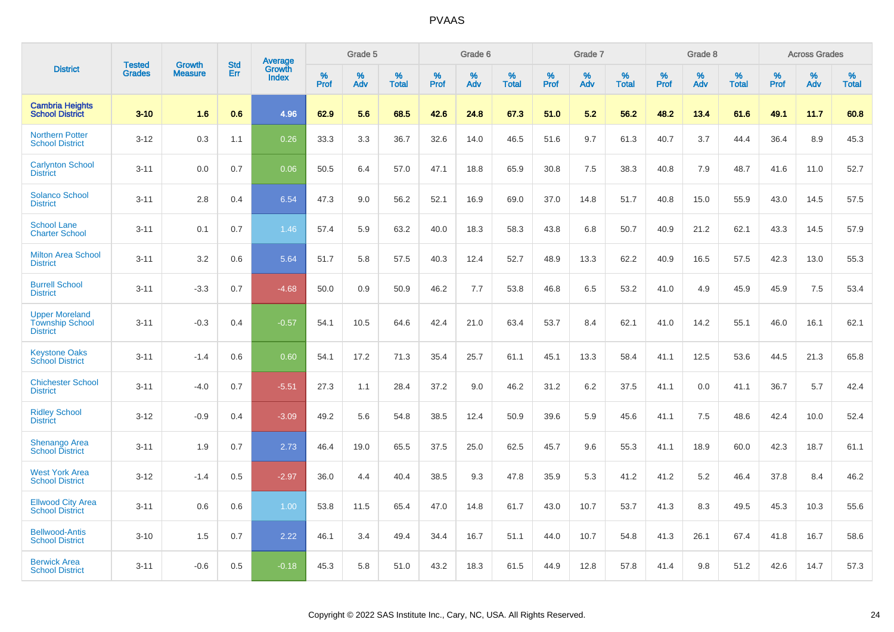|                                                                    | <b>Tested</b> | <b>Growth</b>  | <b>Std</b> | <b>Average</b><br>Growth |              | Grade 5  |                      |                     | Grade 6     |                      |              | Grade 7     |                   |              | Grade 8     |                   |                     | <b>Across Grades</b> |                   |
|--------------------------------------------------------------------|---------------|----------------|------------|--------------------------|--------------|----------|----------------------|---------------------|-------------|----------------------|--------------|-------------|-------------------|--------------|-------------|-------------------|---------------------|----------------------|-------------------|
| <b>District</b>                                                    | <b>Grades</b> | <b>Measure</b> | Err        | <b>Index</b>             | $\%$<br>Prof | %<br>Adv | $\%$<br><b>Total</b> | $\%$<br><b>Prof</b> | $\%$<br>Adv | $\%$<br><b>Total</b> | $\%$<br>Prof | $\%$<br>Adv | %<br><b>Total</b> | $\%$<br>Prof | $\%$<br>Adv | %<br><b>Total</b> | $\%$<br><b>Prof</b> | $\%$<br>Adv          | %<br><b>Total</b> |
| <b>Cambria Heights</b><br><b>School District</b>                   | $3 - 10$      | 1.6            | 0.6        | 4.96                     | 62.9         | 5.6      | 68.5                 | 42.6                | 24.8        | 67.3                 | 51.0         | 5.2         | 56.2              | 48.2         | 13.4        | 61.6              | 49.1                | 11.7                 | 60.8              |
| <b>Northern Potter</b><br><b>School District</b>                   | $3 - 12$      | 0.3            | 1.1        | 0.26                     | 33.3         | 3.3      | 36.7                 | 32.6                | 14.0        | 46.5                 | 51.6         | 9.7         | 61.3              | 40.7         | 3.7         | 44.4              | 36.4                | 8.9                  | 45.3              |
| <b>Carlynton School</b><br><b>District</b>                         | $3 - 11$      | 0.0            | 0.7        | 0.06                     | 50.5         | 6.4      | 57.0                 | 47.1                | 18.8        | 65.9                 | 30.8         | 7.5         | 38.3              | 40.8         | 7.9         | 48.7              | 41.6                | 11.0                 | 52.7              |
| <b>Solanco School</b><br><b>District</b>                           | $3 - 11$      | 2.8            | 0.4        | 6.54                     | 47.3         | 9.0      | 56.2                 | 52.1                | 16.9        | 69.0                 | 37.0         | 14.8        | 51.7              | 40.8         | 15.0        | 55.9              | 43.0                | 14.5                 | 57.5              |
| <b>School Lane</b><br><b>Charter School</b>                        | $3 - 11$      | 0.1            | 0.7        | 1.46                     | 57.4         | 5.9      | 63.2                 | 40.0                | 18.3        | 58.3                 | 43.8         | 6.8         | 50.7              | 40.9         | 21.2        | 62.1              | 43.3                | 14.5                 | 57.9              |
| <b>Milton Area School</b><br><b>District</b>                       | $3 - 11$      | 3.2            | 0.6        | 5.64                     | 51.7         | 5.8      | 57.5                 | 40.3                | 12.4        | 52.7                 | 48.9         | 13.3        | 62.2              | 40.9         | 16.5        | 57.5              | 42.3                | 13.0                 | 55.3              |
| <b>Burrell School</b><br><b>District</b>                           | $3 - 11$      | $-3.3$         | 0.7        | $-4.68$                  | 50.0         | 0.9      | 50.9                 | 46.2                | 7.7         | 53.8                 | 46.8         | 6.5         | 53.2              | 41.0         | 4.9         | 45.9              | 45.9                | 7.5                  | 53.4              |
| <b>Upper Moreland</b><br><b>Township School</b><br><b>District</b> | $3 - 11$      | $-0.3$         | 0.4        | $-0.57$                  | 54.1         | 10.5     | 64.6                 | 42.4                | 21.0        | 63.4                 | 53.7         | 8.4         | 62.1              | 41.0         | 14.2        | 55.1              | 46.0                | 16.1                 | 62.1              |
| <b>Keystone Oaks</b><br><b>School District</b>                     | $3 - 11$      | $-1.4$         | 0.6        | 0.60                     | 54.1         | 17.2     | 71.3                 | 35.4                | 25.7        | 61.1                 | 45.1         | 13.3        | 58.4              | 41.1         | 12.5        | 53.6              | 44.5                | 21.3                 | 65.8              |
| <b>Chichester School</b><br><b>District</b>                        | $3 - 11$      | $-4.0$         | 0.7        | $-5.51$                  | 27.3         | 1.1      | 28.4                 | 37.2                | 9.0         | 46.2                 | 31.2         | 6.2         | 37.5              | 41.1         | 0.0         | 41.1              | 36.7                | 5.7                  | 42.4              |
| <b>Ridley School</b><br><b>District</b>                            | $3 - 12$      | $-0.9$         | 0.4        | $-3.09$                  | 49.2         | 5.6      | 54.8                 | 38.5                | 12.4        | 50.9                 | 39.6         | 5.9         | 45.6              | 41.1         | 7.5         | 48.6              | 42.4                | 10.0                 | 52.4              |
| Shenango Area<br><b>School District</b>                            | $3 - 11$      | 1.9            | 0.7        | 2.73                     | 46.4         | 19.0     | 65.5                 | 37.5                | 25.0        | 62.5                 | 45.7         | 9.6         | 55.3              | 41.1         | 18.9        | 60.0              | 42.3                | 18.7                 | 61.1              |
| <b>West York Area</b><br><b>School District</b>                    | $3 - 12$      | $-1.4$         | 0.5        | $-2.97$                  | 36.0         | 4.4      | 40.4                 | 38.5                | 9.3         | 47.8                 | 35.9         | 5.3         | 41.2              | 41.2         | 5.2         | 46.4              | 37.8                | 8.4                  | 46.2              |
| <b>Ellwood City Area</b><br><b>School District</b>                 | $3 - 11$      | 0.6            | 0.6        | 1.00                     | 53.8         | 11.5     | 65.4                 | 47.0                | 14.8        | 61.7                 | 43.0         | 10.7        | 53.7              | 41.3         | 8.3         | 49.5              | 45.3                | 10.3                 | 55.6              |
| <b>Bellwood-Antis</b><br><b>School District</b>                    | $3 - 10$      | 1.5            | 0.7        | 2.22                     | 46.1         | 3.4      | 49.4                 | 34.4                | 16.7        | 51.1                 | 44.0         | 10.7        | 54.8              | 41.3         | 26.1        | 67.4              | 41.8                | 16.7                 | 58.6              |
| <b>Berwick Area</b><br><b>School District</b>                      | $3 - 11$      | $-0.6$         | 0.5        | $-0.18$                  | 45.3         | 5.8      | 51.0                 | 43.2                | 18.3        | 61.5                 | 44.9         | 12.8        | 57.8              | 41.4         | 9.8         | 51.2              | 42.6                | 14.7                 | 57.3              |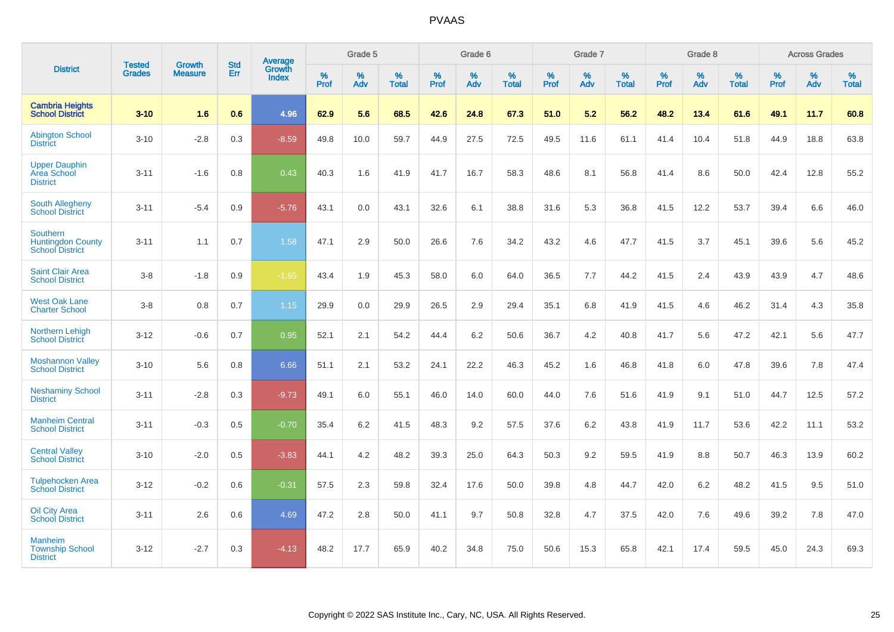|                                                                       |                                | <b>Growth</b>  | <b>Std</b> | Average                |           | Grade 5  |                   |           | Grade 6  |                   |           | Grade 7  |                   |           | Grade 8  |                   |           | <b>Across Grades</b> |                   |
|-----------------------------------------------------------------------|--------------------------------|----------------|------------|------------------------|-----------|----------|-------------------|-----------|----------|-------------------|-----------|----------|-------------------|-----------|----------|-------------------|-----------|----------------------|-------------------|
| <b>District</b>                                                       | <b>Tested</b><br><b>Grades</b> | <b>Measure</b> | Err        | Growth<br><b>Index</b> | %<br>Prof | %<br>Adv | %<br><b>Total</b> | %<br>Prof | %<br>Adv | %<br><b>Total</b> | %<br>Prof | %<br>Adv | %<br><b>Total</b> | %<br>Prof | %<br>Adv | %<br><b>Total</b> | %<br>Prof | %<br>Adv             | %<br><b>Total</b> |
| <b>Cambria Heights</b><br><b>School District</b>                      | $3 - 10$                       | 1.6            | 0.6        | 4.96                   | 62.9      | 5.6      | 68.5              | 42.6      | 24.8     | 67.3              | 51.0      | 5.2      | 56.2              | 48.2      | 13.4     | 61.6              | 49.1      | 11.7                 | 60.8              |
| <b>Abington School</b><br><b>District</b>                             | $3 - 10$                       | $-2.8$         | 0.3        | $-8.59$                | 49.8      | 10.0     | 59.7              | 44.9      | 27.5     | 72.5              | 49.5      | 11.6     | 61.1              | 41.4      | 10.4     | 51.8              | 44.9      | 18.8                 | 63.8              |
| <b>Upper Dauphin</b><br>Area School<br><b>District</b>                | $3 - 11$                       | $-1.6$         | 0.8        | 0.43                   | 40.3      | 1.6      | 41.9              | 41.7      | 16.7     | 58.3              | 48.6      | 8.1      | 56.8              | 41.4      | 8.6      | 50.0              | 42.4      | 12.8                 | 55.2              |
| <b>South Allegheny</b><br><b>School District</b>                      | $3 - 11$                       | $-5.4$         | 0.9        | $-5.76$                | 43.1      | 0.0      | 43.1              | 32.6      | 6.1      | 38.8              | 31.6      | 5.3      | 36.8              | 41.5      | 12.2     | 53.7              | 39.4      | 6.6                  | 46.0              |
| <b>Southern</b><br><b>Huntingdon County</b><br><b>School District</b> | $3 - 11$                       | 1.1            | 0.7        | 1.58                   | 47.1      | 2.9      | 50.0              | 26.6      | 7.6      | 34.2              | 43.2      | 4.6      | 47.7              | 41.5      | 3.7      | 45.1              | 39.6      | 5.6                  | 45.2              |
| <b>Saint Clair Area</b><br><b>School District</b>                     | $3 - 8$                        | $-1.8$         | 0.9        | $-1.95$                | 43.4      | 1.9      | 45.3              | 58.0      | 6.0      | 64.0              | 36.5      | 7.7      | 44.2              | 41.5      | 2.4      | 43.9              | 43.9      | 4.7                  | 48.6              |
| <b>West Oak Lane</b><br><b>Charter School</b>                         | $3 - 8$                        | 0.8            | 0.7        | 1.15                   | 29.9      | 0.0      | 29.9              | 26.5      | 2.9      | 29.4              | 35.1      | 6.8      | 41.9              | 41.5      | 4.6      | 46.2              | 31.4      | 4.3                  | 35.8              |
| <b>Northern Lehigh</b><br><b>School District</b>                      | $3 - 12$                       | $-0.6$         | 0.7        | 0.95                   | 52.1      | 2.1      | 54.2              | 44.4      | 6.2      | 50.6              | 36.7      | 4.2      | 40.8              | 41.7      | 5.6      | 47.2              | 42.1      | 5.6                  | 47.7              |
| <b>Moshannon Valley</b><br><b>School District</b>                     | $3 - 10$                       | 5.6            | 0.8        | 6.66                   | 51.1      | 2.1      | 53.2              | 24.1      | 22.2     | 46.3              | 45.2      | 1.6      | 46.8              | 41.8      | 6.0      | 47.8              | 39.6      | 7.8                  | 47.4              |
| <b>Neshaminy School</b><br><b>District</b>                            | $3 - 11$                       | $-2.8$         | 0.3        | $-9.73$                | 49.1      | 6.0      | 55.1              | 46.0      | 14.0     | 60.0              | 44.0      | 7.6      | 51.6              | 41.9      | 9.1      | 51.0              | 44.7      | 12.5                 | 57.2              |
| <b>Manheim Central</b><br><b>School District</b>                      | $3 - 11$                       | $-0.3$         | 0.5        | $-0.70$                | 35.4      | 6.2      | 41.5              | 48.3      | 9.2      | 57.5              | 37.6      | $6.2\,$  | 43.8              | 41.9      | 11.7     | 53.6              | 42.2      | 11.1                 | 53.2              |
| <b>Central Valley</b><br><b>School District</b>                       | $3 - 10$                       | $-2.0$         | 0.5        | $-3.83$                | 44.1      | 4.2      | 48.2              | 39.3      | 25.0     | 64.3              | 50.3      | 9.2      | 59.5              | 41.9      | 8.8      | 50.7              | 46.3      | 13.9                 | 60.2              |
| <b>Tulpehocken Area</b><br><b>School District</b>                     | $3 - 12$                       | $-0.2$         | 0.6        | $-0.31$                | 57.5      | 2.3      | 59.8              | 32.4      | 17.6     | 50.0              | 39.8      | 4.8      | 44.7              | 42.0      | $6.2\,$  | 48.2              | 41.5      | 9.5                  | 51.0              |
| <b>Oil City Area</b><br><b>School District</b>                        | $3 - 11$                       | 2.6            | 0.6        | 4.69                   | 47.2      | 2.8      | 50.0              | 41.1      | 9.7      | 50.8              | 32.8      | 4.7      | 37.5              | 42.0      | 7.6      | 49.6              | 39.2      | 7.8                  | 47.0              |
| <b>Manheim</b><br><b>Township School</b><br><b>District</b>           | $3 - 12$                       | $-2.7$         | 0.3        | $-4.13$                | 48.2      | 17.7     | 65.9              | 40.2      | 34.8     | 75.0              | 50.6      | 15.3     | 65.8              | 42.1      | 17.4     | 59.5              | 45.0      | 24.3                 | 69.3              |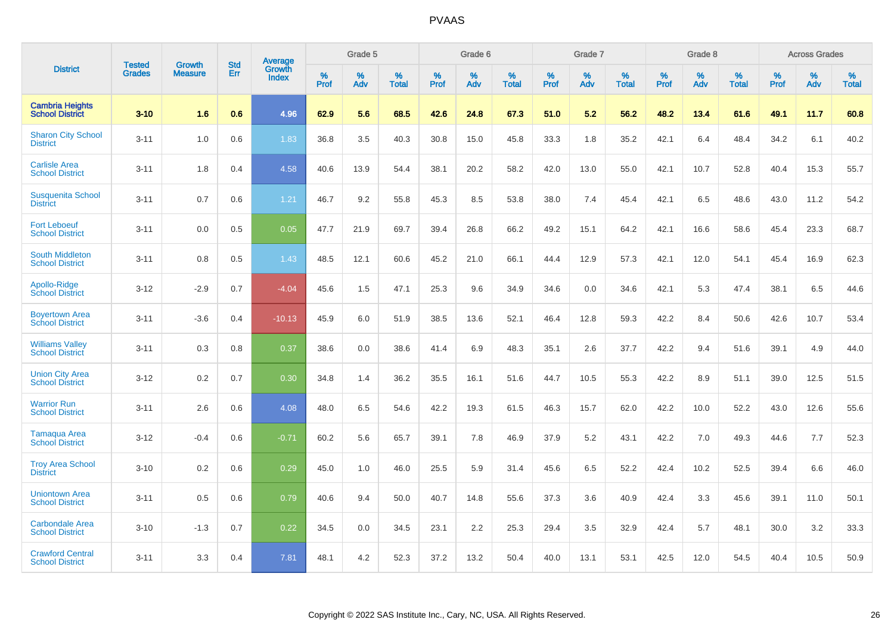|                                                   |                                |                                 | <b>Std</b> | Average                |           | Grade 5  |                   |           | Grade 6  |                   |              | Grade 7  |                   |           | Grade 8  |                   |           | <b>Across Grades</b> |                   |
|---------------------------------------------------|--------------------------------|---------------------------------|------------|------------------------|-----------|----------|-------------------|-----------|----------|-------------------|--------------|----------|-------------------|-----------|----------|-------------------|-----------|----------------------|-------------------|
| <b>District</b>                                   | <b>Tested</b><br><b>Grades</b> | <b>Growth</b><br><b>Measure</b> | Err        | Growth<br><b>Index</b> | %<br>Prof | %<br>Adv | %<br><b>Total</b> | %<br>Prof | %<br>Adv | %<br><b>Total</b> | $\%$<br>Prof | %<br>Adv | %<br><b>Total</b> | %<br>Prof | %<br>Adv | %<br><b>Total</b> | %<br>Prof | %<br>Adv             | %<br><b>Total</b> |
| <b>Cambria Heights</b><br><b>School District</b>  | $3 - 10$                       | 1.6                             | 0.6        | 4.96                   | 62.9      | 5.6      | 68.5              | 42.6      | 24.8     | 67.3              | 51.0         | 5.2      | 56.2              | 48.2      | 13.4     | 61.6              | 49.1      | 11.7                 | 60.8              |
| <b>Sharon City School</b><br><b>District</b>      | $3 - 11$                       | 1.0                             | 0.6        | 1.83                   | 36.8      | 3.5      | 40.3              | 30.8      | 15.0     | 45.8              | 33.3         | 1.8      | 35.2              | 42.1      | 6.4      | 48.4              | 34.2      | 6.1                  | 40.2              |
| <b>Carlisle Area</b><br><b>School District</b>    | $3 - 11$                       | 1.8                             | 0.4        | 4.58                   | 40.6      | 13.9     | 54.4              | 38.1      | 20.2     | 58.2              | 42.0         | 13.0     | 55.0              | 42.1      | 10.7     | 52.8              | 40.4      | 15.3                 | 55.7              |
| <b>Susquenita School</b><br><b>District</b>       | $3 - 11$                       | 0.7                             | 0.6        | 1.21                   | 46.7      | 9.2      | 55.8              | 45.3      | 8.5      | 53.8              | 38.0         | 7.4      | 45.4              | 42.1      | 6.5      | 48.6              | 43.0      | 11.2                 | 54.2              |
| <b>Fort Leboeuf</b><br><b>School District</b>     | $3 - 11$                       | 0.0                             | 0.5        | 0.05                   | 47.7      | 21.9     | 69.7              | 39.4      | 26.8     | 66.2              | 49.2         | 15.1     | 64.2              | 42.1      | 16.6     | 58.6              | 45.4      | 23.3                 | 68.7              |
| <b>South Middleton</b><br><b>School District</b>  | $3 - 11$                       | 0.8                             | 0.5        | 1.43                   | 48.5      | 12.1     | 60.6              | 45.2      | 21.0     | 66.1              | 44.4         | 12.9     | 57.3              | 42.1      | 12.0     | 54.1              | 45.4      | 16.9                 | 62.3              |
| Apollo-Ridge<br><b>School District</b>            | $3 - 12$                       | $-2.9$                          | 0.7        | $-4.04$                | 45.6      | 1.5      | 47.1              | 25.3      | 9.6      | 34.9              | 34.6         | 0.0      | 34.6              | 42.1      | 5.3      | 47.4              | 38.1      | 6.5                  | 44.6              |
| <b>Boyertown Area</b><br><b>School District</b>   | $3 - 11$                       | $-3.6$                          | 0.4        | $-10.13$               | 45.9      | 6.0      | 51.9              | 38.5      | 13.6     | 52.1              | 46.4         | 12.8     | 59.3              | 42.2      | 8.4      | 50.6              | 42.6      | 10.7                 | 53.4              |
| <b>Williams Valley</b><br><b>School District</b>  | $3 - 11$                       | 0.3                             | 0.8        | 0.37                   | 38.6      | 0.0      | 38.6              | 41.4      | 6.9      | 48.3              | 35.1         | 2.6      | 37.7              | 42.2      | 9.4      | 51.6              | 39.1      | 4.9                  | 44.0              |
| <b>Union City Area</b><br><b>School District</b>  | $3 - 12$                       | 0.2                             | 0.7        | 0.30                   | 34.8      | 1.4      | 36.2              | 35.5      | 16.1     | 51.6              | 44.7         | 10.5     | 55.3              | 42.2      | 8.9      | 51.1              | 39.0      | 12.5                 | 51.5              |
| <b>Warrior Run</b><br><b>School District</b>      | $3 - 11$                       | 2.6                             | 0.6        | 4.08                   | 48.0      | 6.5      | 54.6              | 42.2      | 19.3     | 61.5              | 46.3         | 15.7     | 62.0              | 42.2      | 10.0     | 52.2              | 43.0      | 12.6                 | 55.6              |
| <b>Tamaqua Area</b><br><b>School District</b>     | $3 - 12$                       | $-0.4$                          | 0.6        | $-0.71$                | 60.2      | 5.6      | 65.7              | 39.1      | 7.8      | 46.9              | 37.9         | 5.2      | 43.1              | 42.2      | 7.0      | 49.3              | 44.6      | 7.7                  | 52.3              |
| <b>Troy Area School</b><br><b>District</b>        | $3 - 10$                       | 0.2                             | 0.6        | 0.29                   | 45.0      | 1.0      | 46.0              | 25.5      | 5.9      | 31.4              | 45.6         | 6.5      | 52.2              | 42.4      | 10.2     | 52.5              | 39.4      | 6.6                  | 46.0              |
| <b>Uniontown Area</b><br><b>School District</b>   | $3 - 11$                       | 0.5                             | 0.6        | 0.79                   | 40.6      | 9.4      | 50.0              | 40.7      | 14.8     | 55.6              | 37.3         | 3.6      | 40.9              | 42.4      | 3.3      | 45.6              | 39.1      | 11.0                 | 50.1              |
| <b>Carbondale Area</b><br><b>School District</b>  | $3 - 10$                       | $-1.3$                          | 0.7        | 0.22                   | 34.5      | 0.0      | 34.5              | 23.1      | 2.2      | 25.3              | 29.4         | 3.5      | 32.9              | 42.4      | 5.7      | 48.1              | 30.0      | 3.2                  | 33.3              |
| <b>Crawford Central</b><br><b>School District</b> | $3 - 11$                       | 3.3                             | 0.4        | 7.81                   | 48.1      | 4.2      | 52.3              | 37.2      | 13.2     | 50.4              | 40.0         | 13.1     | 53.1              | 42.5      | 12.0     | 54.5              | 40.4      | 10.5                 | 50.9              |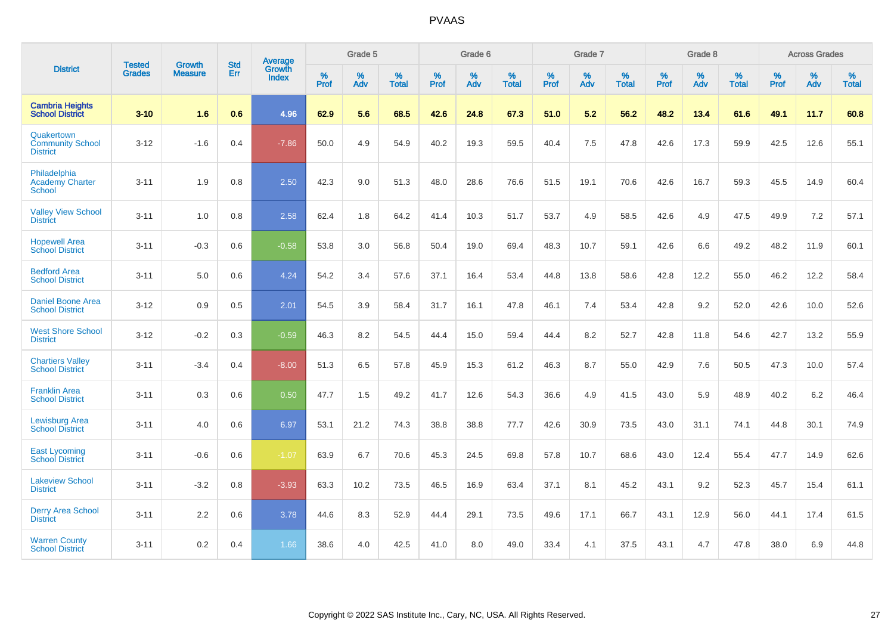|                                                          |                                |                                 | <b>Std</b> | Average                |           | Grade 5  |                   |           | Grade 6  |                   |           | Grade 7  |                   |           | Grade 8  |                   |           | <b>Across Grades</b> |                   |
|----------------------------------------------------------|--------------------------------|---------------------------------|------------|------------------------|-----------|----------|-------------------|-----------|----------|-------------------|-----------|----------|-------------------|-----------|----------|-------------------|-----------|----------------------|-------------------|
| <b>District</b>                                          | <b>Tested</b><br><b>Grades</b> | <b>Growth</b><br><b>Measure</b> | Err        | Growth<br><b>Index</b> | %<br>Prof | %<br>Adv | %<br><b>Total</b> | %<br>Prof | %<br>Adv | %<br><b>Total</b> | %<br>Prof | %<br>Adv | %<br><b>Total</b> | %<br>Prof | %<br>Adv | %<br><b>Total</b> | %<br>Prof | %<br>Adv             | %<br><b>Total</b> |
| <b>Cambria Heights</b><br><b>School District</b>         | $3 - 10$                       | 1.6                             | 0.6        | 4.96                   | 62.9      | 5.6      | 68.5              | 42.6      | 24.8     | 67.3              | 51.0      | 5.2      | 56.2              | 48.2      | 13.4     | 61.6              | 49.1      | 11.7                 | 60.8              |
| Quakertown<br><b>Community School</b><br><b>District</b> | $3 - 12$                       | $-1.6$                          | 0.4        | $-7.86$                | 50.0      | 4.9      | 54.9              | 40.2      | 19.3     | 59.5              | 40.4      | 7.5      | 47.8              | 42.6      | 17.3     | 59.9              | 42.5      | 12.6                 | 55.1              |
| Philadelphia<br><b>Academy Charter</b><br><b>School</b>  | $3 - 11$                       | 1.9                             | 0.8        | 2.50                   | 42.3      | 9.0      | 51.3              | 48.0      | 28.6     | 76.6              | 51.5      | 19.1     | 70.6              | 42.6      | 16.7     | 59.3              | 45.5      | 14.9                 | 60.4              |
| <b>Valley View School</b><br><b>District</b>             | $3 - 11$                       | 1.0                             | 0.8        | 2.58                   | 62.4      | 1.8      | 64.2              | 41.4      | 10.3     | 51.7              | 53.7      | 4.9      | 58.5              | 42.6      | 4.9      | 47.5              | 49.9      | 7.2                  | 57.1              |
| <b>Hopewell Area</b><br><b>School District</b>           | $3 - 11$                       | $-0.3$                          | 0.6        | $-0.58$                | 53.8      | 3.0      | 56.8              | 50.4      | 19.0     | 69.4              | 48.3      | 10.7     | 59.1              | 42.6      | 6.6      | 49.2              | 48.2      | 11.9                 | 60.1              |
| <b>Bedford Area</b><br><b>School District</b>            | $3 - 11$                       | 5.0                             | 0.6        | 4.24                   | 54.2      | 3.4      | 57.6              | 37.1      | 16.4     | 53.4              | 44.8      | 13.8     | 58.6              | 42.8      | 12.2     | 55.0              | 46.2      | 12.2                 | 58.4              |
| <b>Daniel Boone Area</b><br><b>School District</b>       | $3 - 12$                       | 0.9                             | 0.5        | 2.01                   | 54.5      | 3.9      | 58.4              | 31.7      | 16.1     | 47.8              | 46.1      | 7.4      | 53.4              | 42.8      | 9.2      | 52.0              | 42.6      | 10.0                 | 52.6              |
| <b>West Shore School</b><br><b>District</b>              | $3 - 12$                       | $-0.2$                          | 0.3        | $-0.59$                | 46.3      | 8.2      | 54.5              | 44.4      | 15.0     | 59.4              | 44.4      | 8.2      | 52.7              | 42.8      | 11.8     | 54.6              | 42.7      | 13.2                 | 55.9              |
| <b>Chartiers Valley</b><br><b>School District</b>        | $3 - 11$                       | $-3.4$                          | 0.4        | $-8.00$                | 51.3      | 6.5      | 57.8              | 45.9      | 15.3     | 61.2              | 46.3      | 8.7      | 55.0              | 42.9      | 7.6      | 50.5              | 47.3      | 10.0                 | 57.4              |
| <b>Franklin Area</b><br><b>School District</b>           | $3 - 11$                       | 0.3                             | 0.6        | 0.50                   | 47.7      | 1.5      | 49.2              | 41.7      | 12.6     | 54.3              | 36.6      | 4.9      | 41.5              | 43.0      | 5.9      | 48.9              | 40.2      | 6.2                  | 46.4              |
| <b>Lewisburg Area</b><br><b>School District</b>          | $3 - 11$                       | 4.0                             | 0.6        | 6.97                   | 53.1      | 21.2     | 74.3              | 38.8      | 38.8     | 77.7              | 42.6      | 30.9     | 73.5              | 43.0      | 31.1     | 74.1              | 44.8      | 30.1                 | 74.9              |
| <b>East Lycoming</b><br><b>School District</b>           | $3 - 11$                       | $-0.6$                          | 0.6        | $-1.07$                | 63.9      | 6.7      | 70.6              | 45.3      | 24.5     | 69.8              | 57.8      | 10.7     | 68.6              | 43.0      | 12.4     | 55.4              | 47.7      | 14.9                 | 62.6              |
| <b>Lakeview School</b><br><b>District</b>                | $3 - 11$                       | $-3.2$                          | 0.8        | $-3.93$                | 63.3      | 10.2     | 73.5              | 46.5      | 16.9     | 63.4              | 37.1      | 8.1      | 45.2              | 43.1      | 9.2      | 52.3              | 45.7      | 15.4                 | 61.1              |
| <b>Derry Area School</b><br><b>District</b>              | $3 - 11$                       | 2.2                             | 0.6        | 3.78                   | 44.6      | 8.3      | 52.9              | 44.4      | 29.1     | 73.5              | 49.6      | 17.1     | 66.7              | 43.1      | 12.9     | 56.0              | 44.1      | 17.4                 | 61.5              |
| <b>Warren County</b><br><b>School District</b>           | $3 - 11$                       | 0.2                             | 0.4        | 1.66                   | 38.6      | 4.0      | 42.5              | 41.0      | 8.0      | 49.0              | 33.4      | 4.1      | 37.5              | 43.1      | 4.7      | 47.8              | 38.0      | 6.9                  | 44.8              |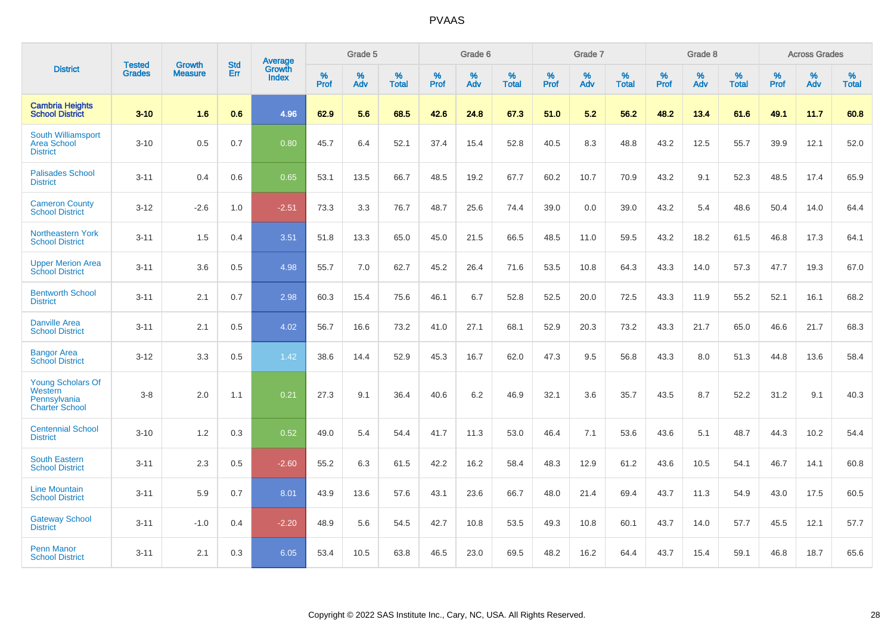|                                                                              | <b>Tested</b> | <b>Growth</b>  | <b>Std</b> | Average                       |           | Grade 5  |                   |           | Grade 6  |                   |           | Grade 7  |                   |           | Grade 8  |                   |           | <b>Across Grades</b> |                   |
|------------------------------------------------------------------------------|---------------|----------------|------------|-------------------------------|-----------|----------|-------------------|-----------|----------|-------------------|-----------|----------|-------------------|-----------|----------|-------------------|-----------|----------------------|-------------------|
| <b>District</b>                                                              | <b>Grades</b> | <b>Measure</b> | Err        | <b>Growth</b><br><b>Index</b> | %<br>Prof | %<br>Adv | %<br><b>Total</b> | %<br>Prof | %<br>Adv | %<br><b>Total</b> | %<br>Prof | %<br>Adv | %<br><b>Total</b> | %<br>Prof | %<br>Adv | %<br><b>Total</b> | %<br>Prof | %<br>Adv             | %<br><b>Total</b> |
| <b>Cambria Heights</b><br><b>School District</b>                             | $3 - 10$      | 1.6            | 0.6        | 4.96                          | 62.9      | 5.6      | 68.5              | 42.6      | 24.8     | 67.3              | 51.0      | 5.2      | 56.2              | 48.2      | 13.4     | 61.6              | 49.1      | 11.7                 | 60.8              |
| South Williamsport<br><b>Area School</b><br><b>District</b>                  | $3 - 10$      | 0.5            | 0.7        | 0.80                          | 45.7      | 6.4      | 52.1              | 37.4      | 15.4     | 52.8              | 40.5      | 8.3      | 48.8              | 43.2      | 12.5     | 55.7              | 39.9      | 12.1                 | 52.0              |
| <b>Palisades School</b><br><b>District</b>                                   | $3 - 11$      | 0.4            | 0.6        | 0.65                          | 53.1      | 13.5     | 66.7              | 48.5      | 19.2     | 67.7              | 60.2      | 10.7     | 70.9              | 43.2      | 9.1      | 52.3              | 48.5      | 17.4                 | 65.9              |
| <b>Cameron County</b><br><b>School District</b>                              | $3 - 12$      | $-2.6$         | 1.0        | $-2.51$                       | 73.3      | 3.3      | 76.7              | 48.7      | 25.6     | 74.4              | 39.0      | 0.0      | 39.0              | 43.2      | 5.4      | 48.6              | 50.4      | 14.0                 | 64.4              |
| <b>Northeastern York</b><br><b>School District</b>                           | $3 - 11$      | 1.5            | 0.4        | 3.51                          | 51.8      | 13.3     | 65.0              | 45.0      | 21.5     | 66.5              | 48.5      | 11.0     | 59.5              | 43.2      | 18.2     | 61.5              | 46.8      | 17.3                 | 64.1              |
| <b>Upper Merion Area</b><br><b>School District</b>                           | $3 - 11$      | 3.6            | 0.5        | 4.98                          | 55.7      | 7.0      | 62.7              | 45.2      | 26.4     | 71.6              | 53.5      | 10.8     | 64.3              | 43.3      | 14.0     | 57.3              | 47.7      | 19.3                 | 67.0              |
| <b>Bentworth School</b><br><b>District</b>                                   | $3 - 11$      | 2.1            | 0.7        | 2.98                          | 60.3      | 15.4     | 75.6              | 46.1      | 6.7      | 52.8              | 52.5      | 20.0     | 72.5              | 43.3      | 11.9     | 55.2              | 52.1      | 16.1                 | 68.2              |
| <b>Danville Area</b><br><b>School District</b>                               | $3 - 11$      | 2.1            | 0.5        | 4.02                          | 56.7      | 16.6     | 73.2              | 41.0      | 27.1     | 68.1              | 52.9      | 20.3     | 73.2              | 43.3      | 21.7     | 65.0              | 46.6      | 21.7                 | 68.3              |
| <b>Bangor Area</b><br><b>School District</b>                                 | $3 - 12$      | 3.3            | 0.5        | 1.42                          | 38.6      | 14.4     | 52.9              | 45.3      | 16.7     | 62.0              | 47.3      | 9.5      | 56.8              | 43.3      | 8.0      | 51.3              | 44.8      | 13.6                 | 58.4              |
| <b>Young Scholars Of</b><br>Western<br>Pennsylvania<br><b>Charter School</b> | $3 - 8$       | 2.0            | 1.1        | 0.21                          | 27.3      | 9.1      | 36.4              | 40.6      | 6.2      | 46.9              | 32.1      | 3.6      | 35.7              | 43.5      | 8.7      | 52.2              | 31.2      | 9.1                  | 40.3              |
| <b>Centennial School</b><br><b>District</b>                                  | $3 - 10$      | 1.2            | 0.3        | 0.52                          | 49.0      | 5.4      | 54.4              | 41.7      | 11.3     | 53.0              | 46.4      | 7.1      | 53.6              | 43.6      | 5.1      | 48.7              | 44.3      | 10.2                 | 54.4              |
| <b>South Eastern</b><br><b>School District</b>                               | $3 - 11$      | 2.3            | 0.5        | $-2.60$                       | 55.2      | 6.3      | 61.5              | 42.2      | 16.2     | 58.4              | 48.3      | 12.9     | 61.2              | 43.6      | 10.5     | 54.1              | 46.7      | 14.1                 | 60.8              |
| <b>Line Mountain</b><br><b>School District</b>                               | $3 - 11$      | 5.9            | 0.7        | 8.01                          | 43.9      | 13.6     | 57.6              | 43.1      | 23.6     | 66.7              | 48.0      | 21.4     | 69.4              | 43.7      | 11.3     | 54.9              | 43.0      | 17.5                 | 60.5              |
| <b>Gateway School</b><br><b>District</b>                                     | $3 - 11$      | $-1.0$         | 0.4        | $-2.20$                       | 48.9      | 5.6      | 54.5              | 42.7      | 10.8     | 53.5              | 49.3      | 10.8     | 60.1              | 43.7      | 14.0     | 57.7              | 45.5      | 12.1                 | 57.7              |
| <b>Penn Manor</b><br><b>School District</b>                                  | $3 - 11$      | 2.1            | 0.3        | 6.05                          | 53.4      | 10.5     | 63.8              | 46.5      | 23.0     | 69.5              | 48.2      | 16.2     | 64.4              | 43.7      | 15.4     | 59.1              | 46.8      | 18.7                 | 65.6              |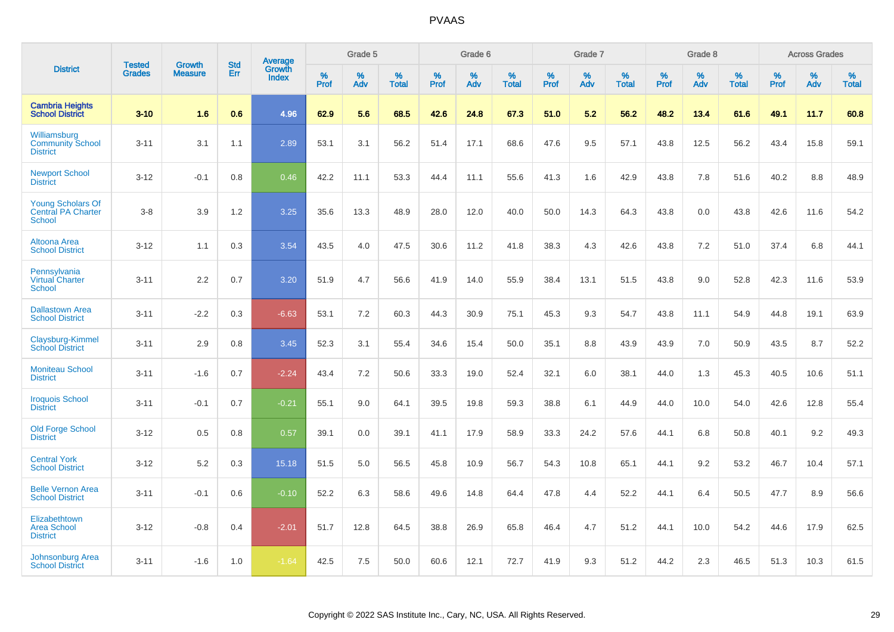|                                                                        |                                | <b>Growth</b>  | <b>Std</b> | Average                |              | Grade 5  |                   |           | Grade 6  |                   |           | Grade 7  |                   |              | Grade 8  |                   |              | <b>Across Grades</b> |                   |
|------------------------------------------------------------------------|--------------------------------|----------------|------------|------------------------|--------------|----------|-------------------|-----------|----------|-------------------|-----------|----------|-------------------|--------------|----------|-------------------|--------------|----------------------|-------------------|
| <b>District</b>                                                        | <b>Tested</b><br><b>Grades</b> | <b>Measure</b> | <b>Err</b> | Growth<br><b>Index</b> | $\%$<br>Prof | %<br>Adv | %<br><b>Total</b> | %<br>Prof | %<br>Adv | %<br><b>Total</b> | %<br>Prof | %<br>Adv | %<br><b>Total</b> | $\%$<br>Prof | %<br>Adv | %<br><b>Total</b> | $\%$<br>Prof | %<br>Adv             | %<br><b>Total</b> |
| <b>Cambria Heights</b><br><b>School District</b>                       | $3 - 10$                       | 1.6            | 0.6        | 4.96                   | 62.9         | 5.6      | 68.5              | 42.6      | 24.8     | 67.3              | 51.0      | 5.2      | 56.2              | 48.2         | 13.4     | 61.6              | 49.1         | 11.7                 | 60.8              |
| Williamsburg<br><b>Community School</b><br><b>District</b>             | $3 - 11$                       | 3.1            | 1.1        | 2.89                   | 53.1         | 3.1      | 56.2              | 51.4      | 17.1     | 68.6              | 47.6      | 9.5      | 57.1              | 43.8         | 12.5     | 56.2              | 43.4         | 15.8                 | 59.1              |
| <b>Newport School</b><br><b>District</b>                               | $3 - 12$                       | $-0.1$         | 0.8        | 0.46                   | 42.2         | 11.1     | 53.3              | 44.4      | 11.1     | 55.6              | 41.3      | 1.6      | 42.9              | 43.8         | 7.8      | 51.6              | 40.2         | 8.8                  | 48.9              |
| <b>Young Scholars Of</b><br><b>Central PA Charter</b><br><b>School</b> | $3 - 8$                        | 3.9            | 1.2        | 3.25                   | 35.6         | 13.3     | 48.9              | 28.0      | 12.0     | 40.0              | 50.0      | 14.3     | 64.3              | 43.8         | 0.0      | 43.8              | 42.6         | 11.6                 | 54.2              |
| <b>Altoona Area</b><br><b>School District</b>                          | $3 - 12$                       | 1.1            | 0.3        | 3.54                   | 43.5         | 4.0      | 47.5              | 30.6      | 11.2     | 41.8              | 38.3      | 4.3      | 42.6              | 43.8         | 7.2      | 51.0              | 37.4         | 6.8                  | 44.1              |
| Pennsylvania<br><b>Virtual Charter</b><br><b>School</b>                | $3 - 11$                       | 2.2            | 0.7        | 3.20                   | 51.9         | 4.7      | 56.6              | 41.9      | 14.0     | 55.9              | 38.4      | 13.1     | 51.5              | 43.8         | 9.0      | 52.8              | 42.3         | 11.6                 | 53.9              |
| <b>Dallastown Area</b><br><b>School District</b>                       | $3 - 11$                       | $-2.2$         | 0.3        | $-6.63$                | 53.1         | 7.2      | 60.3              | 44.3      | 30.9     | 75.1              | 45.3      | 9.3      | 54.7              | 43.8         | 11.1     | 54.9              | 44.8         | 19.1                 | 63.9              |
| Claysburg-Kimmel<br><b>School District</b>                             | $3 - 11$                       | 2.9            | 0.8        | 3.45                   | 52.3         | 3.1      | 55.4              | 34.6      | 15.4     | 50.0              | 35.1      | 8.8      | 43.9              | 43.9         | 7.0      | 50.9              | 43.5         | 8.7                  | 52.2              |
| <b>Moniteau School</b><br><b>District</b>                              | $3 - 11$                       | $-1.6$         | 0.7        | $-2.24$                | 43.4         | 7.2      | 50.6              | 33.3      | 19.0     | 52.4              | 32.1      | 6.0      | 38.1              | 44.0         | 1.3      | 45.3              | 40.5         | 10.6                 | 51.1              |
| <b>Iroquois School</b><br><b>District</b>                              | $3 - 11$                       | $-0.1$         | 0.7        | $-0.21$                | 55.1         | 9.0      | 64.1              | 39.5      | 19.8     | 59.3              | 38.8      | 6.1      | 44.9              | 44.0         | 10.0     | 54.0              | 42.6         | 12.8                 | 55.4              |
| <b>Old Forge School</b><br><b>District</b>                             | $3 - 12$                       | 0.5            | 0.8        | 0.57                   | 39.1         | 0.0      | 39.1              | 41.1      | 17.9     | 58.9              | 33.3      | 24.2     | 57.6              | 44.1         | 6.8      | 50.8              | 40.1         | 9.2                  | 49.3              |
| <b>Central York</b><br><b>School District</b>                          | $3 - 12$                       | 5.2            | 0.3        | 15.18                  | 51.5         | 5.0      | 56.5              | 45.8      | 10.9     | 56.7              | 54.3      | 10.8     | 65.1              | 44.1         | 9.2      | 53.2              | 46.7         | 10.4                 | 57.1              |
| <b>Belle Vernon Area</b><br><b>School District</b>                     | $3 - 11$                       | $-0.1$         | 0.6        | $-0.10$                | 52.2         | 6.3      | 58.6              | 49.6      | 14.8     | 64.4              | 47.8      | 4.4      | 52.2              | 44.1         | 6.4      | 50.5              | 47.7         | 8.9                  | 56.6              |
| Elizabethtown<br><b>Area School</b><br><b>District</b>                 | $3 - 12$                       | $-0.8$         | 0.4        | $-2.01$                | 51.7         | 12.8     | 64.5              | 38.8      | 26.9     | 65.8              | 46.4      | 4.7      | 51.2              | 44.1         | 10.0     | 54.2              | 44.6         | 17.9                 | 62.5              |
| <b>Johnsonburg Area</b><br><b>School District</b>                      | $3 - 11$                       | $-1.6$         | 1.0        | $-1.64$                | 42.5         | 7.5      | 50.0              | 60.6      | 12.1     | 72.7              | 41.9      | 9.3      | 51.2              | 44.2         | 2.3      | 46.5              | 51.3         | 10.3                 | 61.5              |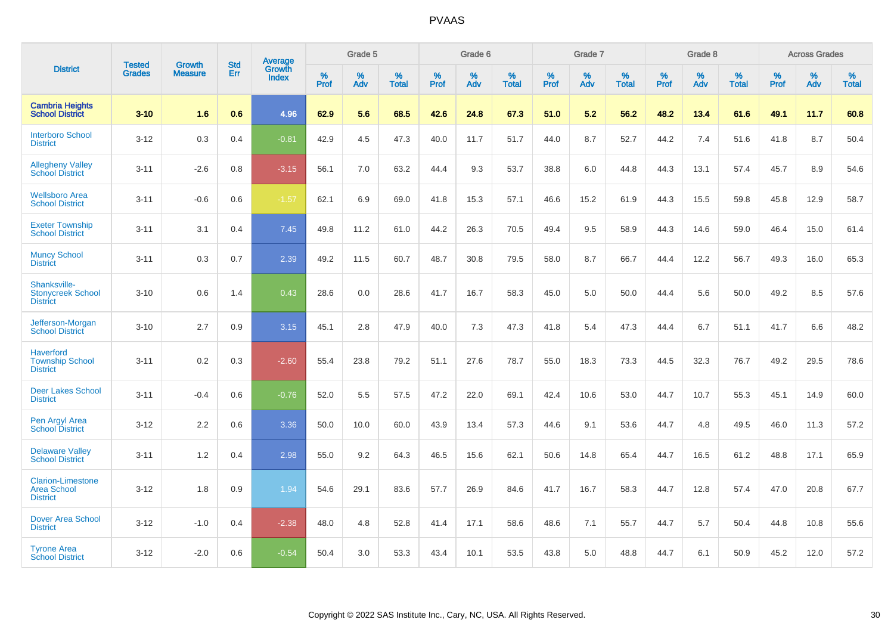|                                                                   |                                |                                 | <b>Std</b> | Average                       |           | Grade 5  |                   |           | Grade 6  |                   |           | Grade 7  |                   |           | Grade 8  |                   |           | <b>Across Grades</b> |                   |
|-------------------------------------------------------------------|--------------------------------|---------------------------------|------------|-------------------------------|-----------|----------|-------------------|-----------|----------|-------------------|-----------|----------|-------------------|-----------|----------|-------------------|-----------|----------------------|-------------------|
| <b>District</b>                                                   | <b>Tested</b><br><b>Grades</b> | <b>Growth</b><br><b>Measure</b> | Err        | <b>Growth</b><br><b>Index</b> | %<br>Prof | %<br>Adv | %<br><b>Total</b> | %<br>Prof | %<br>Adv | %<br><b>Total</b> | %<br>Prof | %<br>Adv | %<br><b>Total</b> | %<br>Prof | %<br>Adv | %<br><b>Total</b> | %<br>Prof | %<br>Adv             | %<br><b>Total</b> |
| <b>Cambria Heights</b><br><b>School District</b>                  | $3 - 10$                       | 1.6                             | 0.6        | 4.96                          | 62.9      | 5.6      | 68.5              | 42.6      | 24.8     | 67.3              | 51.0      | 5.2      | 56.2              | 48.2      | 13.4     | 61.6              | 49.1      | 11.7                 | 60.8              |
| <b>Interboro School</b><br><b>District</b>                        | $3 - 12$                       | 0.3                             | 0.4        | $-0.81$                       | 42.9      | 4.5      | 47.3              | 40.0      | 11.7     | 51.7              | 44.0      | 8.7      | 52.7              | 44.2      | 7.4      | 51.6              | 41.8      | 8.7                  | 50.4              |
| <b>Allegheny Valley</b><br><b>School District</b>                 | $3 - 11$                       | $-2.6$                          | 0.8        | $-3.15$                       | 56.1      | 7.0      | 63.2              | 44.4      | 9.3      | 53.7              | 38.8      | 6.0      | 44.8              | 44.3      | 13.1     | 57.4              | 45.7      | 8.9                  | 54.6              |
| <b>Wellsboro Area</b><br><b>School District</b>                   | $3 - 11$                       | $-0.6$                          | 0.6        | $-1.57$                       | 62.1      | 6.9      | 69.0              | 41.8      | 15.3     | 57.1              | 46.6      | 15.2     | 61.9              | 44.3      | 15.5     | 59.8              | 45.8      | 12.9                 | 58.7              |
| <b>Exeter Township</b><br><b>School District</b>                  | $3 - 11$                       | 3.1                             | 0.4        | 7.45                          | 49.8      | 11.2     | 61.0              | 44.2      | 26.3     | 70.5              | 49.4      | 9.5      | 58.9              | 44.3      | 14.6     | 59.0              | 46.4      | 15.0                 | 61.4              |
| <b>Muncy School</b><br><b>District</b>                            | $3 - 11$                       | 0.3                             | 0.7        | 2.39                          | 49.2      | 11.5     | 60.7              | 48.7      | 30.8     | 79.5              | 58.0      | 8.7      | 66.7              | 44.4      | 12.2     | 56.7              | 49.3      | 16.0                 | 65.3              |
| Shanksville-<br><b>Stonycreek School</b><br><b>District</b>       | $3 - 10$                       | 0.6                             | 1.4        | 0.43                          | 28.6      | 0.0      | 28.6              | 41.7      | 16.7     | 58.3              | 45.0      | 5.0      | 50.0              | 44.4      | 5.6      | 50.0              | 49.2      | 8.5                  | 57.6              |
| Jefferson-Morgan<br><b>School District</b>                        | $3 - 10$                       | 2.7                             | 0.9        | 3.15                          | 45.1      | 2.8      | 47.9              | 40.0      | 7.3      | 47.3              | 41.8      | 5.4      | 47.3              | 44.4      | 6.7      | 51.1              | 41.7      | 6.6                  | 48.2              |
| <b>Haverford</b><br><b>Township School</b><br><b>District</b>     | $3 - 11$                       | 0.2                             | 0.3        | $-2.60$                       | 55.4      | 23.8     | 79.2              | 51.1      | 27.6     | 78.7              | 55.0      | 18.3     | 73.3              | 44.5      | 32.3     | 76.7              | 49.2      | 29.5                 | 78.6              |
| <b>Deer Lakes School</b><br><b>District</b>                       | $3 - 11$                       | $-0.4$                          | 0.6        | $-0.76$                       | 52.0      | 5.5      | 57.5              | 47.2      | 22.0     | 69.1              | 42.4      | 10.6     | 53.0              | 44.7      | 10.7     | 55.3              | 45.1      | 14.9                 | 60.0              |
| Pen Argyl Area<br><b>School District</b>                          | $3 - 12$                       | 2.2                             | 0.6        | 3.36                          | 50.0      | 10.0     | 60.0              | 43.9      | 13.4     | 57.3              | 44.6      | 9.1      | 53.6              | 44.7      | 4.8      | 49.5              | 46.0      | 11.3                 | 57.2              |
| <b>Delaware Valley</b><br><b>School District</b>                  | $3 - 11$                       | 1.2                             | 0.4        | 2.98                          | 55.0      | 9.2      | 64.3              | 46.5      | 15.6     | 62.1              | 50.6      | 14.8     | 65.4              | 44.7      | 16.5     | 61.2              | 48.8      | 17.1                 | 65.9              |
| <b>Clarion-Limestone</b><br><b>Area School</b><br><b>District</b> | $3 - 12$                       | 1.8                             | 0.9        | 1.94                          | 54.6      | 29.1     | 83.6              | 57.7      | 26.9     | 84.6              | 41.7      | 16.7     | 58.3              | 44.7      | 12.8     | 57.4              | 47.0      | 20.8                 | 67.7              |
| <b>Dover Area School</b><br><b>District</b>                       | $3 - 12$                       | $-1.0$                          | 0.4        | $-2.38$                       | 48.0      | 4.8      | 52.8              | 41.4      | 17.1     | 58.6              | 48.6      | 7.1      | 55.7              | 44.7      | 5.7      | 50.4              | 44.8      | 10.8                 | 55.6              |
| <b>Tyrone Area</b><br><b>School District</b>                      | $3 - 12$                       | $-2.0$                          | 0.6        | $-0.54$                       | 50.4      | 3.0      | 53.3              | 43.4      | 10.1     | 53.5              | 43.8      | 5.0      | 48.8              | 44.7      | 6.1      | 50.9              | 45.2      | 12.0                 | 57.2              |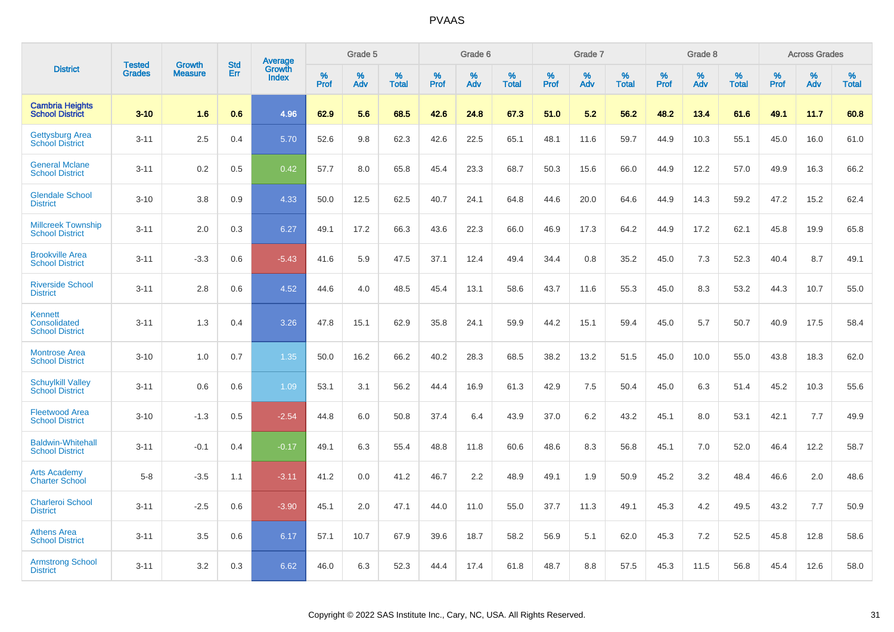|                                                     |                                |                                 | <b>Std</b> | Average                |           | Grade 5  |                   |           | Grade 6  |                   |           | Grade 7  |                   |           | Grade 8  |                   |                  | <b>Across Grades</b> |                   |
|-----------------------------------------------------|--------------------------------|---------------------------------|------------|------------------------|-----------|----------|-------------------|-----------|----------|-------------------|-----------|----------|-------------------|-----------|----------|-------------------|------------------|----------------------|-------------------|
| <b>District</b>                                     | <b>Tested</b><br><b>Grades</b> | <b>Growth</b><br><b>Measure</b> | Err        | Growth<br><b>Index</b> | %<br>Prof | %<br>Adv | %<br><b>Total</b> | %<br>Prof | %<br>Adv | %<br><b>Total</b> | %<br>Prof | %<br>Adv | %<br><b>Total</b> | %<br>Prof | %<br>Adv | %<br><b>Total</b> | %<br><b>Prof</b> | %<br>Adv             | %<br><b>Total</b> |
| <b>Cambria Heights</b><br><b>School District</b>    | $3 - 10$                       | 1.6                             | 0.6        | 4.96                   | 62.9      | 5.6      | 68.5              | 42.6      | 24.8     | 67.3              | 51.0      | 5.2      | 56.2              | 48.2      | 13.4     | 61.6              | 49.1             | 11.7                 | 60.8              |
| Gettysburg Area<br><b>School District</b>           | $3 - 11$                       | 2.5                             | 0.4        | 5.70                   | 52.6      | 9.8      | 62.3              | 42.6      | 22.5     | 65.1              | 48.1      | 11.6     | 59.7              | 44.9      | 10.3     | 55.1              | 45.0             | 16.0                 | 61.0              |
| <b>General Mclane</b><br><b>School District</b>     | $3 - 11$                       | 0.2                             | 0.5        | 0.42                   | 57.7      | 8.0      | 65.8              | 45.4      | 23.3     | 68.7              | 50.3      | 15.6     | 66.0              | 44.9      | 12.2     | 57.0              | 49.9             | 16.3                 | 66.2              |
| <b>Glendale School</b><br><b>District</b>           | $3 - 10$                       | 3.8                             | 0.9        | 4.33                   | 50.0      | 12.5     | 62.5              | 40.7      | 24.1     | 64.8              | 44.6      | 20.0     | 64.6              | 44.9      | 14.3     | 59.2              | 47.2             | 15.2                 | 62.4              |
| <b>Millcreek Township</b><br><b>School District</b> | $3 - 11$                       | 2.0                             | 0.3        | 6.27                   | 49.1      | 17.2     | 66.3              | 43.6      | 22.3     | 66.0              | 46.9      | 17.3     | 64.2              | 44.9      | 17.2     | 62.1              | 45.8             | 19.9                 | 65.8              |
| <b>Brookville Area</b><br><b>School District</b>    | $3 - 11$                       | $-3.3$                          | 0.6        | $-5.43$                | 41.6      | 5.9      | 47.5              | 37.1      | 12.4     | 49.4              | 34.4      | 0.8      | 35.2              | 45.0      | 7.3      | 52.3              | 40.4             | 8.7                  | 49.1              |
| <b>Riverside School</b><br><b>District</b>          | $3 - 11$                       | 2.8                             | 0.6        | 4.52                   | 44.6      | 4.0      | 48.5              | 45.4      | 13.1     | 58.6              | 43.7      | 11.6     | 55.3              | 45.0      | 8.3      | 53.2              | 44.3             | 10.7                 | 55.0              |
| Kennett<br>Consolidated<br><b>School District</b>   | $3 - 11$                       | 1.3                             | 0.4        | 3.26                   | 47.8      | 15.1     | 62.9              | 35.8      | 24.1     | 59.9              | 44.2      | 15.1     | 59.4              | 45.0      | 5.7      | 50.7              | 40.9             | 17.5                 | 58.4              |
| <b>Montrose Area</b><br><b>School District</b>      | $3 - 10$                       | 1.0                             | 0.7        | 1.35                   | 50.0      | 16.2     | 66.2              | 40.2      | 28.3     | 68.5              | 38.2      | 13.2     | 51.5              | 45.0      | 10.0     | 55.0              | 43.8             | 18.3                 | 62.0              |
| <b>Schuylkill Valley</b><br><b>School District</b>  | $3 - 11$                       | 0.6                             | 0.6        | 1.09                   | 53.1      | 3.1      | 56.2              | 44.4      | 16.9     | 61.3              | 42.9      | 7.5      | 50.4              | 45.0      | 6.3      | 51.4              | 45.2             | 10.3                 | 55.6              |
| <b>Fleetwood Area</b><br><b>School District</b>     | $3 - 10$                       | $-1.3$                          | 0.5        | $-2.54$                | 44.8      | 6.0      | 50.8              | 37.4      | 6.4      | 43.9              | 37.0      | 6.2      | 43.2              | 45.1      | 8.0      | 53.1              | 42.1             | 7.7                  | 49.9              |
| <b>Baldwin-Whitehall</b><br><b>School District</b>  | $3 - 11$                       | $-0.1$                          | 0.4        | $-0.17$                | 49.1      | 6.3      | 55.4              | 48.8      | 11.8     | 60.6              | 48.6      | 8.3      | 56.8              | 45.1      | 7.0      | 52.0              | 46.4             | 12.2                 | 58.7              |
| <b>Arts Academy</b><br><b>Charter School</b>        | $5 - 8$                        | $-3.5$                          | 1.1        | $-3.11$                | 41.2      | 0.0      | 41.2              | 46.7      | 2.2      | 48.9              | 49.1      | 1.9      | 50.9              | 45.2      | 3.2      | 48.4              | 46.6             | 2.0                  | 48.6              |
| <b>Charleroi School</b><br><b>District</b>          | $3 - 11$                       | $-2.5$                          | 0.6        | $-3.90$                | 45.1      | 2.0      | 47.1              | 44.0      | 11.0     | 55.0              | 37.7      | 11.3     | 49.1              | 45.3      | 4.2      | 49.5              | 43.2             | 7.7                  | 50.9              |
| <b>Athens Area</b><br><b>School District</b>        | $3 - 11$                       | 3.5                             | 0.6        | 6.17                   | 57.1      | 10.7     | 67.9              | 39.6      | 18.7     | 58.2              | 56.9      | 5.1      | 62.0              | 45.3      | 7.2      | 52.5              | 45.8             | 12.8                 | 58.6              |
| <b>Armstrong School</b><br><b>District</b>          | $3 - 11$                       | 3.2                             | 0.3        | 6.62                   | 46.0      | 6.3      | 52.3              | 44.4      | 17.4     | 61.8              | 48.7      | 8.8      | 57.5              | 45.3      | 11.5     | 56.8              | 45.4             | 12.6                 | 58.0              |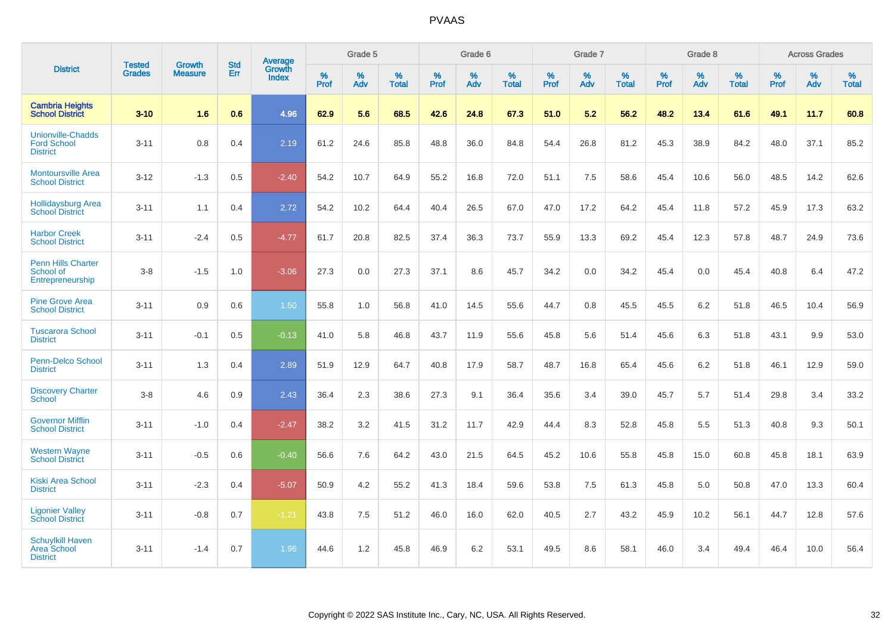|                                                                   | <b>Tested</b> | <b>Growth</b>  | <b>Std</b> | Average                       |           | Grade 5  |                   |           | Grade 6  |                   |           | Grade 7  |                   |           | Grade 8  |                   |           | <b>Across Grades</b> |                   |
|-------------------------------------------------------------------|---------------|----------------|------------|-------------------------------|-----------|----------|-------------------|-----------|----------|-------------------|-----------|----------|-------------------|-----------|----------|-------------------|-----------|----------------------|-------------------|
| <b>District</b>                                                   | <b>Grades</b> | <b>Measure</b> | Err        | <b>Growth</b><br><b>Index</b> | %<br>Prof | %<br>Adv | %<br><b>Total</b> | %<br>Prof | %<br>Adv | %<br><b>Total</b> | %<br>Prof | %<br>Adv | %<br><b>Total</b> | %<br>Prof | %<br>Adv | %<br><b>Total</b> | %<br>Prof | %<br>Adv             | %<br><b>Total</b> |
| <b>Cambria Heights</b><br><b>School District</b>                  | $3 - 10$      | 1.6            | 0.6        | 4.96                          | 62.9      | 5.6      | 68.5              | 42.6      | 24.8     | 67.3              | 51.0      | 5.2      | 56.2              | 48.2      | 13.4     | 61.6              | 49.1      | 11.7                 | 60.8              |
| <b>Unionville-Chadds</b><br><b>Ford School</b><br><b>District</b> | $3 - 11$      | 0.8            | 0.4        | 2.19                          | 61.2      | 24.6     | 85.8              | 48.8      | 36.0     | 84.8              | 54.4      | 26.8     | 81.2              | 45.3      | 38.9     | 84.2              | 48.0      | 37.1                 | 85.2              |
| <b>Montoursville Area</b><br><b>School District</b>               | $3 - 12$      | $-1.3$         | 0.5        | $-2.40$                       | 54.2      | 10.7     | 64.9              | 55.2      | 16.8     | 72.0              | 51.1      | 7.5      | 58.6              | 45.4      | 10.6     | 56.0              | 48.5      | 14.2                 | 62.6              |
| <b>Hollidaysburg Area</b><br><b>School District</b>               | $3 - 11$      | 1.1            | 0.4        | 2.72                          | 54.2      | 10.2     | 64.4              | 40.4      | 26.5     | 67.0              | 47.0      | 17.2     | 64.2              | 45.4      | 11.8     | 57.2              | 45.9      | 17.3                 | 63.2              |
| <b>Harbor Creek</b><br><b>School District</b>                     | $3 - 11$      | $-2.4$         | 0.5        | $-4.77$                       | 61.7      | 20.8     | 82.5              | 37.4      | 36.3     | 73.7              | 55.9      | 13.3     | 69.2              | 45.4      | 12.3     | 57.8              | 48.7      | 24.9                 | 73.6              |
| Penn Hills Charter<br>School of<br>Entrepreneurship               | $3 - 8$       | $-1.5$         | 1.0        | $-3.06$                       | 27.3      | 0.0      | 27.3              | 37.1      | 8.6      | 45.7              | 34.2      | 0.0      | 34.2              | 45.4      | 0.0      | 45.4              | 40.8      | 6.4                  | 47.2              |
| <b>Pine Grove Area</b><br><b>School District</b>                  | $3 - 11$      | 0.9            | 0.6        | 1.50                          | 55.8      | 1.0      | 56.8              | 41.0      | 14.5     | 55.6              | 44.7      | 0.8      | 45.5              | 45.5      | 6.2      | 51.8              | 46.5      | 10.4                 | 56.9              |
| <b>Tuscarora School</b><br><b>District</b>                        | $3 - 11$      | $-0.1$         | 0.5        | $-0.13$                       | 41.0      | 5.8      | 46.8              | 43.7      | 11.9     | 55.6              | 45.8      | 5.6      | 51.4              | 45.6      | 6.3      | 51.8              | 43.1      | 9.9                  | 53.0              |
| Penn-Delco School<br><b>District</b>                              | $3 - 11$      | 1.3            | 0.4        | 2.89                          | 51.9      | 12.9     | 64.7              | 40.8      | 17.9     | 58.7              | 48.7      | 16.8     | 65.4              | 45.6      | 6.2      | 51.8              | 46.1      | 12.9                 | 59.0              |
| <b>Discovery Charter</b><br><b>School</b>                         | $3 - 8$       | 4.6            | 0.9        | 2.43                          | 36.4      | 2.3      | 38.6              | 27.3      | 9.1      | 36.4              | 35.6      | 3.4      | 39.0              | 45.7      | 5.7      | 51.4              | 29.8      | 3.4                  | 33.2              |
| <b>Governor Mifflin</b><br><b>School District</b>                 | $3 - 11$      | $-1.0$         | 0.4        | $-2.47$                       | 38.2      | 3.2      | 41.5              | 31.2      | 11.7     | 42.9              | 44.4      | 8.3      | 52.8              | 45.8      | 5.5      | 51.3              | 40.8      | 9.3                  | 50.1              |
| <b>Western Wayne</b><br><b>School District</b>                    | $3 - 11$      | $-0.5$         | 0.6        | $-0.40$                       | 56.6      | 7.6      | 64.2              | 43.0      | 21.5     | 64.5              | 45.2      | 10.6     | 55.8              | 45.8      | 15.0     | 60.8              | 45.8      | 18.1                 | 63.9              |
| <b>Kiski Area School</b><br><b>District</b>                       | $3 - 11$      | $-2.3$         | 0.4        | $-5.07$                       | 50.9      | 4.2      | 55.2              | 41.3      | 18.4     | 59.6              | 53.8      | 7.5      | 61.3              | 45.8      | 5.0      | 50.8              | 47.0      | 13.3                 | 60.4              |
| <b>Ligonier Valley</b><br><b>School District</b>                  | $3 - 11$      | $-0.8$         | 0.7        | $-1.21$                       | 43.8      | 7.5      | 51.2              | 46.0      | 16.0     | 62.0              | 40.5      | 2.7      | 43.2              | 45.9      | 10.2     | 56.1              | 44.7      | 12.8                 | 57.6              |
| <b>Schuylkill Haven</b><br><b>Area School</b><br><b>District</b>  | $3 - 11$      | $-1.4$         | 0.7        | 1.96                          | 44.6      | 1.2      | 45.8              | 46.9      | 6.2      | 53.1              | 49.5      | 8.6      | 58.1              | 46.0      | 3.4      | 49.4              | 46.4      | 10.0                 | 56.4              |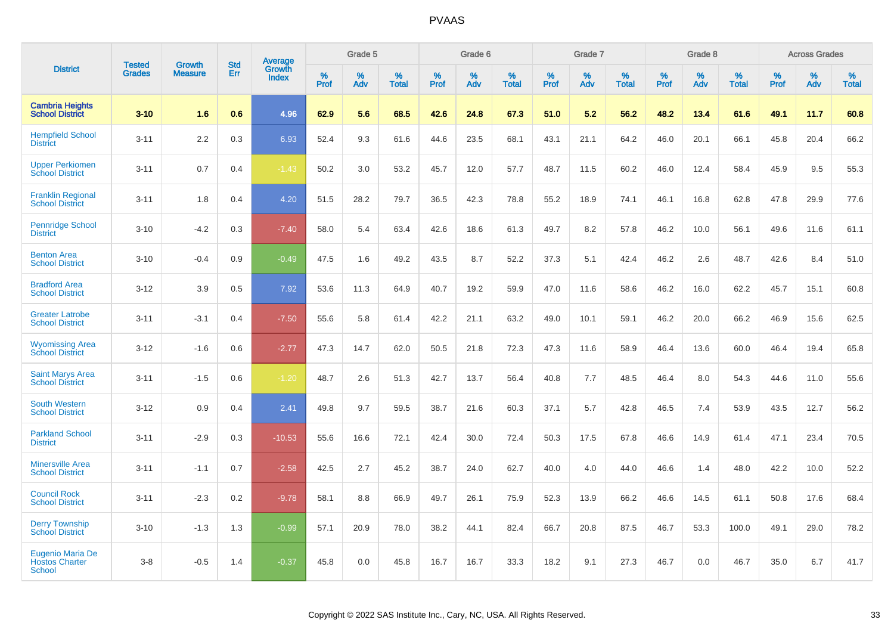|                                                            |                         | <b>Growth</b>  | <b>Std</b> | <b>Average</b>         |              | Grade 5     |                      |                     | Grade 6     |                      |              | Grade 7     |                   |              | Grade 8     |                   |                     | <b>Across Grades</b> |                   |
|------------------------------------------------------------|-------------------------|----------------|------------|------------------------|--------------|-------------|----------------------|---------------------|-------------|----------------------|--------------|-------------|-------------------|--------------|-------------|-------------------|---------------------|----------------------|-------------------|
| <b>District</b>                                            | Tested<br><b>Grades</b> | <b>Measure</b> | Err        | Growth<br><b>Index</b> | $\%$<br>Prof | $\%$<br>Adv | $\%$<br><b>Total</b> | $\%$<br><b>Prof</b> | $\%$<br>Adv | $\%$<br><b>Total</b> | $\%$<br>Prof | $\%$<br>Adv | %<br><b>Total</b> | $\%$<br>Prof | $\%$<br>Adv | %<br><b>Total</b> | $\%$<br><b>Prof</b> | $\%$<br>Adv          | %<br><b>Total</b> |
| <b>Cambria Heights</b><br><b>School District</b>           | $3 - 10$                | 1.6            | 0.6        | 4.96                   | 62.9         | 5.6         | 68.5                 | 42.6                | 24.8        | 67.3                 | 51.0         | 5.2         | 56.2              | 48.2         | 13.4        | 61.6              | 49.1                | 11.7                 | 60.8              |
| <b>Hempfield School</b><br><b>District</b>                 | $3 - 11$                | 2.2            | 0.3        | 6.93                   | 52.4         | 9.3         | 61.6                 | 44.6                | 23.5        | 68.1                 | 43.1         | 21.1        | 64.2              | 46.0         | 20.1        | 66.1              | 45.8                | 20.4                 | 66.2              |
| <b>Upper Perkiomen</b><br><b>School District</b>           | $3 - 11$                | 0.7            | 0.4        | $-1.43$                | 50.2         | 3.0         | 53.2                 | 45.7                | 12.0        | 57.7                 | 48.7         | 11.5        | 60.2              | 46.0         | 12.4        | 58.4              | 45.9                | 9.5                  | 55.3              |
| <b>Franklin Regional</b><br><b>School District</b>         | $3 - 11$                | 1.8            | 0.4        | 4.20                   | 51.5         | 28.2        | 79.7                 | 36.5                | 42.3        | 78.8                 | 55.2         | 18.9        | 74.1              | 46.1         | 16.8        | 62.8              | 47.8                | 29.9                 | 77.6              |
| <b>Pennridge School</b><br><b>District</b>                 | $3 - 10$                | $-4.2$         | 0.3        | $-7.40$                | 58.0         | 5.4         | 63.4                 | 42.6                | 18.6        | 61.3                 | 49.7         | 8.2         | 57.8              | 46.2         | 10.0        | 56.1              | 49.6                | 11.6                 | 61.1              |
| <b>Benton Area</b><br><b>School District</b>               | $3 - 10$                | $-0.4$         | 0.9        | $-0.49$                | 47.5         | 1.6         | 49.2                 | 43.5                | 8.7         | 52.2                 | 37.3         | 5.1         | 42.4              | 46.2         | 2.6         | 48.7              | 42.6                | 8.4                  | 51.0              |
| <b>Bradford Area</b><br><b>School District</b>             | $3 - 12$                | 3.9            | 0.5        | 7.92                   | 53.6         | 11.3        | 64.9                 | 40.7                | 19.2        | 59.9                 | 47.0         | 11.6        | 58.6              | 46.2         | 16.0        | 62.2              | 45.7                | 15.1                 | 60.8              |
| <b>Greater Latrobe</b><br><b>School District</b>           | $3 - 11$                | $-3.1$         | 0.4        | $-7.50$                | 55.6         | 5.8         | 61.4                 | 42.2                | 21.1        | 63.2                 | 49.0         | 10.1        | 59.1              | 46.2         | 20.0        | 66.2              | 46.9                | 15.6                 | 62.5              |
| <b>Wyomissing Area</b><br><b>School District</b>           | $3 - 12$                | $-1.6$         | 0.6        | $-2.77$                | 47.3         | 14.7        | 62.0                 | 50.5                | 21.8        | 72.3                 | 47.3         | 11.6        | 58.9              | 46.4         | 13.6        | 60.0              | 46.4                | 19.4                 | 65.8              |
| <b>Saint Marys Area</b><br><b>School District</b>          | $3 - 11$                | $-1.5$         | 0.6        | $-1.20$                | 48.7         | 2.6         | 51.3                 | 42.7                | 13.7        | 56.4                 | 40.8         | 7.7         | 48.5              | 46.4         | 8.0         | 54.3              | 44.6                | 11.0                 | 55.6              |
| <b>South Western</b><br><b>School District</b>             | $3-12$                  | 0.9            | 0.4        | 2.41                   | 49.8         | 9.7         | 59.5                 | 38.7                | 21.6        | 60.3                 | 37.1         | 5.7         | 42.8              | 46.5         | 7.4         | 53.9              | 43.5                | 12.7                 | 56.2              |
| <b>Parkland School</b><br><b>District</b>                  | $3 - 11$                | $-2.9$         | 0.3        | $-10.53$               | 55.6         | 16.6        | 72.1                 | 42.4                | 30.0        | 72.4                 | 50.3         | 17.5        | 67.8              | 46.6         | 14.9        | 61.4              | 47.1                | 23.4                 | 70.5              |
| <b>Minersville Area</b><br><b>School District</b>          | $3 - 11$                | $-1.1$         | 0.7        | $-2.58$                | 42.5         | 2.7         | 45.2                 | 38.7                | 24.0        | 62.7                 | 40.0         | 4.0         | 44.0              | 46.6         | 1.4         | 48.0              | 42.2                | 10.0                 | 52.2              |
| <b>Council Rock</b><br><b>School District</b>              | $3 - 11$                | $-2.3$         | 0.2        | $-9.78$                | 58.1         | 8.8         | 66.9                 | 49.7                | 26.1        | 75.9                 | 52.3         | 13.9        | 66.2              | 46.6         | 14.5        | 61.1              | 50.8                | 17.6                 | 68.4              |
| <b>Derry Township</b><br><b>School District</b>            | $3 - 10$                | $-1.3$         | 1.3        | $-0.99$                | 57.1         | 20.9        | 78.0                 | 38.2                | 44.1        | 82.4                 | 66.7         | 20.8        | 87.5              | 46.7         | 53.3        | 100.0             | 49.1                | 29.0                 | 78.2              |
| Eugenio Maria De<br><b>Hostos Charter</b><br><b>School</b> | $3 - 8$                 | $-0.5$         | 1.4        | $-0.37$                | 45.8         | 0.0         | 45.8                 | 16.7                | 16.7        | 33.3                 | 18.2         | 9.1         | 27.3              | 46.7         | 0.0         | 46.7              | 35.0                | 6.7                  | 41.7              |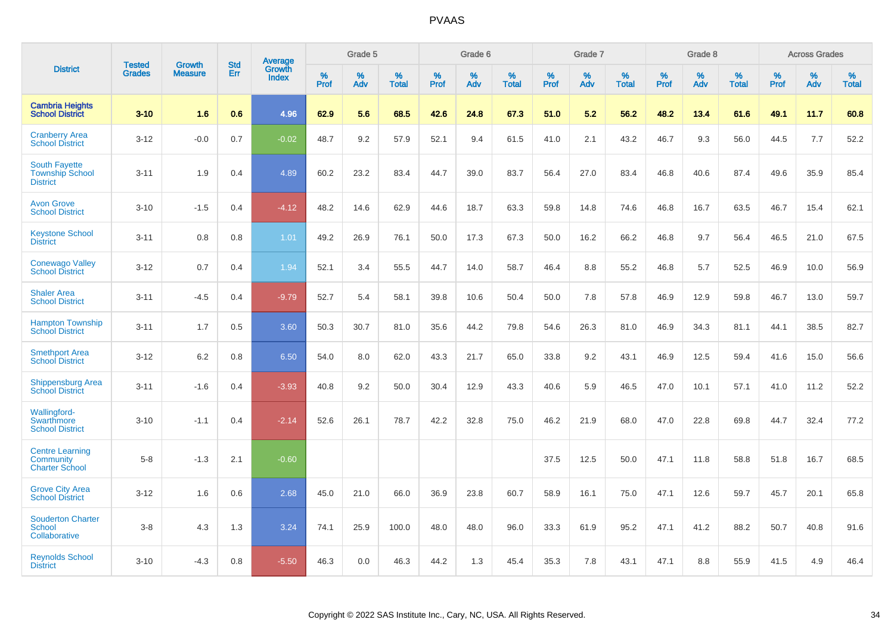|                                                                   |                                |                                 | <b>Std</b> | Average                |           | Grade 5  |                   |           | Grade 6  |                   |           | Grade 7  |                   |           | Grade 8  |                   |           | <b>Across Grades</b> |                   |
|-------------------------------------------------------------------|--------------------------------|---------------------------------|------------|------------------------|-----------|----------|-------------------|-----------|----------|-------------------|-----------|----------|-------------------|-----------|----------|-------------------|-----------|----------------------|-------------------|
| <b>District</b>                                                   | <b>Tested</b><br><b>Grades</b> | <b>Growth</b><br><b>Measure</b> | <b>Err</b> | Growth<br><b>Index</b> | %<br>Prof | %<br>Adv | %<br><b>Total</b> | %<br>Prof | %<br>Adv | %<br><b>Total</b> | %<br>Prof | %<br>Adv | %<br><b>Total</b> | %<br>Prof | %<br>Adv | %<br><b>Total</b> | %<br>Prof | %<br>Adv             | %<br><b>Total</b> |
| <b>Cambria Heights</b><br><b>School District</b>                  | $3 - 10$                       | 1.6                             | 0.6        | 4.96                   | 62.9      | 5.6      | 68.5              | 42.6      | 24.8     | 67.3              | 51.0      | 5.2      | 56.2              | 48.2      | 13.4     | 61.6              | 49.1      | 11.7                 | 60.8              |
| <b>Cranberry Area</b><br><b>School District</b>                   | $3 - 12$                       | $-0.0$                          | 0.7        | $-0.02$                | 48.7      | 9.2      | 57.9              | 52.1      | 9.4      | 61.5              | 41.0      | 2.1      | 43.2              | 46.7      | 9.3      | 56.0              | 44.5      | 7.7                  | 52.2              |
| <b>South Fayette</b><br><b>Township School</b><br><b>District</b> | $3 - 11$                       | 1.9                             | 0.4        | 4.89                   | 60.2      | 23.2     | 83.4              | 44.7      | 39.0     | 83.7              | 56.4      | 27.0     | 83.4              | 46.8      | 40.6     | 87.4              | 49.6      | 35.9                 | 85.4              |
| <b>Avon Grove</b><br><b>School District</b>                       | $3 - 10$                       | $-1.5$                          | 0.4        | $-4.12$                | 48.2      | 14.6     | 62.9              | 44.6      | 18.7     | 63.3              | 59.8      | 14.8     | 74.6              | 46.8      | 16.7     | 63.5              | 46.7      | 15.4                 | 62.1              |
| <b>Keystone School</b><br><b>District</b>                         | $3 - 11$                       | 0.8                             | 0.8        | 1.01                   | 49.2      | 26.9     | 76.1              | 50.0      | 17.3     | 67.3              | 50.0      | 16.2     | 66.2              | 46.8      | 9.7      | 56.4              | 46.5      | 21.0                 | 67.5              |
| <b>Conewago Valley</b><br><b>School District</b>                  | $3 - 12$                       | 0.7                             | 0.4        | 1.94                   | 52.1      | 3.4      | 55.5              | 44.7      | 14.0     | 58.7              | 46.4      | 8.8      | 55.2              | 46.8      | 5.7      | 52.5              | 46.9      | 10.0                 | 56.9              |
| <b>Shaler Area</b><br><b>School District</b>                      | $3 - 11$                       | $-4.5$                          | 0.4        | $-9.79$                | 52.7      | 5.4      | 58.1              | 39.8      | 10.6     | 50.4              | 50.0      | 7.8      | 57.8              | 46.9      | 12.9     | 59.8              | 46.7      | 13.0                 | 59.7              |
| <b>Hampton Township</b><br><b>School District</b>                 | $3 - 11$                       | 1.7                             | 0.5        | 3.60                   | 50.3      | 30.7     | 81.0              | 35.6      | 44.2     | 79.8              | 54.6      | 26.3     | 81.0              | 46.9      | 34.3     | 81.1              | 44.1      | 38.5                 | 82.7              |
| <b>Smethport Area</b><br><b>School District</b>                   | $3 - 12$                       | 6.2                             | 0.8        | 6.50                   | 54.0      | 8.0      | 62.0              | 43.3      | 21.7     | 65.0              | 33.8      | 9.2      | 43.1              | 46.9      | 12.5     | 59.4              | 41.6      | 15.0                 | 56.6              |
| <b>Shippensburg Area</b><br><b>School District</b>                | $3 - 11$                       | $-1.6$                          | 0.4        | $-3.93$                | 40.8      | 9.2      | 50.0              | 30.4      | 12.9     | 43.3              | 40.6      | 5.9      | 46.5              | 47.0      | 10.1     | 57.1              | 41.0      | 11.2                 | 52.2              |
| Wallingford-<br>Swarthmore<br><b>School District</b>              | $3 - 10$                       | $-1.1$                          | 0.4        | $-2.14$                | 52.6      | 26.1     | 78.7              | 42.2      | 32.8     | 75.0              | 46.2      | 21.9     | 68.0              | 47.0      | 22.8     | 69.8              | 44.7      | 32.4                 | 77.2              |
| <b>Centre Learning</b><br>Community<br><b>Charter School</b>      | $5-8$                          | $-1.3$                          | 2.1        | $-0.60$                |           |          |                   |           |          |                   | 37.5      | 12.5     | 50.0              | 47.1      | 11.8     | 58.8              | 51.8      | 16.7                 | 68.5              |
| <b>Grove City Area</b><br><b>School District</b>                  | $3 - 12$                       | 1.6                             | 0.6        | 2.68                   | 45.0      | 21.0     | 66.0              | 36.9      | 23.8     | 60.7              | 58.9      | 16.1     | 75.0              | 47.1      | 12.6     | 59.7              | 45.7      | 20.1                 | 65.8              |
| <b>Souderton Charter</b><br>School<br>Collaborative               | $3 - 8$                        | 4.3                             | 1.3        | 3.24                   | 74.1      | 25.9     | 100.0             | 48.0      | 48.0     | 96.0              | 33.3      | 61.9     | 95.2              | 47.1      | 41.2     | 88.2              | 50.7      | 40.8                 | 91.6              |
| <b>Reynolds School</b><br><b>District</b>                         | $3 - 10$                       | $-4.3$                          | 0.8        | $-5.50$                | 46.3      | 0.0      | 46.3              | 44.2      | 1.3      | 45.4              | 35.3      | 7.8      | 43.1              | 47.1      | 8.8      | 55.9              | 41.5      | 4.9                  | 46.4              |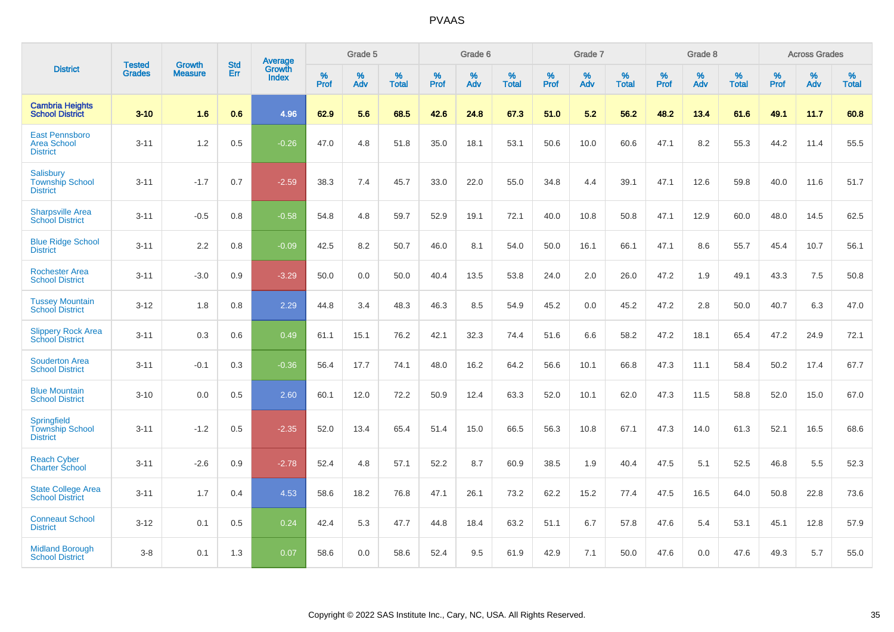|                                                               | <b>Tested</b> | <b>Growth</b>  | <b>Std</b> |                                          |              | Grade 5  |                   |              | Grade 6  |                   |              | Grade 7  |                      |              | Grade 8  |                   |              | <b>Across Grades</b> |                   |
|---------------------------------------------------------------|---------------|----------------|------------|------------------------------------------|--------------|----------|-------------------|--------------|----------|-------------------|--------------|----------|----------------------|--------------|----------|-------------------|--------------|----------------------|-------------------|
| <b>District</b>                                               | <b>Grades</b> | <b>Measure</b> | <b>Err</b> | <b>Average</b><br>Growth<br><b>Index</b> | $\%$<br>Prof | %<br>Adv | %<br><b>Total</b> | $\%$<br>Prof | %<br>Adv | %<br><b>Total</b> | $\%$<br>Prof | %<br>Adv | $\%$<br><b>Total</b> | $\%$<br>Prof | %<br>Adv | %<br><b>Total</b> | $\%$<br>Prof | %<br>Adv             | %<br><b>Total</b> |
| <b>Cambria Heights</b><br><b>School District</b>              | $3 - 10$      | 1.6            | 0.6        | 4.96                                     | 62.9         | 5.6      | 68.5              | 42.6         | 24.8     | 67.3              | 51.0         | 5.2      | 56.2                 | 48.2         | 13.4     | 61.6              | 49.1         | 11.7                 | 60.8              |
| East Pennsboro<br><b>Area School</b><br><b>District</b>       | $3 - 11$      | 1.2            | 0.5        | $-0.26$                                  | 47.0         | 4.8      | 51.8              | 35.0         | 18.1     | 53.1              | 50.6         | 10.0     | 60.6                 | 47.1         | 8.2      | 55.3              | 44.2         | 11.4                 | 55.5              |
| <b>Salisbury</b><br><b>Township School</b><br><b>District</b> | $3 - 11$      | $-1.7$         | 0.7        | $-2.59$                                  | 38.3         | 7.4      | 45.7              | 33.0         | 22.0     | 55.0              | 34.8         | 4.4      | 39.1                 | 47.1         | 12.6     | 59.8              | 40.0         | 11.6                 | 51.7              |
| <b>Sharpsville Area</b><br><b>School District</b>             | $3 - 11$      | $-0.5$         | 0.8        | $-0.58$                                  | 54.8         | 4.8      | 59.7              | 52.9         | 19.1     | 72.1              | 40.0         | 10.8     | 50.8                 | 47.1         | 12.9     | 60.0              | 48.0         | 14.5                 | 62.5              |
| <b>Blue Ridge School</b><br><b>District</b>                   | $3 - 11$      | 2.2            | 0.8        | $-0.09$                                  | 42.5         | 8.2      | 50.7              | 46.0         | 8.1      | 54.0              | 50.0         | 16.1     | 66.1                 | 47.1         | 8.6      | 55.7              | 45.4         | 10.7                 | 56.1              |
| <b>Rochester Area</b><br><b>School District</b>               | $3 - 11$      | $-3.0$         | 0.9        | $-3.29$                                  | 50.0         | 0.0      | 50.0              | 40.4         | 13.5     | 53.8              | 24.0         | 2.0      | 26.0                 | 47.2         | 1.9      | 49.1              | 43.3         | 7.5                  | 50.8              |
| <b>Tussey Mountain</b><br><b>School District</b>              | $3 - 12$      | 1.8            | 0.8        | 2.29                                     | 44.8         | 3.4      | 48.3              | 46.3         | 8.5      | 54.9              | 45.2         | 0.0      | 45.2                 | 47.2         | 2.8      | 50.0              | 40.7         | 6.3                  | 47.0              |
| <b>Slippery Rock Area</b><br><b>School District</b>           | $3 - 11$      | 0.3            | 0.6        | 0.49                                     | 61.1         | 15.1     | 76.2              | 42.1         | 32.3     | 74.4              | 51.6         | 6.6      | 58.2                 | 47.2         | 18.1     | 65.4              | 47.2         | 24.9                 | 72.1              |
| <b>Souderton Area</b><br><b>School District</b>               | $3 - 11$      | $-0.1$         | 0.3        | $-0.36$                                  | 56.4         | 17.7     | 74.1              | 48.0         | 16.2     | 64.2              | 56.6         | 10.1     | 66.8                 | 47.3         | 11.1     | 58.4              | 50.2         | 17.4                 | 67.7              |
| <b>Blue Mountain</b><br><b>School District</b>                | $3 - 10$      | 0.0            | 0.5        | 2.60                                     | 60.1         | 12.0     | 72.2              | 50.9         | 12.4     | 63.3              | 52.0         | 10.1     | 62.0                 | 47.3         | 11.5     | 58.8              | 52.0         | 15.0                 | 67.0              |
| Springfield<br><b>Township School</b><br><b>District</b>      | $3 - 11$      | $-1.2$         | 0.5        | $-2.35$                                  | 52.0         | 13.4     | 65.4              | 51.4         | 15.0     | 66.5              | 56.3         | 10.8     | 67.1                 | 47.3         | 14.0     | 61.3              | 52.1         | 16.5                 | 68.6              |
| <b>Reach Cyber</b><br>Charter School                          | $3 - 11$      | $-2.6$         | 0.9        | $-2.78$                                  | 52.4         | 4.8      | 57.1              | 52.2         | 8.7      | 60.9              | 38.5         | 1.9      | 40.4                 | 47.5         | 5.1      | 52.5              | 46.8         | 5.5                  | 52.3              |
| <b>State College Area</b><br><b>School District</b>           | $3 - 11$      | 1.7            | 0.4        | 4.53                                     | 58.6         | 18.2     | 76.8              | 47.1         | 26.1     | 73.2              | 62.2         | 15.2     | 77.4                 | 47.5         | 16.5     | 64.0              | 50.8         | 22.8                 | 73.6              |
| <b>Conneaut School</b><br><b>District</b>                     | $3 - 12$      | 0.1            | 0.5        | 0.24                                     | 42.4         | 5.3      | 47.7              | 44.8         | 18.4     | 63.2              | 51.1         | 6.7      | 57.8                 | 47.6         | 5.4      | 53.1              | 45.1         | 12.8                 | 57.9              |
| <b>Midland Borough</b><br><b>School District</b>              | $3 - 8$       | 0.1            | 1.3        | 0.07                                     | 58.6         | 0.0      | 58.6              | 52.4         | 9.5      | 61.9              | 42.9         | 7.1      | 50.0                 | 47.6         | 0.0      | 47.6              | 49.3         | 5.7                  | 55.0              |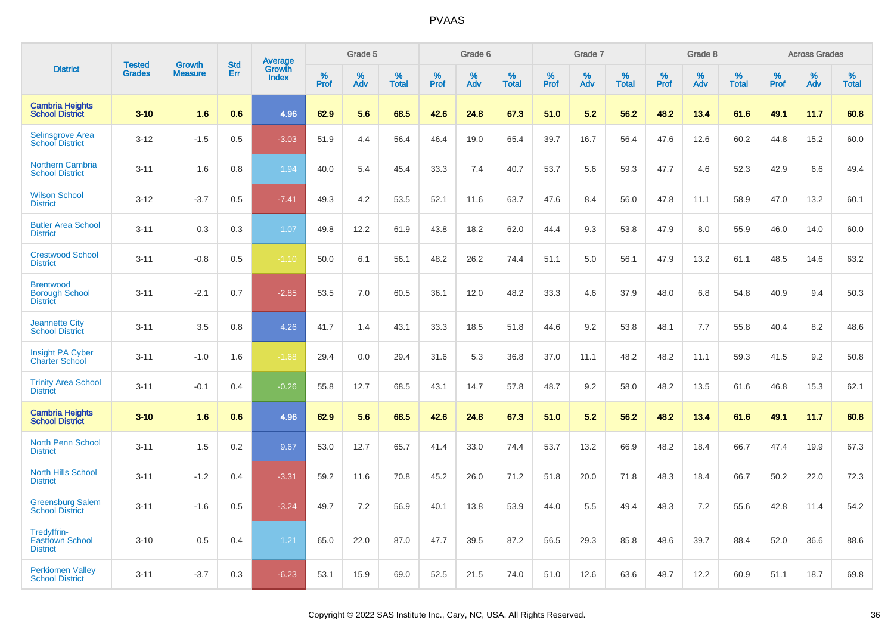|                                                              | <b>Tested</b> | <b>Growth</b>  | <b>Std</b> | Average                |              | Grade 5  |                   |              | Grade 6  |                   |              | Grade 7  |                   |              | Grade 8  |                   |              | <b>Across Grades</b> |                   |
|--------------------------------------------------------------|---------------|----------------|------------|------------------------|--------------|----------|-------------------|--------------|----------|-------------------|--------------|----------|-------------------|--------------|----------|-------------------|--------------|----------------------|-------------------|
| <b>District</b>                                              | <b>Grades</b> | <b>Measure</b> | Err        | Growth<br><b>Index</b> | $\%$<br>Prof | %<br>Adv | %<br><b>Total</b> | $\%$<br>Prof | %<br>Adv | %<br><b>Total</b> | $\%$<br>Prof | %<br>Adv | %<br><b>Total</b> | $\%$<br>Prof | %<br>Adv | %<br><b>Total</b> | $\%$<br>Prof | $\%$<br>Adv          | %<br><b>Total</b> |
| <b>Cambria Heights</b><br><b>School District</b>             | $3 - 10$      | 1.6            | 0.6        | 4.96                   | 62.9         | 5.6      | 68.5              | 42.6         | 24.8     | 67.3              | 51.0         | 5.2      | 56.2              | 48.2         | 13.4     | 61.6              | 49.1         | 11.7                 | 60.8              |
| <b>Selinsgrove Area</b><br><b>School</b> District            | $3 - 12$      | $-1.5$         | 0.5        | $-3.03$                | 51.9         | 4.4      | 56.4              | 46.4         | 19.0     | 65.4              | 39.7         | 16.7     | 56.4              | 47.6         | 12.6     | 60.2              | 44.8         | 15.2                 | 60.0              |
| <b>Northern Cambria</b><br><b>School District</b>            | $3 - 11$      | 1.6            | 0.8        | 1.94                   | 40.0         | 5.4      | 45.4              | 33.3         | 7.4      | 40.7              | 53.7         | 5.6      | 59.3              | 47.7         | 4.6      | 52.3              | 42.9         | 6.6                  | 49.4              |
| <b>Wilson School</b><br><b>District</b>                      | $3 - 12$      | $-3.7$         | 0.5        | $-7.41$                | 49.3         | 4.2      | 53.5              | 52.1         | 11.6     | 63.7              | 47.6         | 8.4      | 56.0              | 47.8         | 11.1     | 58.9              | 47.0         | 13.2                 | 60.1              |
| <b>Butler Area School</b><br><b>District</b>                 | $3 - 11$      | 0.3            | 0.3        | 1.07                   | 49.8         | 12.2     | 61.9              | 43.8         | 18.2     | 62.0              | 44.4         | 9.3      | 53.8              | 47.9         | 8.0      | 55.9              | 46.0         | 14.0                 | 60.0              |
| <b>Crestwood School</b><br><b>District</b>                   | $3 - 11$      | $-0.8$         | 0.5        | $-1.10$                | 50.0         | 6.1      | 56.1              | 48.2         | 26.2     | 74.4              | 51.1         | 5.0      | 56.1              | 47.9         | 13.2     | 61.1              | 48.5         | 14.6                 | 63.2              |
| <b>Brentwood</b><br><b>Borough School</b><br><b>District</b> | $3 - 11$      | $-2.1$         | 0.7        | $-2.85$                | 53.5         | 7.0      | 60.5              | 36.1         | 12.0     | 48.2              | 33.3         | 4.6      | 37.9              | 48.0         | 6.8      | 54.8              | 40.9         | 9.4                  | 50.3              |
| <b>Jeannette City</b><br><b>School District</b>              | $3 - 11$      | 3.5            | 0.8        | 4.26                   | 41.7         | 1.4      | 43.1              | 33.3         | 18.5     | 51.8              | 44.6         | 9.2      | 53.8              | 48.1         | 7.7      | 55.8              | 40.4         | 8.2                  | 48.6              |
| <b>Insight PA Cyber</b><br><b>Charter School</b>             | $3 - 11$      | $-1.0$         | 1.6        | $-1.68$                | 29.4         | 0.0      | 29.4              | 31.6         | 5.3      | 36.8              | 37.0         | 11.1     | 48.2              | 48.2         | 11.1     | 59.3              | 41.5         | 9.2                  | 50.8              |
| <b>Trinity Area School</b><br><b>District</b>                | $3 - 11$      | $-0.1$         | 0.4        | $-0.26$                | 55.8         | 12.7     | 68.5              | 43.1         | 14.7     | 57.8              | 48.7         | 9.2      | 58.0              | 48.2         | 13.5     | 61.6              | 46.8         | 15.3                 | 62.1              |
| <b>Cambria Heights</b><br><b>School District</b>             | $3 - 10$      | 1.6            | 0.6        | 4.96                   | 62.9         | 5.6      | 68.5              | 42.6         | 24.8     | 67.3              | 51.0         | 5.2      | 56.2              | 48.2         | 13.4     | 61.6              | 49.1         | 11.7                 | 60.8              |
| <b>North Penn School</b><br><b>District</b>                  | $3 - 11$      | 1.5            | 0.2        | 9.67                   | 53.0         | 12.7     | 65.7              | 41.4         | 33.0     | 74.4              | 53.7         | 13.2     | 66.9              | 48.2         | 18.4     | 66.7              | 47.4         | 19.9                 | 67.3              |
| <b>North Hills School</b><br><b>District</b>                 | $3 - 11$      | $-1.2$         | 0.4        | $-3.31$                | 59.2         | 11.6     | 70.8              | 45.2         | 26.0     | 71.2              | 51.8         | 20.0     | 71.8              | 48.3         | 18.4     | 66.7              | 50.2         | 22.0                 | 72.3              |
| <b>Greensburg Salem</b><br><b>School District</b>            | $3 - 11$      | $-1.6$         | 0.5        | $-3.24$                | 49.7         | 7.2      | 56.9              | 40.1         | 13.8     | 53.9              | 44.0         | 5.5      | 49.4              | 48.3         | 7.2      | 55.6              | 42.8         | 11.4                 | 54.2              |
| Tredyffrin-<br><b>Easttown School</b><br><b>District</b>     | $3 - 10$      | 0.5            | 0.4        | 1.21                   | 65.0         | 22.0     | 87.0              | 47.7         | 39.5     | 87.2              | 56.5         | 29.3     | 85.8              | 48.6         | 39.7     | 88.4              | 52.0         | 36.6                 | 88.6              |
| <b>Perkiomen Valley</b><br><b>School District</b>            | $3 - 11$      | $-3.7$         | 0.3        | $-6.23$                | 53.1         | 15.9     | 69.0              | 52.5         | 21.5     | 74.0              | 51.0         | 12.6     | 63.6              | 48.7         | 12.2     | 60.9              | 51.1         | 18.7                 | 69.8              |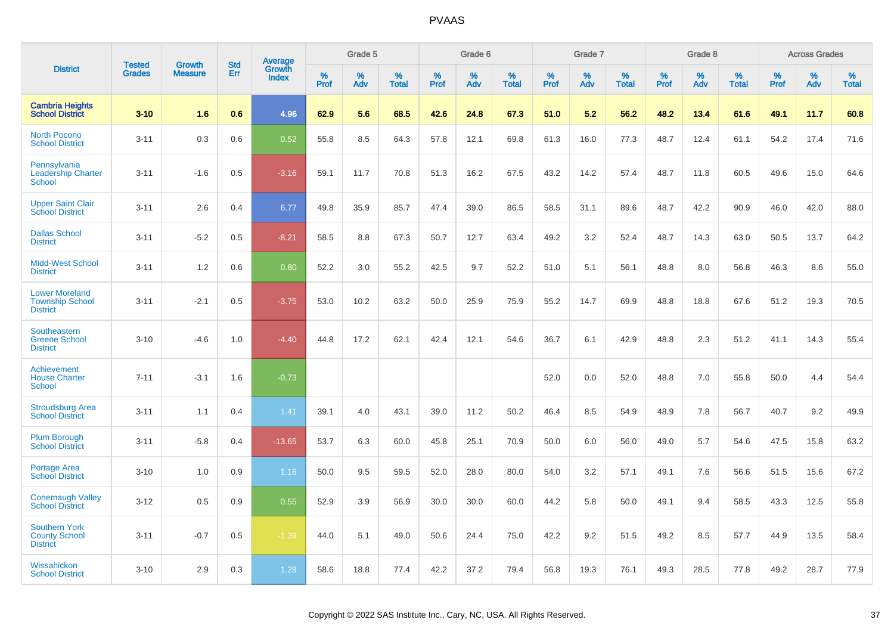|                                                                    |                                | <b>Growth</b>  | <b>Std</b> | Average         |                     | Grade 5  |                      |              | Grade 6  |                   |              | Grade 7  |                   |                     | Grade 8  |                   |                     | <b>Across Grades</b> |                   |
|--------------------------------------------------------------------|--------------------------------|----------------|------------|-----------------|---------------------|----------|----------------------|--------------|----------|-------------------|--------------|----------|-------------------|---------------------|----------|-------------------|---------------------|----------------------|-------------------|
| <b>District</b>                                                    | <b>Tested</b><br><b>Grades</b> | <b>Measure</b> | Err        | Growth<br>Index | $\%$<br><b>Prof</b> | %<br>Adv | $\%$<br><b>Total</b> | $\%$<br>Prof | %<br>Adv | %<br><b>Total</b> | $\%$<br>Prof | %<br>Adv | %<br><b>Total</b> | $\%$<br><b>Prof</b> | %<br>Adv | %<br><b>Total</b> | $\%$<br><b>Prof</b> | %<br>Adv             | %<br><b>Total</b> |
| <b>Cambria Heights</b><br><b>School District</b>                   | $3-10$                         | 1.6            | 0.6        | 4.96            | 62.9                | 5.6      | 68.5                 | 42.6         | 24.8     | 67.3              | 51.0         | 5.2      | 56.2              | 48.2                | 13.4     | 61.6              | 49.1                | 11.7                 | 60.8              |
| <b>North Pocono</b><br><b>School District</b>                      | $3 - 11$                       | 0.3            | 0.6        | 0.52            | 55.8                | 8.5      | 64.3                 | 57.8         | 12.1     | 69.8              | 61.3         | 16.0     | 77.3              | 48.7                | 12.4     | 61.1              | 54.2                | 17.4                 | 71.6              |
| Pennsylvania<br><b>Leadership Charter</b><br>School                | $3 - 11$                       | $-1.6$         | 0.5        | $-3.16$         | 59.1                | 11.7     | 70.8                 | 51.3         | 16.2     | 67.5              | 43.2         | 14.2     | 57.4              | 48.7                | 11.8     | 60.5              | 49.6                | 15.0                 | 64.6              |
| <b>Upper Saint Clair</b><br><b>School District</b>                 | $3 - 11$                       | 2.6            | 0.4        | 6.77            | 49.8                | 35.9     | 85.7                 | 47.4         | 39.0     | 86.5              | 58.5         | 31.1     | 89.6              | 48.7                | 42.2     | 90.9              | 46.0                | 42.0                 | 88.0              |
| <b>Dallas School</b><br><b>District</b>                            | $3 - 11$                       | $-5.2$         | 0.5        | $-8.21$         | 58.5                | 8.8      | 67.3                 | 50.7         | 12.7     | 63.4              | 49.2         | 3.2      | 52.4              | 48.7                | 14.3     | 63.0              | 50.5                | 13.7                 | 64.2              |
| <b>Midd-West School</b><br><b>District</b>                         | $3 - 11$                       | 1.2            | 0.6        | 0.80            | 52.2                | 3.0      | 55.2                 | 42.5         | 9.7      | 52.2              | 51.0         | 5.1      | 56.1              | 48.8                | 8.0      | 56.8              | 46.3                | 8.6                  | 55.0              |
| <b>Lower Moreland</b><br><b>Township School</b><br><b>District</b> | $3 - 11$                       | $-2.1$         | 0.5        | $-3.75$         | 53.0                | 10.2     | 63.2                 | 50.0         | 25.9     | 75.9              | 55.2         | 14.7     | 69.9              | 48.8                | 18.8     | 67.6              | 51.2                | 19.3                 | 70.5              |
| Southeastern<br><b>Greene School</b><br><b>District</b>            | $3 - 10$                       | $-4.6$         | 1.0        | $-4.40$         | 44.8                | 17.2     | 62.1                 | 42.4         | 12.1     | 54.6              | 36.7         | 6.1      | 42.9              | 48.8                | 2.3      | 51.2              | 41.1                | 14.3                 | 55.4              |
| Achievement<br><b>House Charter</b><br><b>School</b>               | $7 - 11$                       | $-3.1$         | 1.6        | $-0.73$         |                     |          |                      |              |          |                   | 52.0         | 0.0      | 52.0              | 48.8                | 7.0      | 55.8              | 50.0                | 4.4                  | 54.4              |
| <b>Stroudsburg Area</b><br><b>School District</b>                  | $3 - 11$                       | 1.1            | 0.4        | 1.41            | 39.1                | 4.0      | 43.1                 | 39.0         | 11.2     | 50.2              | 46.4         | 8.5      | 54.9              | 48.9                | 7.8      | 56.7              | 40.7                | 9.2                  | 49.9              |
| <b>Plum Borough</b><br><b>School District</b>                      | $3 - 11$                       | $-5.8$         | 0.4        | $-13.65$        | 53.7                | 6.3      | 60.0                 | 45.8         | 25.1     | 70.9              | 50.0         | 6.0      | 56.0              | 49.0                | 5.7      | 54.6              | 47.5                | 15.8                 | 63.2              |
| Portage Area<br><b>School District</b>                             | $3 - 10$                       | 1.0            | 0.9        | 1.16            | 50.0                | 9.5      | 59.5                 | 52.0         | 28.0     | 80.0              | 54.0         | 3.2      | 57.1              | 49.1                | 7.6      | 56.6              | 51.5                | 15.6                 | 67.2              |
| <b>Conemaugh Valley</b><br><b>School District</b>                  | $3 - 12$                       | 0.5            | 0.9        | 0.55            | 52.9                | 3.9      | 56.9                 | 30.0         | 30.0     | 60.0              | 44.2         | 5.8      | 50.0              | 49.1                | 9.4      | 58.5              | 43.3                | 12.5                 | 55.8              |
| <b>Southern York</b><br><b>County School</b><br><b>District</b>    | $3 - 11$                       | $-0.7$         | 0.5        | $-1.39$         | 44.0                | 5.1      | 49.0                 | 50.6         | 24.4     | 75.0              | 42.2         | 9.2      | 51.5              | 49.2                | 8.5      | 57.7              | 44.9                | 13.5                 | 58.4              |
| Wissahickon<br><b>School District</b>                              | $3 - 10$                       | 2.9            | 0.3        | 1.29            | 58.6                | 18.8     | 77.4                 | 42.2         | 37.2     | 79.4              | 56.8         | 19.3     | 76.1              | 49.3                | 28.5     | 77.8              | 49.2                | 28.7                 | 77.9              |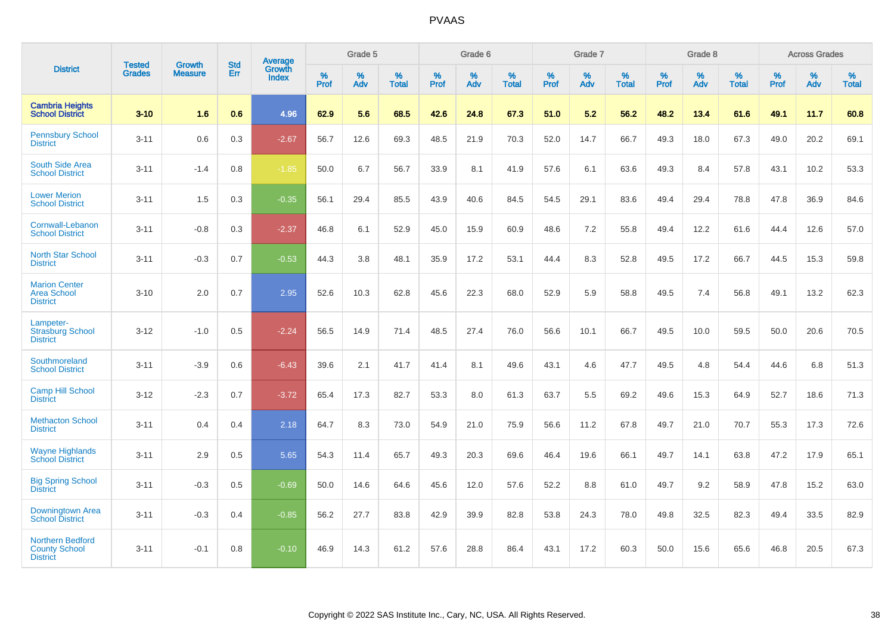|                                                                    |                                |                                 | <b>Std</b> | Average                       |           | Grade 5  |                   |           | Grade 6  |                   |           | Grade 7  |                   |           | Grade 8  |                   |           | <b>Across Grades</b> |                   |
|--------------------------------------------------------------------|--------------------------------|---------------------------------|------------|-------------------------------|-----------|----------|-------------------|-----------|----------|-------------------|-----------|----------|-------------------|-----------|----------|-------------------|-----------|----------------------|-------------------|
| <b>District</b>                                                    | <b>Tested</b><br><b>Grades</b> | <b>Growth</b><br><b>Measure</b> | Err        | <b>Growth</b><br><b>Index</b> | %<br>Prof | %<br>Adv | %<br><b>Total</b> | %<br>Prof | %<br>Adv | %<br><b>Total</b> | %<br>Prof | %<br>Adv | %<br><b>Total</b> | %<br>Prof | %<br>Adv | %<br><b>Total</b> | %<br>Prof | %<br>Adv             | %<br><b>Total</b> |
| <b>Cambria Heights</b><br><b>School District</b>                   | $3 - 10$                       | 1.6                             | 0.6        | 4.96                          | 62.9      | 5.6      | 68.5              | 42.6      | 24.8     | 67.3              | 51.0      | 5.2      | 56.2              | 48.2      | 13.4     | 61.6              | 49.1      | 11.7                 | 60.8              |
| <b>Pennsbury School</b><br><b>District</b>                         | $3 - 11$                       | 0.6                             | 0.3        | $-2.67$                       | 56.7      | 12.6     | 69.3              | 48.5      | 21.9     | 70.3              | 52.0      | 14.7     | 66.7              | 49.3      | 18.0     | 67.3              | 49.0      | 20.2                 | 69.1              |
| <b>South Side Area</b><br><b>School District</b>                   | $3 - 11$                       | $-1.4$                          | 0.8        | $-1.85$                       | 50.0      | 6.7      | 56.7              | 33.9      | 8.1      | 41.9              | 57.6      | 6.1      | 63.6              | 49.3      | 8.4      | 57.8              | 43.1      | 10.2                 | 53.3              |
| <b>Lower Merion</b><br><b>School District</b>                      | $3 - 11$                       | 1.5                             | 0.3        | $-0.35$                       | 56.1      | 29.4     | 85.5              | 43.9      | 40.6     | 84.5              | 54.5      | 29.1     | 83.6              | 49.4      | 29.4     | 78.8              | 47.8      | 36.9                 | 84.6              |
| Cornwall-Lebanon<br><b>School District</b>                         | $3 - 11$                       | $-0.8$                          | $0.3\,$    | $-2.37$                       | 46.8      | 6.1      | 52.9              | 45.0      | 15.9     | 60.9              | 48.6      | 7.2      | 55.8              | 49.4      | 12.2     | 61.6              | 44.4      | 12.6                 | 57.0              |
| <b>North Star School</b><br><b>District</b>                        | $3 - 11$                       | $-0.3$                          | 0.7        | $-0.53$                       | 44.3      | 3.8      | 48.1              | 35.9      | 17.2     | 53.1              | 44.4      | 8.3      | 52.8              | 49.5      | 17.2     | 66.7              | 44.5      | 15.3                 | 59.8              |
| <b>Marion Center</b><br><b>Area School</b><br><b>District</b>      | $3 - 10$                       | 2.0                             | 0.7        | 2.95                          | 52.6      | 10.3     | 62.8              | 45.6      | 22.3     | 68.0              | 52.9      | 5.9      | 58.8              | 49.5      | 7.4      | 56.8              | 49.1      | 13.2                 | 62.3              |
| Lampeter-<br><b>Strasburg School</b><br><b>District</b>            | $3 - 12$                       | $-1.0$                          | 0.5        | $-2.24$                       | 56.5      | 14.9     | 71.4              | 48.5      | 27.4     | 76.0              | 56.6      | 10.1     | 66.7              | 49.5      | 10.0     | 59.5              | 50.0      | 20.6                 | 70.5              |
| Southmoreland<br><b>School District</b>                            | $3 - 11$                       | $-3.9$                          | 0.6        | $-6.43$                       | 39.6      | 2.1      | 41.7              | 41.4      | 8.1      | 49.6              | 43.1      | 4.6      | 47.7              | 49.5      | 4.8      | 54.4              | 44.6      | 6.8                  | 51.3              |
| <b>Camp Hill School</b><br><b>District</b>                         | $3 - 12$                       | $-2.3$                          | 0.7        | $-3.72$                       | 65.4      | 17.3     | 82.7              | 53.3      | 8.0      | 61.3              | 63.7      | 5.5      | 69.2              | 49.6      | 15.3     | 64.9              | 52.7      | 18.6                 | 71.3              |
| <b>Methacton School</b><br><b>District</b>                         | $3 - 11$                       | 0.4                             | 0.4        | 2.18                          | 64.7      | 8.3      | 73.0              | 54.9      | 21.0     | 75.9              | 56.6      | 11.2     | 67.8              | 49.7      | 21.0     | 70.7              | 55.3      | 17.3                 | 72.6              |
| <b>Wayne Highlands</b><br><b>School District</b>                   | $3 - 11$                       | 2.9                             | 0.5        | 5.65                          | 54.3      | 11.4     | 65.7              | 49.3      | 20.3     | 69.6              | 46.4      | 19.6     | 66.1              | 49.7      | 14.1     | 63.8              | 47.2      | 17.9                 | 65.1              |
| <b>Big Spring School</b><br><b>District</b>                        | $3 - 11$                       | $-0.3$                          | 0.5        | $-0.69$                       | 50.0      | 14.6     | 64.6              | 45.6      | 12.0     | 57.6              | 52.2      | 8.8      | 61.0              | 49.7      | 9.2      | 58.9              | 47.8      | 15.2                 | 63.0              |
| Downingtown Area<br><b>School District</b>                         | $3 - 11$                       | $-0.3$                          | 0.4        | $-0.85$                       | 56.2      | 27.7     | 83.8              | 42.9      | 39.9     | 82.8              | 53.8      | 24.3     | 78.0              | 49.8      | 32.5     | 82.3              | 49.4      | 33.5                 | 82.9              |
| <b>Northern Bedford</b><br><b>County School</b><br><b>District</b> | $3 - 11$                       | $-0.1$                          | 0.8        | $-0.10$                       | 46.9      | 14.3     | 61.2              | 57.6      | 28.8     | 86.4              | 43.1      | 17.2     | 60.3              | 50.0      | 15.6     | 65.6              | 46.8      | 20.5                 | 67.3              |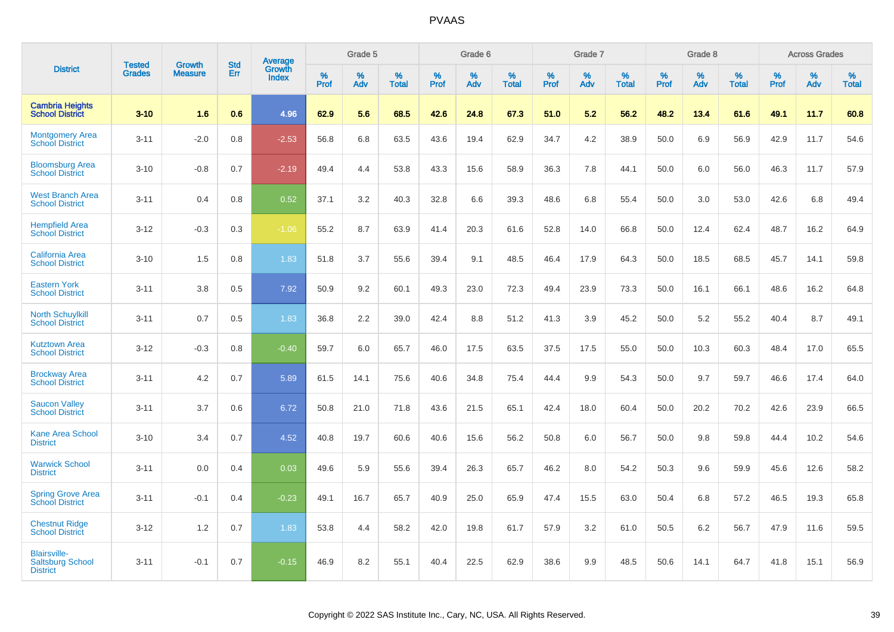|                                                                   | <b>Tested</b> | <b>Growth</b>  | <b>Std</b> | <b>Average</b><br>Growth |                     | Grade 5  |                      |              | Grade 6  |                      |              | Grade 7  |                      |              | Grade 8  |                      |                     | <b>Across Grades</b> |                   |
|-------------------------------------------------------------------|---------------|----------------|------------|--------------------------|---------------------|----------|----------------------|--------------|----------|----------------------|--------------|----------|----------------------|--------------|----------|----------------------|---------------------|----------------------|-------------------|
| <b>District</b>                                                   | <b>Grades</b> | <b>Measure</b> | Err        | <b>Index</b>             | $\%$<br><b>Prof</b> | %<br>Adv | $\%$<br><b>Total</b> | $\%$<br>Prof | %<br>Adv | $\%$<br><b>Total</b> | $\%$<br>Prof | %<br>Adv | $\%$<br><b>Total</b> | $\%$<br>Prof | %<br>Adv | $\%$<br><b>Total</b> | $\%$<br><b>Prof</b> | $\%$<br>Adv          | %<br><b>Total</b> |
| <b>Cambria Heights</b><br><b>School District</b>                  | $3 - 10$      | 1.6            | 0.6        | 4.96                     | 62.9                | 5.6      | 68.5                 | 42.6         | 24.8     | 67.3                 | 51.0         | 5.2      | 56.2                 | 48.2         | 13.4     | 61.6                 | 49.1                | 11.7                 | 60.8              |
| <b>Montgomery Area</b><br><b>School District</b>                  | $3 - 11$      | $-2.0$         | 0.8        | $-2.53$                  | 56.8                | 6.8      | 63.5                 | 43.6         | 19.4     | 62.9                 | 34.7         | 4.2      | 38.9                 | 50.0         | 6.9      | 56.9                 | 42.9                | 11.7                 | 54.6              |
| <b>Bloomsburg Area</b><br><b>School District</b>                  | $3 - 10$      | $-0.8$         | 0.7        | $-2.19$                  | 49.4                | 4.4      | 53.8                 | 43.3         | 15.6     | 58.9                 | 36.3         | 7.8      | 44.1                 | 50.0         | 6.0      | 56.0                 | 46.3                | 11.7                 | 57.9              |
| <b>West Branch Area</b><br><b>School District</b>                 | $3 - 11$      | 0.4            | 0.8        | 0.52                     | 37.1                | 3.2      | 40.3                 | 32.8         | 6.6      | 39.3                 | 48.6         | 6.8      | 55.4                 | 50.0         | 3.0      | 53.0                 | 42.6                | 6.8                  | 49.4              |
| <b>Hempfield Area</b><br><b>School District</b>                   | $3 - 12$      | $-0.3$         | 0.3        | $-1.06$                  | 55.2                | 8.7      | 63.9                 | 41.4         | 20.3     | 61.6                 | 52.8         | 14.0     | 66.8                 | 50.0         | 12.4     | 62.4                 | 48.7                | 16.2                 | 64.9              |
| <b>California Area</b><br><b>School District</b>                  | $3 - 10$      | 1.5            | 0.8        | 1.83                     | 51.8                | 3.7      | 55.6                 | 39.4         | 9.1      | 48.5                 | 46.4         | 17.9     | 64.3                 | 50.0         | 18.5     | 68.5                 | 45.7                | 14.1                 | 59.8              |
| <b>Eastern York</b><br><b>School District</b>                     | $3 - 11$      | 3.8            | 0.5        | 7.92                     | 50.9                | 9.2      | 60.1                 | 49.3         | 23.0     | 72.3                 | 49.4         | 23.9     | 73.3                 | 50.0         | 16.1     | 66.1                 | 48.6                | 16.2                 | 64.8              |
| <b>North Schuylkill</b><br><b>School District</b>                 | $3 - 11$      | 0.7            | 0.5        | 1.83                     | 36.8                | 2.2      | 39.0                 | 42.4         | 8.8      | 51.2                 | 41.3         | 3.9      | 45.2                 | 50.0         | 5.2      | 55.2                 | 40.4                | 8.7                  | 49.1              |
| <b>Kutztown Area</b><br><b>School District</b>                    | $3 - 12$      | $-0.3$         | 0.8        | $-0.40$                  | 59.7                | 6.0      | 65.7                 | 46.0         | 17.5     | 63.5                 | 37.5         | 17.5     | 55.0                 | 50.0         | 10.3     | 60.3                 | 48.4                | 17.0                 | 65.5              |
| <b>Brockway Area</b><br><b>School District</b>                    | $3 - 11$      | 4.2            | 0.7        | 5.89                     | 61.5                | 14.1     | 75.6                 | 40.6         | 34.8     | 75.4                 | 44.4         | 9.9      | 54.3                 | 50.0         | 9.7      | 59.7                 | 46.6                | 17.4                 | 64.0              |
| <b>Saucon Valley</b><br><b>School District</b>                    | $3 - 11$      | 3.7            | 0.6        | 6.72                     | 50.8                | 21.0     | 71.8                 | 43.6         | 21.5     | 65.1                 | 42.4         | 18.0     | 60.4                 | 50.0         | 20.2     | 70.2                 | 42.6                | 23.9                 | 66.5              |
| <b>Kane Area School</b><br><b>District</b>                        | $3 - 10$      | 3.4            | 0.7        | 4.52                     | 40.8                | 19.7     | 60.6                 | 40.6         | 15.6     | 56.2                 | 50.8         | 6.0      | 56.7                 | 50.0         | 9.8      | 59.8                 | 44.4                | 10.2                 | 54.6              |
| <b>Warwick School</b><br><b>District</b>                          | $3 - 11$      | 0.0            | 0.4        | 0.03                     | 49.6                | 5.9      | 55.6                 | 39.4         | 26.3     | 65.7                 | 46.2         | 8.0      | 54.2                 | 50.3         | 9.6      | 59.9                 | 45.6                | 12.6                 | 58.2              |
| <b>Spring Grove Area</b><br><b>School District</b>                | $3 - 11$      | $-0.1$         | 0.4        | $-0.23$                  | 49.1                | 16.7     | 65.7                 | 40.9         | 25.0     | 65.9                 | 47.4         | 15.5     | 63.0                 | 50.4         | 6.8      | 57.2                 | 46.5                | 19.3                 | 65.8              |
| <b>Chestnut Ridge</b><br><b>School District</b>                   | $3 - 12$      | 1.2            | 0.7        | 1.83                     | 53.8                | 4.4      | 58.2                 | 42.0         | 19.8     | 61.7                 | 57.9         | 3.2      | 61.0                 | 50.5         | 6.2      | 56.7                 | 47.9                | 11.6                 | 59.5              |
| <b>Blairsville-</b><br><b>Saltsburg School</b><br><b>District</b> | $3 - 11$      | $-0.1$         | 0.7        | $-0.15$                  | 46.9                | 8.2      | 55.1                 | 40.4         | 22.5     | 62.9                 | 38.6         | 9.9      | 48.5                 | 50.6         | 14.1     | 64.7                 | 41.8                | 15.1                 | 56.9              |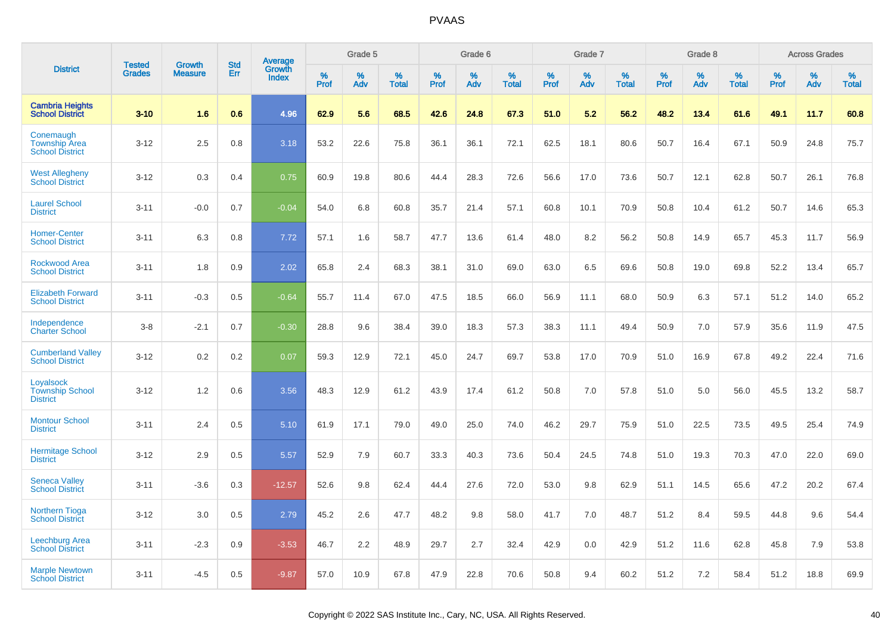|                                                             | <b>Tested</b> |                                 | <b>Std</b> | Average                |              | Grade 5  |                   |              | Grade 6  |                   |              | Grade 7  |                   |              | Grade 8  |                   |              | <b>Across Grades</b> |                   |
|-------------------------------------------------------------|---------------|---------------------------------|------------|------------------------|--------------|----------|-------------------|--------------|----------|-------------------|--------------|----------|-------------------|--------------|----------|-------------------|--------------|----------------------|-------------------|
| <b>District</b>                                             | <b>Grades</b> | <b>Growth</b><br><b>Measure</b> | Err        | Growth<br><b>Index</b> | $\%$<br>Prof | %<br>Adv | %<br><b>Total</b> | $\%$<br>Prof | %<br>Adv | %<br><b>Total</b> | $\%$<br>Prof | %<br>Adv | %<br><b>Total</b> | $\%$<br>Prof | %<br>Adv | %<br><b>Total</b> | $\%$<br>Prof | %<br>Adv             | %<br><b>Total</b> |
| <b>Cambria Heights</b><br><b>School District</b>            | $3 - 10$      | 1.6                             | 0.6        | 4.96                   | 62.9         | 5.6      | 68.5              | 42.6         | 24.8     | 67.3              | 51.0         | 5.2      | 56.2              | 48.2         | 13.4     | 61.6              | 49.1         | 11.7                 | 60.8              |
| Conemaugh<br><b>Township Area</b><br><b>School District</b> | $3 - 12$      | 2.5                             | 0.8        | 3.18                   | 53.2         | 22.6     | 75.8              | 36.1         | 36.1     | 72.1              | 62.5         | 18.1     | 80.6              | 50.7         | 16.4     | 67.1              | 50.9         | 24.8                 | 75.7              |
| <b>West Allegheny</b><br><b>School District</b>             | $3 - 12$      | 0.3                             | 0.4        | 0.75                   | 60.9         | 19.8     | 80.6              | 44.4         | 28.3     | 72.6              | 56.6         | 17.0     | 73.6              | 50.7         | 12.1     | 62.8              | 50.7         | 26.1                 | 76.8              |
| <b>Laurel School</b><br><b>District</b>                     | $3 - 11$      | $-0.0$                          | 0.7        | $-0.04$                | 54.0         | 6.8      | 60.8              | 35.7         | 21.4     | 57.1              | 60.8         | 10.1     | 70.9              | 50.8         | 10.4     | 61.2              | 50.7         | 14.6                 | 65.3              |
| <b>Homer-Center</b><br><b>School District</b>               | $3 - 11$      | 6.3                             | 0.8        | 7.72                   | 57.1         | 1.6      | 58.7              | 47.7         | 13.6     | 61.4              | 48.0         | 8.2      | 56.2              | 50.8         | 14.9     | 65.7              | 45.3         | 11.7                 | 56.9              |
| <b>Rockwood Area</b><br><b>School District</b>              | $3 - 11$      | 1.8                             | 0.9        | 2.02                   | 65.8         | 2.4      | 68.3              | 38.1         | 31.0     | 69.0              | 63.0         | 6.5      | 69.6              | 50.8         | 19.0     | 69.8              | 52.2         | 13.4                 | 65.7              |
| <b>Elizabeth Forward</b><br><b>School District</b>          | $3 - 11$      | $-0.3$                          | 0.5        | $-0.64$                | 55.7         | 11.4     | 67.0              | 47.5         | 18.5     | 66.0              | 56.9         | 11.1     | 68.0              | 50.9         | 6.3      | 57.1              | 51.2         | 14.0                 | 65.2              |
| Independence<br><b>Charter School</b>                       | $3 - 8$       | $-2.1$                          | 0.7        | $-0.30$                | 28.8         | 9.6      | 38.4              | 39.0         | 18.3     | 57.3              | 38.3         | 11.1     | 49.4              | 50.9         | 7.0      | 57.9              | 35.6         | 11.9                 | 47.5              |
| <b>Cumberland Valley</b><br><b>School District</b>          | $3 - 12$      | 0.2                             | 0.2        | 0.07                   | 59.3         | 12.9     | 72.1              | 45.0         | 24.7     | 69.7              | 53.8         | 17.0     | 70.9              | 51.0         | 16.9     | 67.8              | 49.2         | 22.4                 | 71.6              |
| Loyalsock<br><b>Township School</b><br><b>District</b>      | $3 - 12$      | 1.2                             | 0.6        | 3.56                   | 48.3         | 12.9     | 61.2              | 43.9         | 17.4     | 61.2              | 50.8         | 7.0      | 57.8              | 51.0         | 5.0      | 56.0              | 45.5         | 13.2                 | 58.7              |
| <b>Montour School</b><br><b>District</b>                    | $3 - 11$      | 2.4                             | 0.5        | 5.10                   | 61.9         | 17.1     | 79.0              | 49.0         | 25.0     | 74.0              | 46.2         | 29.7     | 75.9              | 51.0         | 22.5     | 73.5              | 49.5         | 25.4                 | 74.9              |
| <b>Hermitage School</b><br><b>District</b>                  | $3 - 12$      | 2.9                             | 0.5        | 5.57                   | 52.9         | 7.9      | 60.7              | 33.3         | 40.3     | 73.6              | 50.4         | 24.5     | 74.8              | 51.0         | 19.3     | 70.3              | 47.0         | 22.0                 | 69.0              |
| <b>Seneca Vallev</b><br><b>School District</b>              | $3 - 11$      | $-3.6$                          | 0.3        | $-12.57$               | 52.6         | 9.8      | 62.4              | 44.4         | 27.6     | 72.0              | 53.0         | 9.8      | 62.9              | 51.1         | 14.5     | 65.6              | 47.2         | 20.2                 | 67.4              |
| <b>Northern Tioga</b><br><b>School District</b>             | $3 - 12$      | 3.0                             | 0.5        | 2.79                   | 45.2         | 2.6      | 47.7              | 48.2         | 9.8      | 58.0              | 41.7         | 7.0      | 48.7              | 51.2         | 8.4      | 59.5              | 44.8         | 9.6                  | 54.4              |
| <b>Leechburg Area</b><br><b>School District</b>             | $3 - 11$      | $-2.3$                          | 0.9        | $-3.53$                | 46.7         | 2.2      | 48.9              | 29.7         | 2.7      | 32.4              | 42.9         | 0.0      | 42.9              | 51.2         | 11.6     | 62.8              | 45.8         | 7.9                  | 53.8              |
| <b>Marple Newtown</b><br><b>School District</b>             | $3 - 11$      | $-4.5$                          | 0.5        | $-9.87$                | 57.0         | 10.9     | 67.8              | 47.9         | 22.8     | 70.6              | 50.8         | 9.4      | 60.2              | 51.2         | 7.2      | 58.4              | 51.2         | 18.8                 | 69.9              |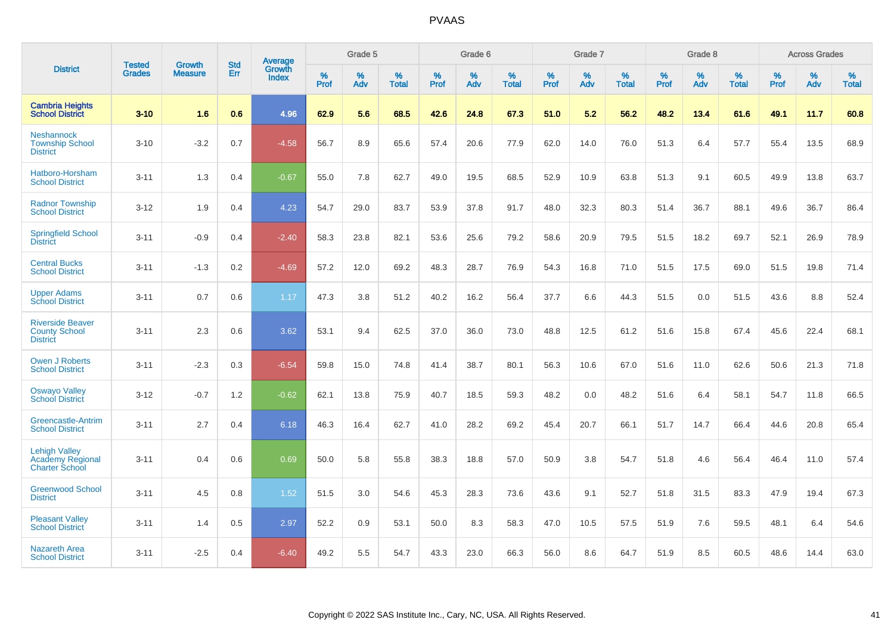|                                                                    | <b>Tested</b> | <b>Growth</b>  | <b>Std</b> | Average                       |           | Grade 5  |                   |           | Grade 6  |                   |           | Grade 7  |                   |           | Grade 8  |                   |           | <b>Across Grades</b> |                   |
|--------------------------------------------------------------------|---------------|----------------|------------|-------------------------------|-----------|----------|-------------------|-----------|----------|-------------------|-----------|----------|-------------------|-----------|----------|-------------------|-----------|----------------------|-------------------|
| <b>District</b>                                                    | <b>Grades</b> | <b>Measure</b> | Err        | <b>Growth</b><br><b>Index</b> | %<br>Prof | %<br>Adv | %<br><b>Total</b> | %<br>Prof | %<br>Adv | %<br><b>Total</b> | %<br>Prof | %<br>Adv | %<br><b>Total</b> | %<br>Prof | %<br>Adv | %<br><b>Total</b> | %<br>Prof | %<br>Adv             | %<br><b>Total</b> |
| <b>Cambria Heights</b><br><b>School District</b>                   | $3 - 10$      | 1.6            | 0.6        | 4.96                          | 62.9      | 5.6      | 68.5              | 42.6      | 24.8     | 67.3              | 51.0      | 5.2      | 56.2              | 48.2      | 13.4     | 61.6              | 49.1      | 11.7                 | 60.8              |
| <b>Neshannock</b><br><b>Township School</b><br><b>District</b>     | $3 - 10$      | $-3.2$         | 0.7        | $-4.58$                       | 56.7      | 8.9      | 65.6              | 57.4      | 20.6     | 77.9              | 62.0      | 14.0     | 76.0              | 51.3      | 6.4      | 57.7              | 55.4      | 13.5                 | 68.9              |
| Hatboro-Horsham<br><b>School District</b>                          | $3 - 11$      | 1.3            | 0.4        | $-0.67$                       | 55.0      | 7.8      | 62.7              | 49.0      | 19.5     | 68.5              | 52.9      | 10.9     | 63.8              | 51.3      | 9.1      | 60.5              | 49.9      | 13.8                 | 63.7              |
| <b>Radnor Township</b><br><b>School District</b>                   | $3 - 12$      | 1.9            | 0.4        | 4.23                          | 54.7      | 29.0     | 83.7              | 53.9      | 37.8     | 91.7              | 48.0      | 32.3     | 80.3              | 51.4      | 36.7     | 88.1              | 49.6      | 36.7                 | 86.4              |
| <b>Springfield School</b><br><b>District</b>                       | $3 - 11$      | $-0.9$         | 0.4        | $-2.40$                       | 58.3      | 23.8     | 82.1              | 53.6      | 25.6     | 79.2              | 58.6      | 20.9     | 79.5              | 51.5      | 18.2     | 69.7              | 52.1      | 26.9                 | 78.9              |
| <b>Central Bucks</b><br><b>School District</b>                     | $3 - 11$      | $-1.3$         | 0.2        | $-4.69$                       | 57.2      | 12.0     | 69.2              | 48.3      | 28.7     | 76.9              | 54.3      | 16.8     | 71.0              | 51.5      | 17.5     | 69.0              | 51.5      | 19.8                 | 71.4              |
| <b>Upper Adams</b><br><b>School District</b>                       | $3 - 11$      | 0.7            | 0.6        | 1.17                          | 47.3      | 3.8      | 51.2              | 40.2      | 16.2     | 56.4              | 37.7      | 6.6      | 44.3              | 51.5      | 0.0      | 51.5              | 43.6      | 8.8                  | 52.4              |
| <b>Riverside Beaver</b><br><b>County School</b><br><b>District</b> | $3 - 11$      | 2.3            | 0.6        | 3.62                          | 53.1      | 9.4      | 62.5              | 37.0      | 36.0     | 73.0              | 48.8      | 12.5     | 61.2              | 51.6      | 15.8     | 67.4              | 45.6      | 22.4                 | 68.1              |
| Owen J Roberts<br><b>School District</b>                           | $3 - 11$      | $-2.3$         | 0.3        | $-6.54$                       | 59.8      | 15.0     | 74.8              | 41.4      | 38.7     | 80.1              | 56.3      | 10.6     | 67.0              | 51.6      | 11.0     | 62.6              | 50.6      | 21.3                 | 71.8              |
| <b>Oswayo Valley</b><br><b>School District</b>                     | $3 - 12$      | $-0.7$         | 1.2        | $-0.62$                       | 62.1      | 13.8     | 75.9              | 40.7      | 18.5     | 59.3              | 48.2      | 0.0      | 48.2              | 51.6      | 6.4      | 58.1              | 54.7      | 11.8                 | 66.5              |
| <b>Greencastle-Antrim</b><br><b>School District</b>                | $3 - 11$      | 2.7            | 0.4        | 6.18                          | 46.3      | 16.4     | 62.7              | 41.0      | 28.2     | 69.2              | 45.4      | 20.7     | 66.1              | 51.7      | 14.7     | 66.4              | 44.6      | 20.8                 | 65.4              |
| <b>Lehigh Valley</b><br>Academy Regional<br><b>Charter School</b>  | $3 - 11$      | 0.4            | 0.6        | 0.69                          | 50.0      | 5.8      | 55.8              | 38.3      | 18.8     | 57.0              | 50.9      | 3.8      | 54.7              | 51.8      | 4.6      | 56.4              | 46.4      | 11.0                 | 57.4              |
| <b>Greenwood School</b><br><b>District</b>                         | $3 - 11$      | 4.5            | 0.8        | 1.52                          | 51.5      | 3.0      | 54.6              | 45.3      | 28.3     | 73.6              | 43.6      | 9.1      | 52.7              | 51.8      | 31.5     | 83.3              | 47.9      | 19.4                 | 67.3              |
| <b>Pleasant Valley</b><br><b>School District</b>                   | $3 - 11$      | 1.4            | 0.5        | 2.97                          | 52.2      | 0.9      | 53.1              | 50.0      | 8.3      | 58.3              | 47.0      | 10.5     | 57.5              | 51.9      | 7.6      | 59.5              | 48.1      | 6.4                  | 54.6              |
| Nazareth Area<br><b>School District</b>                            | $3 - 11$      | $-2.5$         | 0.4        | $-6.40$                       | 49.2      | 5.5      | 54.7              | 43.3      | 23.0     | 66.3              | 56.0      | 8.6      | 64.7              | 51.9      | 8.5      | 60.5              | 48.6      | 14.4                 | 63.0              |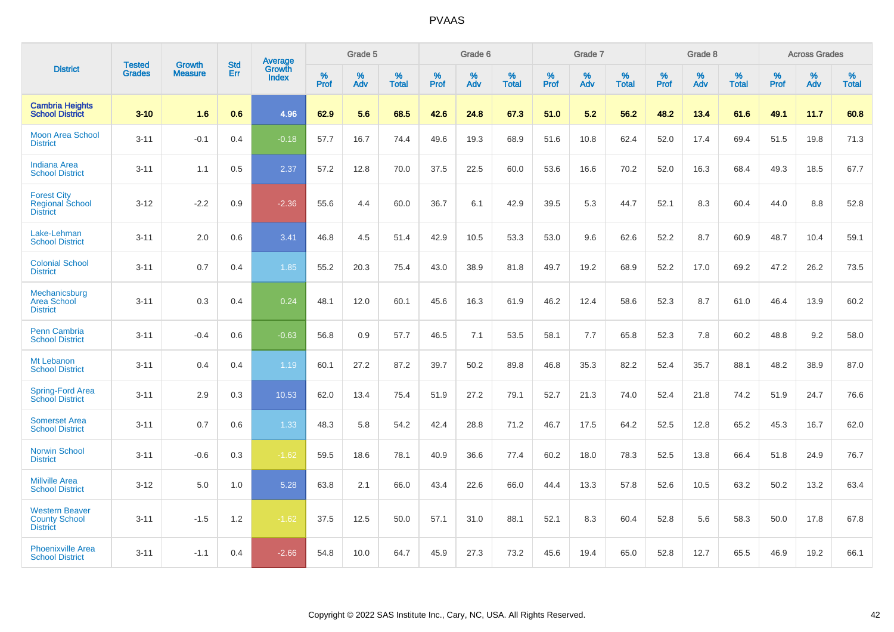|                                                                  |                                |                                 | <b>Std</b> | Average                       |           | Grade 5  |                   |           | Grade 6  |                   |           | Grade 7  |                   |           | Grade 8  |                   |           | <b>Across Grades</b> |                   |
|------------------------------------------------------------------|--------------------------------|---------------------------------|------------|-------------------------------|-----------|----------|-------------------|-----------|----------|-------------------|-----------|----------|-------------------|-----------|----------|-------------------|-----------|----------------------|-------------------|
| <b>District</b>                                                  | <b>Tested</b><br><b>Grades</b> | <b>Growth</b><br><b>Measure</b> | Err        | <b>Growth</b><br><b>Index</b> | %<br>Prof | %<br>Adv | %<br><b>Total</b> | %<br>Prof | %<br>Adv | %<br><b>Total</b> | %<br>Prof | %<br>Adv | %<br><b>Total</b> | %<br>Prof | %<br>Adv | %<br><b>Total</b> | %<br>Prof | %<br>Adv             | %<br><b>Total</b> |
| <b>Cambria Heights</b><br><b>School District</b>                 | $3 - 10$                       | 1.6                             | 0.6        | 4.96                          | 62.9      | 5.6      | 68.5              | 42.6      | 24.8     | 67.3              | 51.0      | 5.2      | 56.2              | 48.2      | 13.4     | 61.6              | 49.1      | 11.7                 | 60.8              |
| <b>Moon Area School</b><br><b>District</b>                       | $3 - 11$                       | $-0.1$                          | 0.4        | $-0.18$                       | 57.7      | 16.7     | 74.4              | 49.6      | 19.3     | 68.9              | 51.6      | 10.8     | 62.4              | 52.0      | 17.4     | 69.4              | 51.5      | 19.8                 | 71.3              |
| <b>Indiana Area</b><br><b>School District</b>                    | $3 - 11$                       | 1.1                             | 0.5        | 2.37                          | 57.2      | 12.8     | 70.0              | 37.5      | 22.5     | 60.0              | 53.6      | 16.6     | 70.2              | 52.0      | 16.3     | 68.4              | 49.3      | 18.5                 | 67.7              |
| <b>Forest City</b><br><b>Regional School</b><br><b>District</b>  | $3 - 12$                       | $-2.2$                          | 0.9        | $-2.36$                       | 55.6      | 4.4      | 60.0              | 36.7      | 6.1      | 42.9              | 39.5      | 5.3      | 44.7              | 52.1      | 8.3      | 60.4              | 44.0      | 8.8                  | 52.8              |
| Lake-Lehman<br><b>School District</b>                            | $3 - 11$                       | 2.0                             | 0.6        | 3.41                          | 46.8      | 4.5      | 51.4              | 42.9      | 10.5     | 53.3              | 53.0      | 9.6      | 62.6              | 52.2      | 8.7      | 60.9              | 48.7      | 10.4                 | 59.1              |
| <b>Colonial School</b><br><b>District</b>                        | $3 - 11$                       | 0.7                             | 0.4        | 1.85                          | 55.2      | 20.3     | 75.4              | 43.0      | 38.9     | 81.8              | 49.7      | 19.2     | 68.9              | 52.2      | 17.0     | 69.2              | 47.2      | 26.2                 | 73.5              |
| Mechanicsburg<br><b>Area School</b><br><b>District</b>           | $3 - 11$                       | 0.3                             | 0.4        | 0.24                          | 48.1      | 12.0     | 60.1              | 45.6      | 16.3     | 61.9              | 46.2      | 12.4     | 58.6              | 52.3      | 8.7      | 61.0              | 46.4      | 13.9                 | 60.2              |
| Penn Cambria<br><b>School District</b>                           | $3 - 11$                       | $-0.4$                          | 0.6        | $-0.63$                       | 56.8      | 0.9      | 57.7              | 46.5      | 7.1      | 53.5              | 58.1      | 7.7      | 65.8              | 52.3      | 7.8      | 60.2              | 48.8      | 9.2                  | 58.0              |
| Mt Lebanon<br><b>School District</b>                             | $3 - 11$                       | 0.4                             | 0.4        | 1.19                          | 60.1      | 27.2     | 87.2              | 39.7      | 50.2     | 89.8              | 46.8      | 35.3     | 82.2              | 52.4      | 35.7     | 88.1              | 48.2      | 38.9                 | 87.0              |
| <b>Spring-Ford Area</b><br>School District                       | $3 - 11$                       | 2.9                             | 0.3        | 10.53                         | 62.0      | 13.4     | 75.4              | 51.9      | 27.2     | 79.1              | 52.7      | 21.3     | 74.0              | 52.4      | 21.8     | 74.2              | 51.9      | 24.7                 | 76.6              |
| <b>Somerset Area</b><br><b>School District</b>                   | $3 - 11$                       | 0.7                             | 0.6        | 1.33                          | 48.3      | 5.8      | 54.2              | 42.4      | 28.8     | 71.2              | 46.7      | 17.5     | 64.2              | 52.5      | 12.8     | 65.2              | 45.3      | 16.7                 | 62.0              |
| <b>Norwin School</b><br><b>District</b>                          | $3 - 11$                       | $-0.6$                          | 0.3        | $-1.62$                       | 59.5      | 18.6     | 78.1              | 40.9      | 36.6     | 77.4              | 60.2      | 18.0     | 78.3              | 52.5      | 13.8     | 66.4              | 51.8      | 24.9                 | 76.7              |
| <b>Millville Area</b><br><b>School District</b>                  | $3 - 12$                       | 5.0                             | 1.0        | 5.28                          | 63.8      | 2.1      | 66.0              | 43.4      | 22.6     | 66.0              | 44.4      | 13.3     | 57.8              | 52.6      | 10.5     | 63.2              | 50.2      | 13.2                 | 63.4              |
| <b>Western Beaver</b><br><b>County School</b><br><b>District</b> | $3 - 11$                       | $-1.5$                          | 1.2        | $-1.62$                       | 37.5      | 12.5     | 50.0              | 57.1      | 31.0     | 88.1              | 52.1      | 8.3      | 60.4              | 52.8      | 5.6      | 58.3              | 50.0      | 17.8                 | 67.8              |
| <b>Phoenixville Area</b><br><b>School District</b>               | $3 - 11$                       | $-1.1$                          | 0.4        | $-2.66$                       | 54.8      | 10.0     | 64.7              | 45.9      | 27.3     | 73.2              | 45.6      | 19.4     | 65.0              | 52.8      | 12.7     | 65.5              | 46.9      | 19.2                 | 66.1              |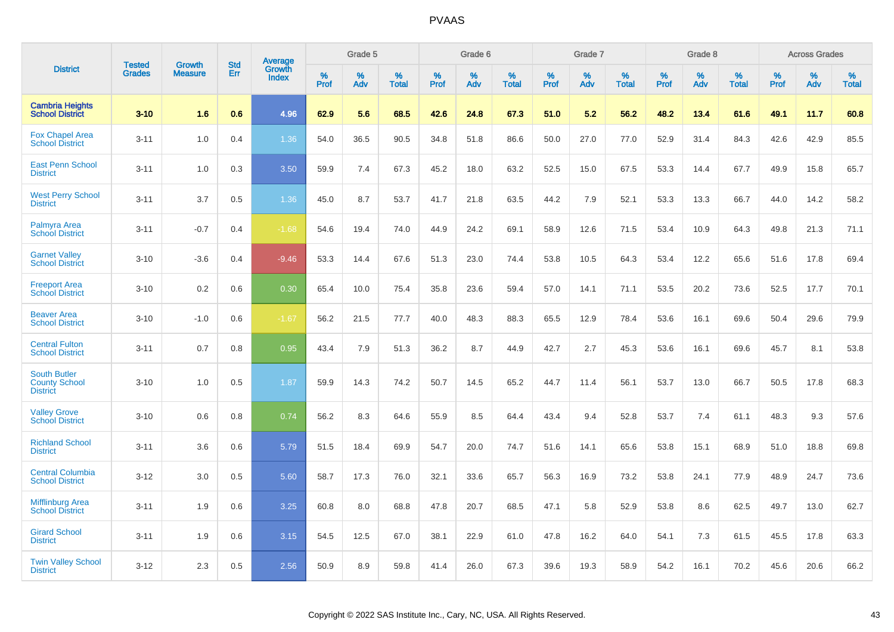|                                                                | <b>Tested</b> | <b>Growth</b>  | <b>Std</b> |                                          |              | Grade 5  |                      |                     | Grade 6     |                      |              | Grade 7     |                   |              | Grade 8     |                   |                     | <b>Across Grades</b> |                   |
|----------------------------------------------------------------|---------------|----------------|------------|------------------------------------------|--------------|----------|----------------------|---------------------|-------------|----------------------|--------------|-------------|-------------------|--------------|-------------|-------------------|---------------------|----------------------|-------------------|
| <b>District</b>                                                | <b>Grades</b> | <b>Measure</b> | Err        | <b>Average</b><br>Growth<br><b>Index</b> | $\%$<br>Prof | %<br>Adv | $\%$<br><b>Total</b> | $\%$<br><b>Prof</b> | $\%$<br>Adv | $\%$<br><b>Total</b> | $\%$<br>Prof | $\%$<br>Adv | %<br><b>Total</b> | $\%$<br>Prof | $\%$<br>Adv | %<br><b>Total</b> | $\%$<br><b>Prof</b> | $\%$<br>Adv          | %<br><b>Total</b> |
| <b>Cambria Heights</b><br><b>School District</b>               | $3 - 10$      | 1.6            | 0.6        | 4.96                                     | 62.9         | 5.6      | 68.5                 | 42.6                | 24.8        | 67.3                 | 51.0         | 5.2         | 56.2              | 48.2         | 13.4        | 61.6              | 49.1                | 11.7                 | 60.8              |
| <b>Fox Chapel Area</b><br><b>School District</b>               | $3 - 11$      | 1.0            | 0.4        | 1.36                                     | 54.0         | 36.5     | 90.5                 | 34.8                | 51.8        | 86.6                 | 50.0         | 27.0        | 77.0              | 52.9         | 31.4        | 84.3              | 42.6                | 42.9                 | 85.5              |
| <b>East Penn School</b><br><b>District</b>                     | $3 - 11$      | 1.0            | 0.3        | 3.50                                     | 59.9         | 7.4      | 67.3                 | 45.2                | 18.0        | 63.2                 | 52.5         | 15.0        | 67.5              | 53.3         | 14.4        | 67.7              | 49.9                | 15.8                 | 65.7              |
| <b>West Perry School</b><br><b>District</b>                    | $3 - 11$      | 3.7            | 0.5        | 1.36                                     | 45.0         | 8.7      | 53.7                 | 41.7                | 21.8        | 63.5                 | 44.2         | 7.9         | 52.1              | 53.3         | 13.3        | 66.7              | 44.0                | 14.2                 | 58.2              |
| Palmyra Area<br><b>School District</b>                         | $3 - 11$      | $-0.7$         | 0.4        | $-1.68$                                  | 54.6         | 19.4     | 74.0                 | 44.9                | 24.2        | 69.1                 | 58.9         | 12.6        | 71.5              | 53.4         | 10.9        | 64.3              | 49.8                | 21.3                 | 71.1              |
| <b>Garnet Valley</b><br><b>School District</b>                 | $3 - 10$      | $-3.6$         | 0.4        | $-9.46$                                  | 53.3         | 14.4     | 67.6                 | 51.3                | 23.0        | 74.4                 | 53.8         | 10.5        | 64.3              | 53.4         | 12.2        | 65.6              | 51.6                | 17.8                 | 69.4              |
| <b>Freeport Area</b><br><b>School District</b>                 | $3 - 10$      | 0.2            | 0.6        | 0.30                                     | 65.4         | 10.0     | 75.4                 | 35.8                | 23.6        | 59.4                 | 57.0         | 14.1        | 71.1              | 53.5         | 20.2        | 73.6              | 52.5                | 17.7                 | 70.1              |
| <b>Beaver Area</b><br><b>School District</b>                   | $3 - 10$      | $-1.0$         | 0.6        | $-1.67$                                  | 56.2         | 21.5     | 77.7                 | 40.0                | 48.3        | 88.3                 | 65.5         | 12.9        | 78.4              | 53.6         | 16.1        | 69.6              | 50.4                | 29.6                 | 79.9              |
| <b>Central Fulton</b><br><b>School District</b>                | $3 - 11$      | 0.7            | 0.8        | 0.95                                     | 43.4         | 7.9      | 51.3                 | 36.2                | 8.7         | 44.9                 | 42.7         | 2.7         | 45.3              | 53.6         | 16.1        | 69.6              | 45.7                | 8.1                  | 53.8              |
| <b>South Butler</b><br><b>County School</b><br><b>District</b> | $3 - 10$      | 1.0            | 0.5        | 1.87                                     | 59.9         | 14.3     | 74.2                 | 50.7                | 14.5        | 65.2                 | 44.7         | 11.4        | 56.1              | 53.7         | 13.0        | 66.7              | 50.5                | 17.8                 | 68.3              |
| <b>Valley Grove</b><br><b>School District</b>                  | $3 - 10$      | 0.6            | 0.8        | 0.74                                     | 56.2         | 8.3      | 64.6                 | 55.9                | 8.5         | 64.4                 | 43.4         | 9.4         | 52.8              | 53.7         | 7.4         | 61.1              | 48.3                | 9.3                  | 57.6              |
| <b>Richland School</b><br><b>District</b>                      | $3 - 11$      | 3.6            | 0.6        | 5.79                                     | 51.5         | 18.4     | 69.9                 | 54.7                | 20.0        | 74.7                 | 51.6         | 14.1        | 65.6              | 53.8         | 15.1        | 68.9              | 51.0                | 18.8                 | 69.8              |
| <b>Central Columbia</b><br><b>School District</b>              | $3 - 12$      | 3.0            | 0.5        | 5.60                                     | 58.7         | 17.3     | 76.0                 | 32.1                | 33.6        | 65.7                 | 56.3         | 16.9        | 73.2              | 53.8         | 24.1        | 77.9              | 48.9                | 24.7                 | 73.6              |
| <b>Mifflinburg Area</b><br><b>School District</b>              | $3 - 11$      | 1.9            | 0.6        | 3.25                                     | 60.8         | 8.0      | 68.8                 | 47.8                | 20.7        | 68.5                 | 47.1         | 5.8         | 52.9              | 53.8         | 8.6         | 62.5              | 49.7                | 13.0                 | 62.7              |
| <b>Girard School</b><br><b>District</b>                        | $3 - 11$      | 1.9            | 0.6        | 3.15                                     | 54.5         | 12.5     | 67.0                 | 38.1                | 22.9        | 61.0                 | 47.8         | 16.2        | 64.0              | 54.1         | 7.3         | 61.5              | 45.5                | 17.8                 | 63.3              |
| <b>Twin Valley School</b><br><b>District</b>                   | $3 - 12$      | 2.3            | 0.5        | 2.56                                     | 50.9         | 8.9      | 59.8                 | 41.4                | 26.0        | 67.3                 | 39.6         | 19.3        | 58.9              | 54.2         | 16.1        | 70.2              | 45.6                | 20.6                 | 66.2              |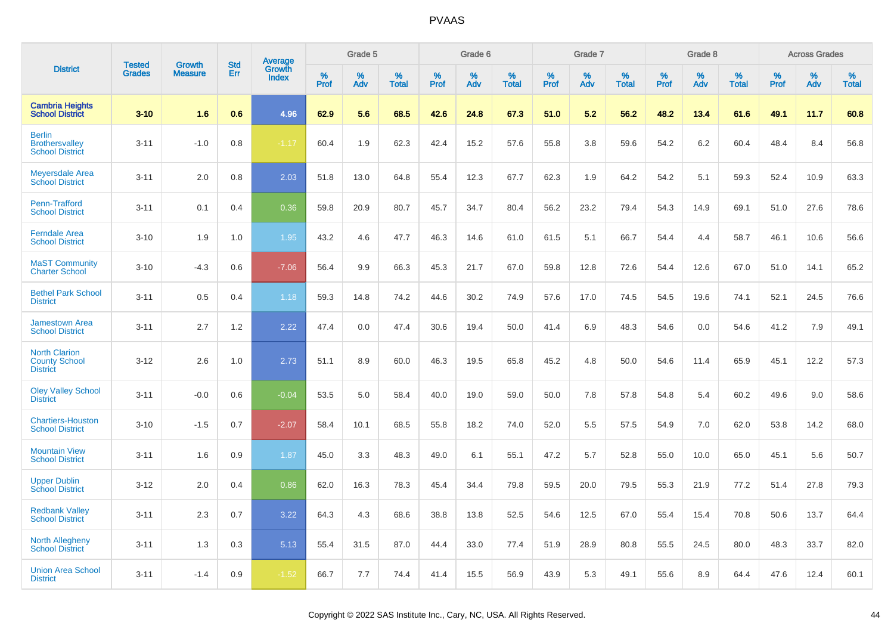|                                                                  |                                |                                 | <b>Std</b> | Average         |           | Grade 5  |                   |           | Grade 6  |                   |           | Grade 7  |                   |           | Grade 8  |                   |           | <b>Across Grades</b> |                   |
|------------------------------------------------------------------|--------------------------------|---------------------------------|------------|-----------------|-----------|----------|-------------------|-----------|----------|-------------------|-----------|----------|-------------------|-----------|----------|-------------------|-----------|----------------------|-------------------|
| <b>District</b>                                                  | <b>Tested</b><br><b>Grades</b> | <b>Growth</b><br><b>Measure</b> | Err        | Growth<br>Index | %<br>Prof | %<br>Adv | %<br><b>Total</b> | %<br>Prof | %<br>Adv | %<br><b>Total</b> | %<br>Prof | %<br>Adv | %<br><b>Total</b> | %<br>Prof | %<br>Adv | %<br><b>Total</b> | %<br>Prof | %<br>Adv             | %<br><b>Total</b> |
| <b>Cambria Heights</b><br><b>School District</b>                 | $3 - 10$                       | 1.6                             | 0.6        | 4.96            | 62.9      | 5.6      | 68.5              | 42.6      | 24.8     | 67.3              | 51.0      | 5.2      | 56.2              | 48.2      | 13.4     | 61.6              | 49.1      | 11.7                 | 60.8              |
| <b>Berlin</b><br><b>Brothersvalley</b><br><b>School District</b> | $3 - 11$                       | $-1.0$                          | 0.8        | $-1.17$         | 60.4      | 1.9      | 62.3              | 42.4      | 15.2     | 57.6              | 55.8      | 3.8      | 59.6              | 54.2      | 6.2      | 60.4              | 48.4      | 8.4                  | 56.8              |
| <b>Meyersdale Area</b><br><b>School District</b>                 | $3 - 11$                       | 2.0                             | 0.8        | 2.03            | 51.8      | 13.0     | 64.8              | 55.4      | 12.3     | 67.7              | 62.3      | 1.9      | 64.2              | 54.2      | 5.1      | 59.3              | 52.4      | 10.9                 | 63.3              |
| Penn-Trafford<br><b>School District</b>                          | $3 - 11$                       | 0.1                             | 0.4        | 0.36            | 59.8      | 20.9     | 80.7              | 45.7      | 34.7     | 80.4              | 56.2      | 23.2     | 79.4              | 54.3      | 14.9     | 69.1              | 51.0      | 27.6                 | 78.6              |
| <b>Ferndale Area</b><br><b>School District</b>                   | $3 - 10$                       | 1.9                             | 1.0        | 1.95            | 43.2      | 4.6      | 47.7              | 46.3      | 14.6     | 61.0              | 61.5      | 5.1      | 66.7              | 54.4      | 4.4      | 58.7              | 46.1      | 10.6                 | 56.6              |
| <b>MaST Community</b><br><b>Charter School</b>                   | $3 - 10$                       | $-4.3$                          | 0.6        | $-7.06$         | 56.4      | 9.9      | 66.3              | 45.3      | 21.7     | 67.0              | 59.8      | 12.8     | 72.6              | 54.4      | 12.6     | 67.0              | 51.0      | 14.1                 | 65.2              |
| <b>Bethel Park School</b><br><b>District</b>                     | $3 - 11$                       | 0.5                             | 0.4        | 1.18            | 59.3      | 14.8     | 74.2              | 44.6      | 30.2     | 74.9              | 57.6      | 17.0     | 74.5              | 54.5      | 19.6     | 74.1              | 52.1      | 24.5                 | 76.6              |
| <b>Jamestown Area</b><br><b>School District</b>                  | $3 - 11$                       | 2.7                             | 1.2        | 2.22            | 47.4      | 0.0      | 47.4              | 30.6      | 19.4     | 50.0              | 41.4      | 6.9      | 48.3              | 54.6      | 0.0      | 54.6              | 41.2      | 7.9                  | 49.1              |
| <b>North Clarion</b><br><b>County School</b><br><b>District</b>  | $3 - 12$                       | 2.6                             | 1.0        | 2.73            | 51.1      | 8.9      | 60.0              | 46.3      | 19.5     | 65.8              | 45.2      | 4.8      | 50.0              | 54.6      | 11.4     | 65.9              | 45.1      | 12.2                 | 57.3              |
| <b>Oley Valley School</b><br><b>District</b>                     | $3 - 11$                       | $-0.0$                          | 0.6        | $-0.04$         | 53.5      | 5.0      | 58.4              | 40.0      | 19.0     | 59.0              | 50.0      | 7.8      | 57.8              | 54.8      | 5.4      | 60.2              | 49.6      | 9.0                  | 58.6              |
| <b>Chartiers-Houston</b><br><b>School District</b>               | $3 - 10$                       | $-1.5$                          | 0.7        | $-2.07$         | 58.4      | 10.1     | 68.5              | 55.8      | 18.2     | 74.0              | 52.0      | 5.5      | 57.5              | 54.9      | 7.0      | 62.0              | 53.8      | 14.2                 | 68.0              |
| <b>Mountain View</b><br><b>School District</b>                   | $3 - 11$                       | 1.6                             | 0.9        | 1.87            | 45.0      | 3.3      | 48.3              | 49.0      | 6.1      | 55.1              | 47.2      | 5.7      | 52.8              | 55.0      | 10.0     | 65.0              | 45.1      | 5.6                  | 50.7              |
| <b>Upper Dublin</b><br><b>School District</b>                    | $3 - 12$                       | 2.0                             | 0.4        | 0.86            | 62.0      | 16.3     | 78.3              | 45.4      | 34.4     | 79.8              | 59.5      | 20.0     | 79.5              | 55.3      | 21.9     | 77.2              | 51.4      | 27.8                 | 79.3              |
| <b>Redbank Valley</b><br><b>School District</b>                  | $3 - 11$                       | 2.3                             | 0.7        | 3.22            | 64.3      | 4.3      | 68.6              | 38.8      | 13.8     | 52.5              | 54.6      | 12.5     | 67.0              | 55.4      | 15.4     | 70.8              | 50.6      | 13.7                 | 64.4              |
| <b>North Allegheny</b><br><b>School District</b>                 | $3 - 11$                       | 1.3                             | 0.3        | 5.13            | 55.4      | 31.5     | 87.0              | 44.4      | 33.0     | 77.4              | 51.9      | 28.9     | 80.8              | 55.5      | 24.5     | 80.0              | 48.3      | 33.7                 | 82.0              |
| <b>Union Area School</b><br><b>District</b>                      | $3 - 11$                       | $-1.4$                          | 0.9        | $-1.52$         | 66.7      | 7.7      | 74.4              | 41.4      | 15.5     | 56.9              | 43.9      | 5.3      | 49.1              | 55.6      | 8.9      | 64.4              | 47.6      | 12.4                 | 60.1              |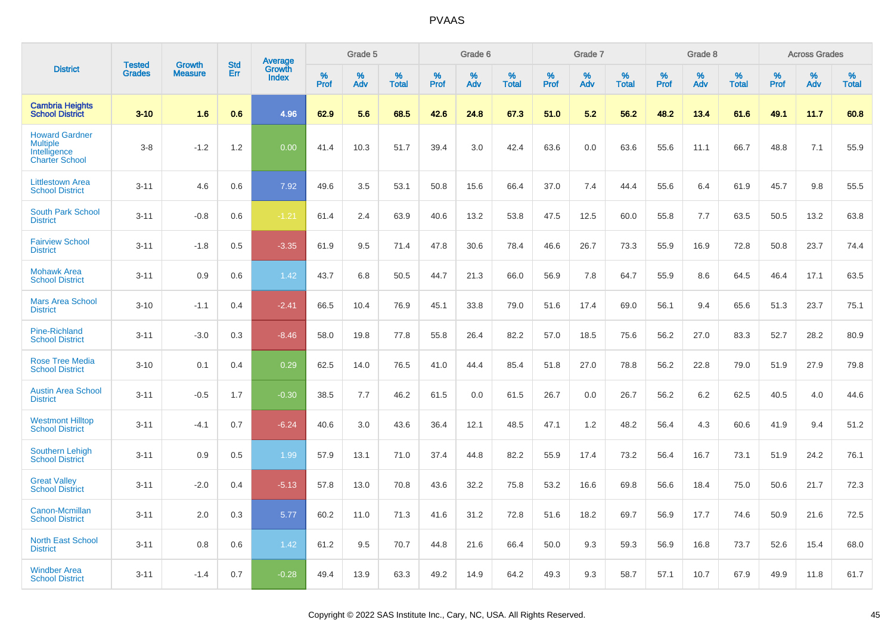|                                                                                   |                                |                                 |                   | Average                |           | Grade 5  |                   |           | Grade 6  |                   |           | Grade 7  |                   |           | Grade 8  |                   |           | <b>Across Grades</b> |                   |
|-----------------------------------------------------------------------------------|--------------------------------|---------------------------------|-------------------|------------------------|-----------|----------|-------------------|-----------|----------|-------------------|-----------|----------|-------------------|-----------|----------|-------------------|-----------|----------------------|-------------------|
| <b>District</b>                                                                   | <b>Tested</b><br><b>Grades</b> | <b>Growth</b><br><b>Measure</b> | <b>Std</b><br>Err | Growth<br><b>Index</b> | %<br>Prof | %<br>Adv | %<br><b>Total</b> | %<br>Prof | %<br>Adv | %<br><b>Total</b> | %<br>Prof | %<br>Adv | %<br><b>Total</b> | %<br>Prof | %<br>Adv | %<br><b>Total</b> | %<br>Prof | %<br>Adv             | %<br><b>Total</b> |
| <b>Cambria Heights</b><br><b>School District</b>                                  | $3 - 10$                       | 1.6                             | 0.6               | 4.96                   | 62.9      | 5.6      | 68.5              | 42.6      | 24.8     | 67.3              | 51.0      | 5.2      | 56.2              | 48.2      | 13.4     | 61.6              | 49.1      | 11.7                 | 60.8              |
| <b>Howard Gardner</b><br><b>Multiple</b><br>Intelligence<br><b>Charter School</b> | $3-8$                          | $-1.2$                          | 1.2               | 0.00                   | 41.4      | 10.3     | 51.7              | 39.4      | 3.0      | 42.4              | 63.6      | 0.0      | 63.6              | 55.6      | 11.1     | 66.7              | 48.8      | 7.1                  | 55.9              |
| <b>Littlestown Area</b><br><b>School District</b>                                 | $3 - 11$                       | 4.6                             | 0.6               | 7.92                   | 49.6      | 3.5      | 53.1              | 50.8      | 15.6     | 66.4              | 37.0      | 7.4      | 44.4              | 55.6      | 6.4      | 61.9              | 45.7      | 9.8                  | 55.5              |
| <b>South Park School</b><br><b>District</b>                                       | $3 - 11$                       | $-0.8$                          | 0.6               | $-1.21$                | 61.4      | 2.4      | 63.9              | 40.6      | 13.2     | 53.8              | 47.5      | 12.5     | 60.0              | 55.8      | 7.7      | 63.5              | 50.5      | 13.2                 | 63.8              |
| <b>Fairview School</b><br><b>District</b>                                         | $3 - 11$                       | $-1.8$                          | 0.5               | $-3.35$                | 61.9      | 9.5      | 71.4              | 47.8      | 30.6     | 78.4              | 46.6      | 26.7     | 73.3              | 55.9      | 16.9     | 72.8              | 50.8      | 23.7                 | 74.4              |
| <b>Mohawk Area</b><br><b>School District</b>                                      | $3 - 11$                       | 0.9                             | 0.6               | 1.42                   | 43.7      | 6.8      | 50.5              | 44.7      | 21.3     | 66.0              | 56.9      | 7.8      | 64.7              | 55.9      | 8.6      | 64.5              | 46.4      | 17.1                 | 63.5              |
| <b>Mars Area School</b><br><b>District</b>                                        | $3 - 10$                       | $-1.1$                          | 0.4               | $-2.41$                | 66.5      | 10.4     | 76.9              | 45.1      | 33.8     | 79.0              | 51.6      | 17.4     | 69.0              | 56.1      | 9.4      | 65.6              | 51.3      | 23.7                 | 75.1              |
| Pine-Richland<br><b>School District</b>                                           | $3 - 11$                       | $-3.0$                          | 0.3               | $-8.46$                | 58.0      | 19.8     | 77.8              | 55.8      | 26.4     | 82.2              | 57.0      | 18.5     | 75.6              | 56.2      | 27.0     | 83.3              | 52.7      | 28.2                 | 80.9              |
| <b>Rose Tree Media</b><br><b>School District</b>                                  | $3 - 10$                       | 0.1                             | 0.4               | 0.29                   | 62.5      | 14.0     | 76.5              | 41.0      | 44.4     | 85.4              | 51.8      | 27.0     | 78.8              | 56.2      | 22.8     | 79.0              | 51.9      | 27.9                 | 79.8              |
| <b>Austin Area School</b><br><b>District</b>                                      | $3 - 11$                       | $-0.5$                          | 1.7               | $-0.30$                | 38.5      | 7.7      | 46.2              | 61.5      | 0.0      | 61.5              | 26.7      | 0.0      | 26.7              | 56.2      | 6.2      | 62.5              | 40.5      | 4.0                  | 44.6              |
| <b>Westmont Hilltop</b><br><b>School District</b>                                 | $3 - 11$                       | $-4.1$                          | 0.7               | $-6.24$                | 40.6      | 3.0      | 43.6              | 36.4      | 12.1     | 48.5              | 47.1      | 1.2      | 48.2              | 56.4      | 4.3      | 60.6              | 41.9      | 9.4                  | 51.2              |
| <b>Southern Lehigh</b><br><b>School District</b>                                  | $3 - 11$                       | 0.9                             | 0.5               | 1.99                   | 57.9      | 13.1     | 71.0              | 37.4      | 44.8     | 82.2              | 55.9      | 17.4     | 73.2              | 56.4      | 16.7     | 73.1              | 51.9      | 24.2                 | 76.1              |
| <b>Great Vallev</b><br><b>School District</b>                                     | $3 - 11$                       | $-2.0$                          | 0.4               | $-5.13$                | 57.8      | 13.0     | 70.8              | 43.6      | 32.2     | 75.8              | 53.2      | 16.6     | 69.8              | 56.6      | 18.4     | 75.0              | 50.6      | 21.7                 | 72.3              |
| Canon-Mcmillan<br><b>School District</b>                                          | $3 - 11$                       | 2.0                             | 0.3               | 5.77                   | 60.2      | 11.0     | 71.3              | 41.6      | 31.2     | 72.8              | 51.6      | 18.2     | 69.7              | 56.9      | 17.7     | 74.6              | 50.9      | 21.6                 | 72.5              |
| <b>North East School</b><br><b>District</b>                                       | $3 - 11$                       | 0.8                             | 0.6               | 1.42                   | 61.2      | 9.5      | 70.7              | 44.8      | 21.6     | 66.4              | 50.0      | 9.3      | 59.3              | 56.9      | 16.8     | 73.7              | 52.6      | 15.4                 | 68.0              |
| <b>Windber Area</b><br><b>School District</b>                                     | $3 - 11$                       | $-1.4$                          | 0.7               | $-0.28$                | 49.4      | 13.9     | 63.3              | 49.2      | 14.9     | 64.2              | 49.3      | 9.3      | 58.7              | 57.1      | 10.7     | 67.9              | 49.9      | 11.8                 | 61.7              |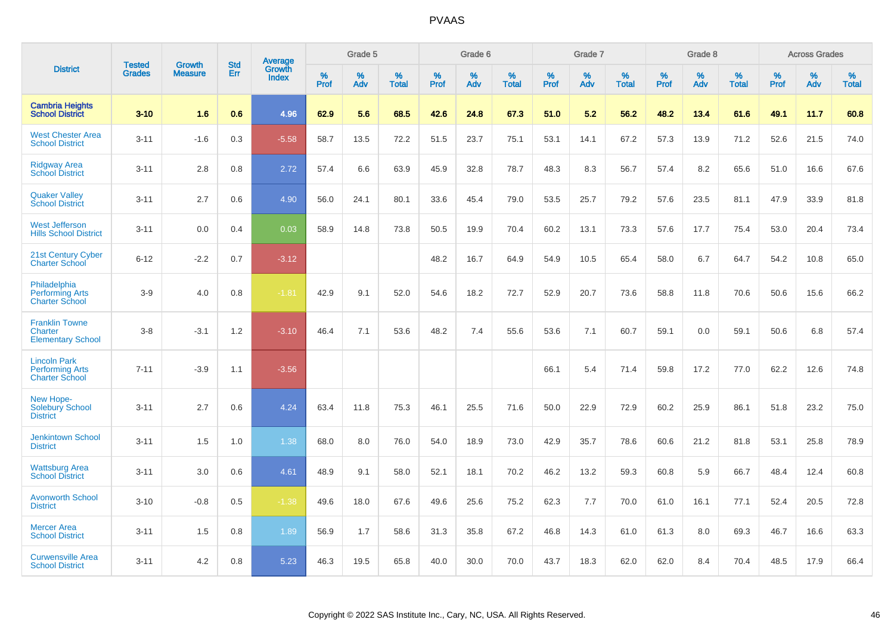|                                                                        | <b>Tested</b> | <b>Growth</b>  | <b>Std</b> | Average                |              | Grade 5  |                   |              | Grade 6  |                   |              | Grade 7  |                   |              | Grade 8  |                   |              | <b>Across Grades</b> |                   |
|------------------------------------------------------------------------|---------------|----------------|------------|------------------------|--------------|----------|-------------------|--------------|----------|-------------------|--------------|----------|-------------------|--------------|----------|-------------------|--------------|----------------------|-------------------|
| <b>District</b>                                                        | <b>Grades</b> | <b>Measure</b> | Err        | Growth<br><b>Index</b> | $\%$<br>Prof | %<br>Adv | %<br><b>Total</b> | $\%$<br>Prof | %<br>Adv | %<br><b>Total</b> | $\%$<br>Prof | %<br>Adv | %<br><b>Total</b> | $\%$<br>Prof | %<br>Adv | %<br><b>Total</b> | $\%$<br>Prof | $\%$<br>Adv          | %<br><b>Total</b> |
| <b>Cambria Heights</b><br><b>School District</b>                       | $3 - 10$      | 1.6            | 0.6        | 4.96                   | 62.9         | 5.6      | 68.5              | 42.6         | 24.8     | 67.3              | 51.0         | 5.2      | 56.2              | 48.2         | 13.4     | 61.6              | 49.1         | 11.7                 | 60.8              |
| <b>West Chester Area</b><br><b>School District</b>                     | $3 - 11$      | $-1.6$         | 0.3        | $-5.58$                | 58.7         | 13.5     | 72.2              | 51.5         | 23.7     | 75.1              | 53.1         | 14.1     | 67.2              | 57.3         | 13.9     | 71.2              | 52.6         | 21.5                 | 74.0              |
| <b>Ridgway Area</b><br><b>School District</b>                          | $3 - 11$      | 2.8            | 0.8        | 2.72                   | 57.4         | 6.6      | 63.9              | 45.9         | 32.8     | 78.7              | 48.3         | 8.3      | 56.7              | 57.4         | 8.2      | 65.6              | 51.0         | 16.6                 | 67.6              |
| <b>Quaker Valley</b><br><b>School District</b>                         | $3 - 11$      | 2.7            | 0.6        | 4.90                   | 56.0         | 24.1     | 80.1              | 33.6         | 45.4     | 79.0              | 53.5         | 25.7     | 79.2              | 57.6         | 23.5     | 81.1              | 47.9         | 33.9                 | 81.8              |
| <b>West Jefferson</b><br><b>Hills School District</b>                  | $3 - 11$      | 0.0            | 0.4        | 0.03                   | 58.9         | 14.8     | 73.8              | 50.5         | 19.9     | 70.4              | 60.2         | 13.1     | 73.3              | 57.6         | 17.7     | 75.4              | 53.0         | 20.4                 | 73.4              |
| 21st Century Cyber<br><b>Charter School</b>                            | $6 - 12$      | $-2.2$         | 0.7        | $-3.12$                |              |          |                   | 48.2         | 16.7     | 64.9              | 54.9         | 10.5     | 65.4              | 58.0         | 6.7      | 64.7              | 54.2         | 10.8                 | 65.0              |
| Philadelphia<br><b>Performing Arts</b><br><b>Charter School</b>        | $3-9$         | 4.0            | 0.8        | $-1.81$                | 42.9         | 9.1      | 52.0              | 54.6         | 18.2     | 72.7              | 52.9         | 20.7     | 73.6              | 58.8         | 11.8     | 70.6              | 50.6         | 15.6                 | 66.2              |
| <b>Franklin Towne</b><br><b>Charter</b><br><b>Elementary School</b>    | $3-8$         | $-3.1$         | 1.2        | $-3.10$                | 46.4         | 7.1      | 53.6              | 48.2         | 7.4      | 55.6              | 53.6         | 7.1      | 60.7              | 59.1         | 0.0      | 59.1              | 50.6         | 6.8                  | 57.4              |
| <b>Lincoln Park</b><br><b>Performing Arts</b><br><b>Charter School</b> | $7 - 11$      | $-3.9$         | 1.1        | $-3.56$                |              |          |                   |              |          |                   | 66.1         | 5.4      | 71.4              | 59.8         | 17.2     | 77.0              | 62.2         | 12.6                 | 74.8              |
| New Hope-<br><b>Solebury School</b><br><b>District</b>                 | $3 - 11$      | 2.7            | 0.6        | 4.24                   | 63.4         | 11.8     | 75.3              | 46.1         | 25.5     | 71.6              | 50.0         | 22.9     | 72.9              | 60.2         | 25.9     | 86.1              | 51.8         | 23.2                 | 75.0              |
| <b>Jenkintown School</b><br><b>District</b>                            | $3 - 11$      | 1.5            | 1.0        | 1.38                   | 68.0         | 8.0      | 76.0              | 54.0         | 18.9     | 73.0              | 42.9         | 35.7     | 78.6              | 60.6         | 21.2     | 81.8              | 53.1         | 25.8                 | 78.9              |
| <b>Wattsburg Area</b><br><b>School District</b>                        | $3 - 11$      | 3.0            | 0.6        | 4.61                   | 48.9         | 9.1      | 58.0              | 52.1         | 18.1     | 70.2              | 46.2         | 13.2     | 59.3              | 60.8         | 5.9      | 66.7              | 48.4         | 12.4                 | 60.8              |
| <b>Avonworth School</b><br><b>District</b>                             | $3 - 10$      | $-0.8$         | 0.5        | $-1.38$                | 49.6         | 18.0     | 67.6              | 49.6         | 25.6     | 75.2              | 62.3         | 7.7      | 70.0              | 61.0         | 16.1     | 77.1              | 52.4         | 20.5                 | 72.8              |
| <b>Mercer Area</b><br><b>School District</b>                           | $3 - 11$      | 1.5            | 0.8        | 1.89                   | 56.9         | 1.7      | 58.6              | 31.3         | 35.8     | 67.2              | 46.8         | 14.3     | 61.0              | 61.3         | 8.0      | 69.3              | 46.7         | 16.6                 | 63.3              |
| <b>Curwensville Area</b><br><b>School District</b>                     | $3 - 11$      | 4.2            | 0.8        | 5.23                   | 46.3         | 19.5     | 65.8              | 40.0         | 30.0     | 70.0              | 43.7         | 18.3     | 62.0              | 62.0         | 8.4      | 70.4              | 48.5         | 17.9                 | 66.4              |